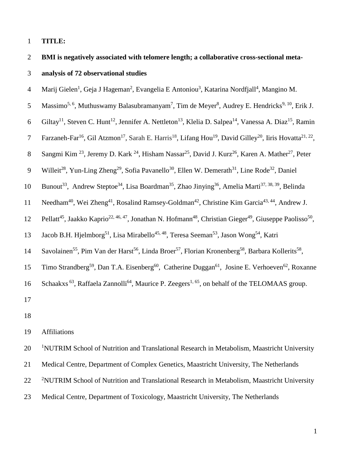## 1 **TITLE:**

2 **BMI is negatively associated with telomere length; a collaborative cross-sectional meta-**3 **analysis of 72 observational studies** 

4 Marij Gielen<sup>1</sup>, Geja J Hageman<sup>2</sup>, Evangelia E Antoniou<sup>3</sup>, Katarina Nordfjall<sup>4</sup>, Mangino M.

5 Massimo<sup>5, 6</sup>, Muthuswamy Balasubramanyam<sup>7</sup>, Tim de Meyer<sup>8</sup>, Audrey E. Hendricks<sup>9, 10</sup>, Erik J.

6 Giltay<sup>11</sup>, Steven C. Hunt<sup>12</sup>, Jennifer A. Nettleton<sup>13</sup>, Klelia D. Salpea<sup>14</sup>, Vanessa A. Diaz<sup>15</sup>, Ramin

7 Farzaneh-Far<sup>16</sup>, Gil Atzmon<sup>17</sup>, Sarah E. Harris<sup>18</sup>, Lifang Hou<sup>19</sup>, David Gilley<sup>20</sup>, Iiris Hovatta<sup>21, 22</sup>,

8 Sangmi Kim<sup>23</sup>, Jeremy D. Kark <sup>24</sup>, Hisham Nassar<sup>25</sup>, David J. Kurz<sup>26</sup>, Karen A. Mather<sup>27</sup>, Peter

- 9 Willeit<sup>28</sup>, Yun-Ling Zheng<sup>29</sup>, Sofia Pavanello<sup>30</sup>, Ellen W. Demerath<sup>31</sup>, Line Rode<sup>32</sup>, Daniel
- 10 Bunout<sup>33</sup>, Andrew Steptoe<sup>34</sup>, Lisa Boardman<sup>35</sup>, Zhao Jinying<sup>36</sup>, Amelia Marti<sup>37, 38, 39</sup>, Belinda
- 11 Needham<sup>40</sup>, Wei Zheng<sup>41</sup>, Rosalind Ramsey-Goldman<sup>42</sup>, Christine Kim Garcia<sup>43, 44</sup>, Andrew J.
- 12 Pellatt<sup>45</sup>, Jaakko Kaprio<sup>22, 46, 47</sup>, Jonathan N. Hofmann<sup>48</sup>, Christian Gieger<sup>49</sup>, Giuseppe Paolisso<sup>50</sup>,
- 13 Jacob B.H. Hjelmborg<sup>51</sup>, Lisa Mirabello<sup>45, 48</sup>, Teresa Seeman<sup>53</sup>, Jason Wong<sup>54</sup>, Katri
- 14 Savolainen<sup>55</sup>, Pim Van der Harst<sup>56</sup>, Linda Broer<sup>57</sup>, Florian Kronenberg<sup>58</sup>, Barbara Kollerits<sup>58</sup>,

15 Timo Strandberg<sup>59</sup>, Dan T.A. Eisenberg<sup>60</sup>, Catherine Duggan<sup>61</sup>, Josine E. Verhoeven<sup>62</sup>, Roxanne

16 Schaakxs<sup>63</sup>, Raffaela Zannolli<sup>64</sup>, Maurice P. Zeegers<sup>1, 65</sup>, on behalf of the TELOMAAS group.

17

18

## 19 Affiliations

20 <sup>1</sup> NUTRIM School of Nutrition and Translational Research in Metabolism, Maastricht University

21 Medical Centre, Department of Complex Genetics, Maastricht University, The Netherlands

- 22 <sup>2</sup>NUTRIM School of Nutrition and Translational Research in Metabolism, Maastricht University
- 23 Medical Centre, Department of Toxicology, Maastricht University, The Netherlands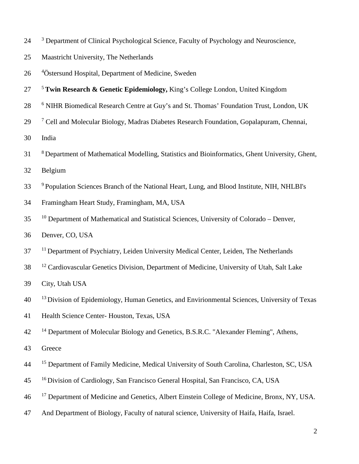- <sup>3</sup> Department of Clinical Psychological Science, Faculty of Psychology and Neuroscience,
- 25 Maastricht University, The Netherlands
- 26 <sup>4</sup> Östersund Hospital, Department of Medicine, Sweden
- 5 27 **Twin Research & Genetic Epidemiology,** King's College London, United Kingdom
- <sup>6</sup> NIHR Biomedical Research Centre at Guy's and St. Thomas' Foundation Trust, London, UK
- <sup>7</sup> 29 Cell and Molecular Biology, Madras Diabetes Research Foundation, Gopalapuram, Chennai,
- 30 India
- 8 31 Department of Mathematical Modelling, Statistics and Bioinformatics, Ghent University, Ghent,
- 32 Belgium
- <sup>9</sup> Population Sciences Branch of the National Heart, Lung, and Blood Institute, NIH, NHLBI's
- 34 Framingham Heart Study, Framingham, MA, USA
- <sup>10</sup> Department of Mathematical and Statistical Sciences, University of Colorado Denver,
- 36 Denver, CO, USA
- <sup>11</sup> Department of Psychiatry, Leiden University Medical Center, Leiden, The Netherlands
- <sup>12</sup> Cardiovascular Genetics Division, Department of Medicine, University of Utah, Salt Lake

39 City, Utah USA

- <sup>13</sup> Division of Epidemiology, Human Genetics, and Envirionmental Sciences, University of Texas
- 41 Health Science Center- Houston, Texas, USA
- <sup>14</sup> Department of Molecular Biology and Genetics, B.S.R.C. "Alexander Fleming", Athens,
- 43 Greece
- <sup>15</sup> Department of Family Medicine, Medical University of South Carolina, Charleston, SC, USA
- 16 45 Division of Cardiology, San Francisco General Hospital, San Francisco, CA, USA
- <sup>17</sup> Department of Medicine and Genetics, Albert Einstein College of Medicine, Bronx, NY, USA.
- 47 And Department of Biology, Faculty of natural science, University of Haifa, Haifa, Israel.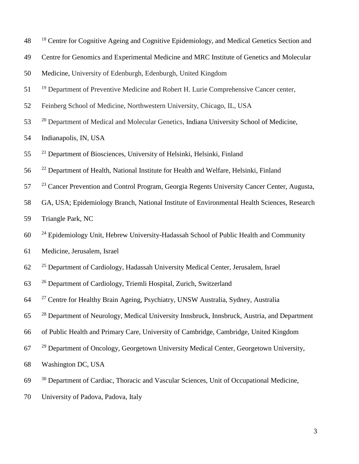- <sup>18</sup> Centre for Cognitive Ageing and Cognitive Epidemiology, and Medical Genetics Section and
- Centre for Genomics and Experimental Medicine and MRC Institute of Genetics and Molecular

Medicine, University of Edenburgh, Edenburgh, United Kingdom

- <sup>19</sup> Department of Preventive Medicine and Robert H. Lurie Comprehensive Cancer center,
- Feinberg School of Medicine, Northwestern University, Chicago, IL, USA
- <sup>20</sup> Department of Medical and Molecular Genetics, Indiana University School of Medicine,

Indianapolis, IN, USA

- <sup>21</sup> Department of Biosciences, University of Helsinki, Helsinki, Finland
- 56 <sup>22</sup> Department of Health, National Institute for Health and Welfare, Helsinki, Finland
- <sup>23</sup> Cancer Prevention and Control Program, Georgia Regents University Cancer Center, Augusta,
- GA, USA; Epidemiology Branch, National Institute of Environmental Health Sciences, Research
- Triangle Park, NC
- <sup>24</sup> Epidemiology Unit, Hebrew University-Hadassah School of Public Health and Community
- Medicine, Jerusalem, Israel
- <sup>25</sup> Department of Cardiology, Hadassah University Medical Center, Jerusalem, Israel
- <sup>26</sup> Department of Cardiology, Triemli Hospital, Zurich, Switzerland
- <sup>27</sup> Centre for Healthy Brain Ageing, Psychiatry, UNSW Australia, Sydney, Australia
- <sup>28</sup> Department of Neurology, Medical University Innsbruck, Innsbruck, Austria, and Department
- of Public Health and Primary Care, University of Cambridge, Cambridge, United Kingdom
- <sup>29</sup> Department of Oncology, Georgetown University Medical Center, Georgetown University,
- Washington DC, USA
- <sup>30</sup> Department of Cardiac, Thoracic and Vascular Sciences, Unit of Occupational Medicine,
- University of Padova, Padova, Italy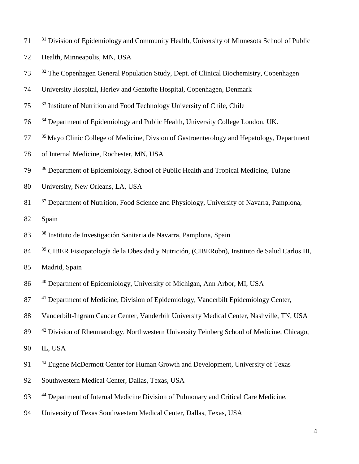- <sup>31</sup> Division of Epidemiology and Community Health, University of Minnesota School of Public
- 72 Health, Minneapolis, MN, USA
- <sup>32</sup> The Copenhagen General Population Study, Dept. of Clinical Biochemistry, Copenhagen
- 74 University Hospital, Herlev and Gentofte Hospital, Copenhagen, Denmark
- <sup>33</sup> Institute of Nutrition and Food Technology University of Chile, Chile
- <sup>34</sup> Department of Epidemiology and Public Health, University College London, UK.
- <sup>35</sup> Mayo Clinic College of Medicine, Divsion of Gastroenterology and Hepatology, Department
- 78 of Internal Medicine, Rochester, MN, USA
- <sup>36</sup> Department of Epidemiology, School of Public Health and Tropical Medicine, Tulane
- 80 University, New Orleans, LA, USA
- <sup>37</sup> Department of Nutrition, Food Science and Physiology, University of Navarra, Pamplona,
- 82 Spain
- <sup>38</sup> 83 Instituto de Investigación Sanitaria de Navarra, Pamplona, Spain
- <sup>39</sup> 84 CIBER Fisiopatología de la Obesidad y Nutrición, (CIBERobn), Instituto de Salud Carlos III,
- 85 Madrid, Spain
- <sup>40</sup> 86 Department of Epidemiology, University of Michigan, Ann Arbor, MI, USA
- 87 <sup>41</sup> Department of Medicine, Division of Epidemiology, Vanderbilt Epidemiology Center,
- 88 Vanderbilt-Ingram Cancer Center, Vanderbilt University Medical Center, Nashville, TN, USA
- 89 <sup>42</sup> Division of Rheumatology, Northwestern University Feinberg School of Medicine, Chicago,
- 90 IL, USA
- 91 <sup>43</sup> Eugene McDermott Center for Human Growth and Development, University of Texas
- 92 Southwestern Medical Center, Dallas, Texas, USA
- 93 <sup>44</sup> Department of Internal Medicine Division of Pulmonary and Critical Care Medicine,
- 94 University of Texas Southwestern Medical Center, Dallas, Texas, USA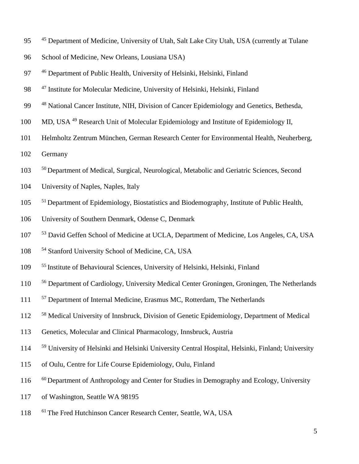- 95 <sup>45</sup> Department of Medicine, University of Utah, Salt Lake City Utah, USA (currently at Tulane
- 96 School of Medicine, New Orleans, Lousiana USA)
- 97 <sup>46</sup> Department of Public Health, University of Helsinki, Helsinki, Finland
- 98 <sup>47</sup> Institute for Molecular Medicine, University of Helsinki, Helsinki, Finland
- <sup>48</sup> National Cancer Institute, NIH, Division of Cancer Epidemiology and Genetics, Bethesda,
- 100 MD, USA <sup>49</sup> Research Unit of Molecular Epidemiology and Institute of Epidemiology II,
- 101 Helmholtz Zentrum München, German Research Center for Environmental Health, Neuherberg,
- 102 Germany
- <sup>50</sup> Department of Medical, Surgical, Neurological, Metabolic and Geriatric Sciences, Second
- 104 University of Naples, Naples, Italy
- <sup>51</sup> Department of Epidemiology, Biostatistics and Biodemography, Institute of Public Health,
- 106 University of Southern Denmark, Odense C, Denmark
- <sup>53</sup> David Geffen School of Medicine at UCLA, Department of Medicine, Los Angeles, CA, USA
- 108 <sup>54</sup> Stanford University School of Medicine, CA, USA
- 55 109 Institute of Behavioural Sciences, University of Helsinki, Helsinki, Finland
- <sup>56</sup> Department of Cardiology, University Medical Center Groningen, Groningen, The Netherlands
- <sup>57</sup> Department of Internal Medicine, Erasmus MC, Rotterdam, The Netherlands
- <sup>58</sup> Medical University of Innsbruck, Division of Genetic Epidemiology, Department of Medical
- 113 Genetics, Molecular and Clinical Pharmacology, Innsbruck, Austria
- <sup>59</sup> University of Helsinki and Helsinki University Central Hospital, Helsinki, Finland; University
- 115 of Oulu, Centre for Life Course Epidemiology, Oulu, Finland
- <sup>60</sup> Department of Anthropology and Center for Studies in Demography and Ecology, University
- 117 of Washington, Seattle WA 98195
- 118 <sup>61</sup> The Fred Hutchinson Cancer Research Center, Seattle, WA, USA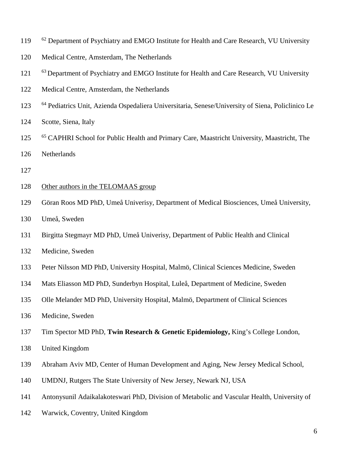- <sup>62</sup> Department of Psychiatry and EMGO Institute for Health and Care Research, VU University
- Medical Centre, Amsterdam, The Netherlands
- <sup>63</sup> Department of Psychiatry and EMGO Institute for Health and Care Research, VU University
- Medical Centre, Amsterdam, the Netherlands
- <sup>64</sup> Pediatrics Unit, Azienda Ospedaliera Universitaria, Senese/University of Siena, Policlinico Le
- Scotte, Siena, Italy
- <sup>65</sup> CAPHRI School for Public Health and Primary Care, Maastricht University, Maastricht, The Netherlands
- 
- 128 Other authors in the TELOMAAS group
- Göran Roos MD PhD, Umeå Univerisy, Department of Medical Biosciences, Umeå University,
- Umeå, Sweden
- Birgitta Stegmayr MD PhD, Umeå Univerisy, Department of Public Health and Clinical
- Medicine, Sweden
- Peter Nilsson MD PhD, University Hospital, Malmö, Clinical Sciences Medicine, Sweden
- Mats Eliasson MD PhD, Sunderbyn Hospital, Luleå, Department of Medicine, Sweden
- Olle Melander MD PhD, University Hospital, Malmö, Department of Clinical Sciences
- Medicine, Sweden
- Tim Spector MD PhD, **Twin Research & Genetic Epidemiology,** King's College London,
- United Kingdom
- Abraham Aviv MD, Center of Human Development and Aging, New Jersey Medical School,
- UMDNJ, Rutgers The State University of New Jersey, Newark NJ, USA
- Antonysunil Adaikalakoteswari PhD, Division of Metabolic and Vascular Health, University of
- Warwick, Coventry, United Kingdom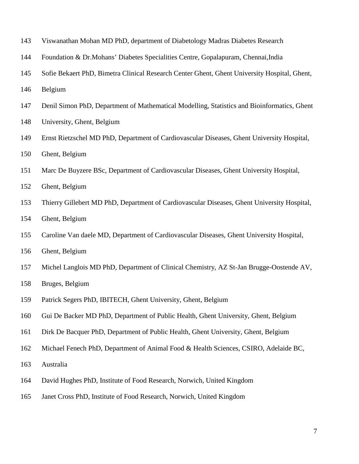- Viswanathan Mohan MD PhD, department of Diabetology Madras Diabetes Research
- Foundation & Dr.Mohans' Diabetes Specialities Centre, Gopalapuram, Chennai,India
- Sofie Bekaert PhD, Bimetra Clinical Research Center Ghent, Ghent University Hospital, Ghent,
- Belgium
- Denil Simon PhD, Department of Mathematical Modelling, Statistics and Bioinformatics, Ghent
- University, Ghent, Belgium
- Ernst Rietzschel MD PhD, Department of Cardiovascular Diseases, Ghent University Hospital,
- Ghent, Belgium
- Marc De Buyzere BSc, Department of Cardiovascular Diseases, Ghent University Hospital,
- Ghent, Belgium
- Thierry Gillebert MD PhD, Department of Cardiovascular Diseases, Ghent University Hospital,
- Ghent, Belgium
- Caroline Van daele MD, Department of Cardiovascular Diseases, Ghent University Hospital,
- Ghent, Belgium
- Michel Langlois MD PhD, Department of Clinical Chemistry, AZ St-Jan Brugge-Oostende AV,
- Bruges, Belgium
- Patrick Segers PhD, IBITECH, Ghent University, Ghent, Belgium
- Gui De Backer MD PhD, Department of Public Health, Ghent University, Ghent, Belgium
- Dirk De Bacquer PhD, Department of Public Health, Ghent University, Ghent, Belgium
- Michael Fenech PhD, Department of Animal Food & Health Sciences, CSIRO, Adelaide BC,
- Australia
- David Hughes PhD, Institute of Food Research, Norwich, United Kingdom
- Janet Cross PhD, Institute of Food Research, Norwich, United Kingdom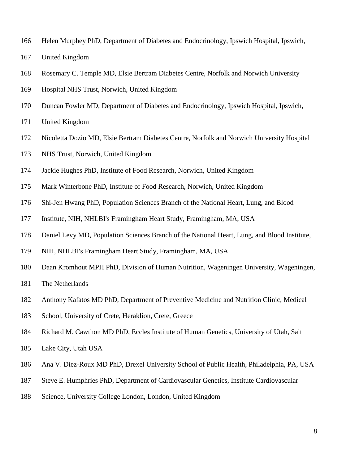- Helen Murphey PhD, Department of Diabetes and Endocrinology, Ipswich Hospital, Ipswich,
- United Kingdom
- Rosemary C. Temple MD, Elsie Bertram Diabetes Centre, Norfolk and Norwich University
- Hospital NHS Trust, Norwich, United Kingdom
- Duncan Fowler MD, Department of Diabetes and Endocrinology, Ipswich Hospital, Ipswich,
- United Kingdom
- Nicoletta Dozio MD, Elsie Bertram Diabetes Centre, Norfolk and Norwich University Hospital
- NHS Trust, Norwich, United Kingdom
- Jackie Hughes PhD, Institute of Food Research, Norwich, United Kingdom
- Mark Winterbone PhD, Institute of Food Research, Norwich, United Kingdom
- Shi-Jen Hwang PhD, Population Sciences Branch of the National Heart, Lung, and Blood
- Institute, NIH, NHLBI's Framingham Heart Study, Framingham, MA, USA
- Daniel Levy MD, Population Sciences Branch of the National Heart, Lung, and Blood Institute,
- NIH, NHLBI's Framingham Heart Study, Framingham, MA, USA
- Daan Kromhout MPH PhD, Division of Human Nutrition, Wageningen University, Wageningen,
- The Netherlands
- Anthony Kafatos MD PhD, Department of Preventive Medicine and Nutrition Clinic, Medical
- School, University of Crete, Heraklion, Crete, Greece
- Richard M. Cawthon MD PhD, Eccles Institute of Human Genetics, University of Utah, Salt
- Lake City, Utah USA
- Ana V. Diez-Roux MD PhD, Drexel University School of Public Health, Philadelphia, PA, USA
- Steve E. Humphries PhD, Department of Cardiovascular Genetics, Institute Cardiovascular
- Science, University College London, London, United Kingdom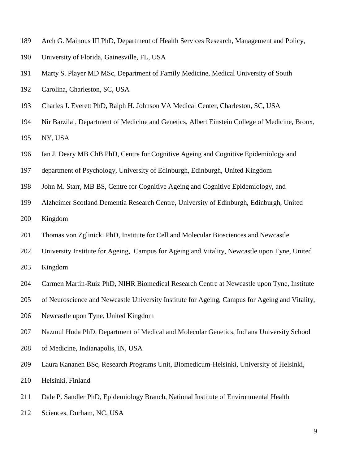- Arch G. Mainous III PhD, Department of Health Services Research, Management and Policy,
- University of Florida, Gainesville, FL, USA
- Marty S. Player MD MSc, Department of Family Medicine, Medical University of South
- Carolina, Charleston, SC, USA
- Charles J. Everett PhD, Ralph H. Johnson VA Medical Center, Charleston, SC, USA
- Nir Barzilai, Department of Medicine and Genetics, Albert Einstein College of Medicine, Bronx, NY, USA
- Ian J. Deary MB ChB PhD, Centre for Cognitive Ageing and Cognitive Epidemiology and
- department of Psychology, University of Edinburgh, Edinburgh, United Kingdom
- John M. Starr, MB BS, Centre for Cognitive Ageing and Cognitive Epidemiology, and
- Alzheimer Scotland Dementia Research Centre, University of Edinburgh, Edinburgh, United Kingdom
- Thomas von Zglinicki PhD, Institute for Cell and Molecular Biosciences and Newcastle
- University Institute for Ageing, Campus for Ageing and Vitality, Newcastle upon Tyne, United
- Kingdom
- Carmen Martin-Ruiz PhD, NIHR Biomedical Research Centre at Newcastle upon Tyne, Institute
- of Neuroscience and Newcastle University Institute for Ageing, Campus for Ageing and Vitality,
- Newcastle upon Tyne, United Kingdom
- Nazmul Huda PhD, Department of Medical and Molecular Genetics, Indiana University School
- of Medicine, Indianapolis, IN, USA
- Laura Kananen BSc, Research Programs Unit, Biomedicum-Helsinki, University of Helsinki,
- Helsinki, Finland
- Dale P. Sandler PhD, Epidemiology Branch, National Institute of Environmental Health
- Sciences, Durham, NC, USA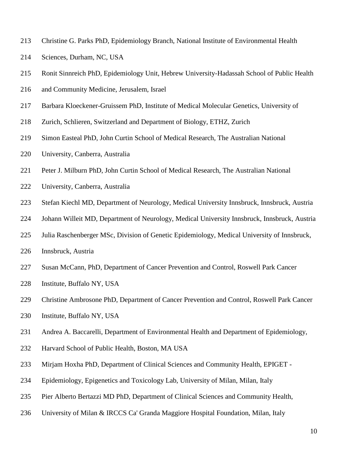- Christine G. Parks PhD, Epidemiology Branch, National Institute of Environmental Health
- Sciences, Durham, NC, USA
- Ronit Sinnreich PhD, Epidemiology Unit, Hebrew University-Hadassah School of Public Health
- and Community Medicine, Jerusalem, Israel
- Barbara Kloeckener-Gruissem PhD, Institute of Medical Molecular Genetics, University of
- Zurich, Schlieren, Switzerland and Department of Biology, ETHZ, Zurich
- Simon Easteal PhD, John Curtin School of Medical Research, The Australian National
- University, Canberra, Australia
- Peter J. Milburn PhD, John Curtin School of Medical Research, The Australian National
- University, Canberra, Australia
- Stefan Kiechl MD, Department of Neurology, Medical University Innsbruck, Innsbruck, Austria
- Johann Willeit MD, Department of Neurology, Medical University Innsbruck, Innsbruck, Austria
- Julia Raschenberger MSc, Division of Genetic Epidemiology, Medical University of Innsbruck,
- Innsbruck, Austria
- Susan McCann, PhD, Department of Cancer Prevention and Control, Roswell Park Cancer
- Institute, Buffalo NY, USA
- Christine Ambrosone PhD, Department of Cancer Prevention and Control, Roswell Park Cancer
- Institute, Buffalo NY, USA
- Andrea A. Baccarelli, Department of Environmental Health and Department of Epidemiology,
- Harvard School of Public Health, Boston, MA USA
- Mirjam Hoxha PhD, Department of Clinical Sciences and Community Health, EPIGET -
- Epidemiology, Epigenetics and Toxicology Lab, University of Milan, Milan, Italy
- Pier Alberto Bertazzi MD PhD, Department of Clinical Sciences and Community Health,
- University of Milan & IRCCS Ca' Granda Maggiore Hospital Foundation, Milan, Italy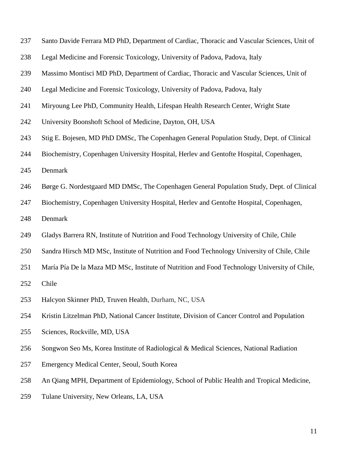- Santo Davide Ferrara MD PhD, Department of Cardiac, Thoracic and Vascular Sciences, Unit of
- Legal Medicine and Forensic Toxicology, University of Padova, Padova, Italy
- Massimo Montisci MD PhD, Department of Cardiac, Thoracic and Vascular Sciences, Unit of
- Legal Medicine and Forensic Toxicology, University of Padova, Padova, Italy
- Miryoung Lee PhD, Community Health, Lifespan Health Research Center, Wright State
- University Boonshoft School of Medicine, Dayton, OH, USA
- Stig E. Bojesen, MD PhD DMSc, The Copenhagen General Population Study, Dept. of Clinical
- Biochemistry, Copenhagen University Hospital, Herlev and Gentofte Hospital, Copenhagen,
- Denmark
- Børge G. Nordestgaard MD DMSc, The Copenhagen General Population Study, Dept. of Clinical
- Biochemistry, Copenhagen University Hospital, Herlev and Gentofte Hospital, Copenhagen,
- Denmark
- Gladys Barrera RN, Institute of Nutrition and Food Technology University of Chile, Chile
- Sandra Hirsch MD MSc, Institute of Nutrition and Food Technology University of Chile, Chile
- María Pía De la Maza MD MSc, Institute of Nutrition and Food Technology University of Chile,

Chile

- Halcyon Skinner PhD, Truven Health, Durham, NC, USA
- Kristin Litzelman PhD, National Cancer Institute, Division of Cancer Control and Population
- Sciences, Rockville, MD, USA
- Songwon Seo Ms, Korea Institute of Radiological & Medical Sciences, National Radiation
- Emergency Medical Center, Seoul, South Korea
- An Qiang MPH, Department of Epidemiology, School of Public Health and Tropical Medicine,
- Tulane University, New Orleans, LA, USA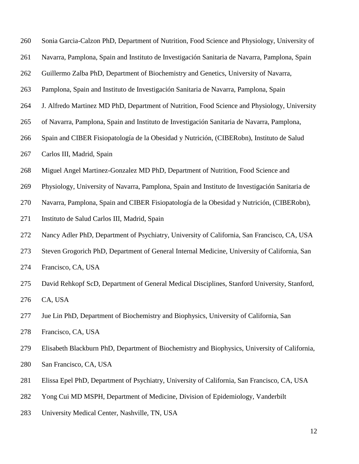| 260 | Sonia Garcia-Calzon PhD, Department of Nutrition, Food Science and Physiology, University of   |
|-----|------------------------------------------------------------------------------------------------|
| 261 | Navarra, Pamplona, Spain and Instituto de Investigación Sanitaria de Navarra, Pamplona, Spain  |
| 262 | Guillermo Zalba PhD, Department of Biochemistry and Genetics, University of Navarra,           |
| 263 | Pamplona, Spain and Instituto de Investigación Sanitaria de Navarra, Pamplona, Spain           |
| 264 | J. Alfredo Martinez MD PhD, Department of Nutrition, Food Science and Physiology, University   |
| 265 | of Navarra, Pamplona, Spain and Instituto de Investigación Sanitaria de Navarra, Pamplona,     |
| 266 | Spain and CIBER Fisiopatología de la Obesidad y Nutrición, (CIBERobn), Instituto de Salud      |
| 267 | Carlos III, Madrid, Spain                                                                      |
| 268 | Miguel Angel Martinez-Gonzalez MD PhD, Department of Nutrition, Food Science and               |
| 269 | Physiology, University of Navarra, Pamplona, Spain and Instituto de Investigación Sanitaria de |
| 270 | Navarra, Pamplona, Spain and CIBER Fisiopatología de la Obesidad y Nutrición, (CIBERobn),      |
| 271 | Instituto de Salud Carlos III, Madrid, Spain                                                   |
| 272 | Nancy Adler PhD, Department of Psychiatry, University of California, San Francisco, CA, USA    |
| 273 | Steven Grogorich PhD, Department of General Internal Medicine, University of California, San   |
| 274 | Francisco, CA, USA                                                                             |
| 275 | David Rehkopf ScD, Department of General Medical Disciplines, Stanford University, Stanford,   |
| 276 | CA, USA                                                                                        |
| 277 | Jue Lin PhD, Department of Biochemistry and Biophysics, University of California, San          |
| 278 | Francisco, CA, USA                                                                             |
| 279 | Elisabeth Blackburn PhD, Department of Biochemistry and Biophysics, University of California,  |
| 280 | San Francisco, CA, USA                                                                         |
| 281 | Elissa Epel PhD, Department of Psychiatry, University of California, San Francisco, CA, USA    |
| 282 | Yong Cui MD MSPH, Department of Medicine, Division of Epidemiology, Vanderbilt                 |

University Medical Center, Nashville, TN, USA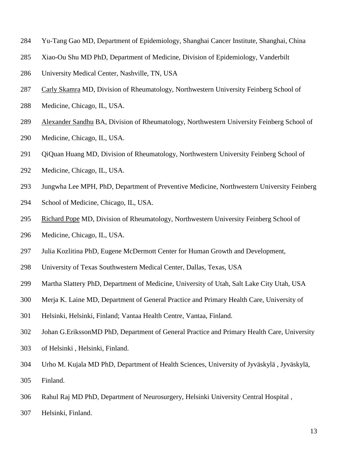- Yu-Tang Gao MD, Department of Epidemiology, Shanghai Cancer Institute, Shanghai, China
- Xiao-Ou Shu MD PhD, Department of Medicine, Division of Epidemiology, Vanderbilt
- University Medical Center, Nashville, TN, USA
- [Carly Skamra](http://rheumatology.oxfordjournals.org/search?author1=Carly+Skamra&sortspec=date&submit=Submit) MD, Division of Rheumatology, Northwestern University Feinberg School of
- Medicine, Chicago, IL, USA.
- [Alexander Sandhu](http://rheumatology.oxfordjournals.org/search?author1=Alexander+Sandhu&sortspec=date&submit=Submit) BA, Division of Rheumatology, Northwestern University Feinberg School of
- Medicine, Chicago, IL, USA.
- 291 QiQuan Huang MD, Division of Rheumatology, Northwestern University Feinberg School of
- Medicine, Chicago, IL, USA.
- Jungwha Lee MPH, PhD, Department of Preventive Medicine, Northwestern University Feinberg
- School of Medicine, Chicago, IL, USA.
- [Richard Pope](http://rheumatology.oxfordjournals.org/search?author1=Richard+Pope&sortspec=date&submit=Submit) MD, Division of Rheumatology, Northwestern University Feinberg School of
- Medicine, Chicago, IL, USA.
- Julia Kozlitina PhD, Eugene McDermott Center for Human Growth and Development,
- University of Texas Southwestern Medical Center, Dallas, Texas, USA
- Martha Slattery PhD, Department of Medicine, University of Utah, Salt Lake City Utah, USA
- Merja K. Laine MD, Department of General Practice and Primary Health Care, University of
- Helsinki, Helsinki, Finland; Vantaa Health Centre, Vantaa, Finland.
- Johan G.ErikssonMD PhD, Department of General Practice and Primary Health Care, University
- of Helsinki , Helsinki, Finland.
- Urho M. Kujala MD PhD, Department of Health Sciences, University of Jyväskylä , Jyväskylä,
- Finland.
- Rahul Raj MD PhD, Department of Neurosurgery, Helsinki University Central Hospital ,
- Helsinki, Finland.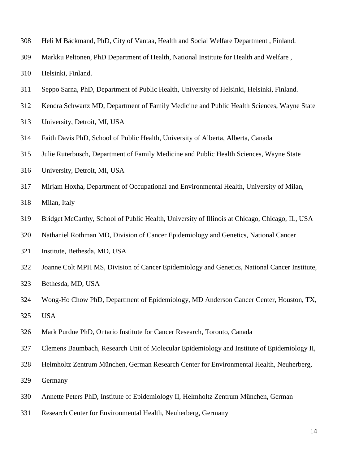- Heli M Bäckmand, PhD, City of Vantaa, Health and Social Welfare Department , Finland.
- Markku Peltonen, PhD Department of Health, National Institute for Health and Welfare ,
- Helsinki, Finland.
- Seppo Sarna, PhD, Department of Public Health, University of Helsinki, Helsinki, Finland.
- Kendra Schwartz MD, Department of Family Medicine and Public Health Sciences, Wayne State
- University, Detroit, MI, USA
- Faith Davis PhD, School of Public Health, University of Alberta, Alberta, Canada
- Julie Ruterbusch, Department of Family Medicine and Public Health Sciences, Wayne State
- University, Detroit, MI, USA
- Mirjam Hoxha, Department of Occupational and Environmental Health, University of Milan,
- Milan, Italy
- Bridget McCarthy, School of Public Health, University of Illinois at Chicago, Chicago, IL, USA
- Nathaniel Rothman MD, Division of Cancer Epidemiology and Genetics, National Cancer
- Institute, Bethesda, MD, USA
- Joanne Colt MPH MS, Division of Cancer Epidemiology and Genetics, National Cancer Institute,
- Bethesda, MD, USA
- Wong-Ho Chow PhD, Department of Epidemiology, MD Anderson Cancer Center, Houston, TX, USA
- Mark Purdue PhD, Ontario Institute for Cancer Research, Toronto, Canada
- Clemens Baumbach, Research Unit of Molecular Epidemiology and Institute of Epidemiology II,
- Helmholtz Zentrum München, German Research Center for Environmental Health, Neuherberg,
- Germany
- Annette Peters PhD, Institute of Epidemiology II, Helmholtz Zentrum München, German
- Research Center for Environmental Health, Neuherberg, Germany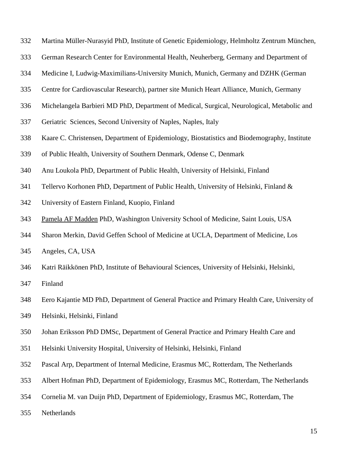- Martina Müller-Nurasyid PhD, Institute of Genetic Epidemiology, Helmholtz Zentrum München,
- German Research Center for Environmental Health, Neuherberg, Germany and Department of
- Medicine I, Ludwig-Maximilians-University Munich, Munich, Germany and DZHK (German
- Centre for Cardiovascular Research), partner site Munich Heart Alliance, Munich, Germany
- Michelangela Barbieri MD PhD, Department of Medical, Surgical, Neurological, Metabolic and
- Geriatric Sciences, Second University of Naples, Naples, Italy
- Kaare C. Christensen, Department of Epidemiology, Biostatistics and Biodemography, Institute
- of Public Health, University of Southern Denmark, Odense C, Denmark
- Anu Loukola PhD, Department of Public Health, University of Helsinki, Finland
- Tellervo Korhonen PhD, Department of Public Health, University of Helsinki, Finland &
- University of Eastern Finland, Kuopio, Finland
- [Pamela AF Madden](http://www.ncbi.nlm.nih.gov/pubmed/?term=Madden%20PA%5Bauth%5D) PhD, Washington University School of Medicine, Saint Louis, USA
- Sharon Merkin, David Geffen School of Medicine at UCLA, Department of Medicine, Los
- Angeles, CA, USA
- Katri Räikkönen PhD, Institute of Behavioural Sciences, University of Helsinki, Helsinki,
- Finland
- Eero Kajantie MD PhD, Department of General Practice and Primary Health Care, University of
- Helsinki, Helsinki, Finland
- Johan Eriksson PhD DMSc, Department of General Practice and Primary Health Care and
- Helsinki University Hospital, University of Helsinki, Helsinki, Finland
- Pascal Arp, Department of Internal Medicine, Erasmus MC, Rotterdam, The Netherlands
- Albert Hofman PhD, Department of Epidemiology, Erasmus MC, Rotterdam, The Netherlands
- Cornelia M. van Duijn PhD, Department of Epidemiology, Erasmus MC, Rotterdam, The
- Netherlands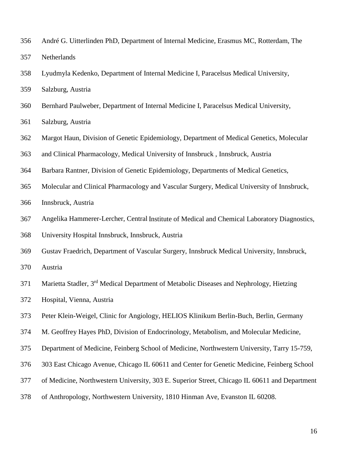- André G. Uitterlinden PhD, Department of Internal Medicine, Erasmus MC, Rotterdam, The Netherlands
- Lyudmyla Kedenko, Department of Internal Medicine I, Paracelsus Medical University,
- Salzburg, Austria
- Bernhard Paulweber, Department of Internal Medicine I, Paracelsus Medical University,
- Salzburg, Austria
- Margot Haun, Division of Genetic Epidemiology, Department of Medical Genetics, Molecular
- and Clinical Pharmacology, Medical University of Innsbruck , Innsbruck, Austria
- Barbara Rantner, Division of Genetic Epidemiology, Departments of Medical Genetics,
- Molecular and Clinical Pharmacology and Vascular Surgery, Medical University of Innsbruck,
- Innsbruck, Austria
- Angelika Hammerer-Lercher, Central Institute of Medical and Chemical Laboratory Diagnostics,
- University Hospital Innsbruck, Innsbruck, Austria
- Gustav Fraedrich, Department of Vascular Surgery, Innsbruck Medical University, Innsbruck,
- Austria
- 371 Marietta Stadler, 3rd Medical Department of Metabolic Diseases and Nephrology, Hietzing
- Hospital, Vienna, Austria
- Peter Klein-Weigel, Clinic for Angiology, HELIOS Klinikum Berlin-Buch, Berlin, Germany
- M. Geoffrey Hayes PhD, Division of Endocrinology, Metabolism, and Molecular Medicine,
- Department of Medicine, Feinberg School of Medicine, Northwestern University, Tarry 15-759,
- 303 East Chicago Avenue, Chicago IL 60611 and Center for Genetic Medicine, Feinberg School
- of Medicine, Northwestern University, 303 E. Superior Street, Chicago IL 60611 and Department
- of Anthropology, Northwestern University, 1810 Hinman Ave, Evanston IL 60208.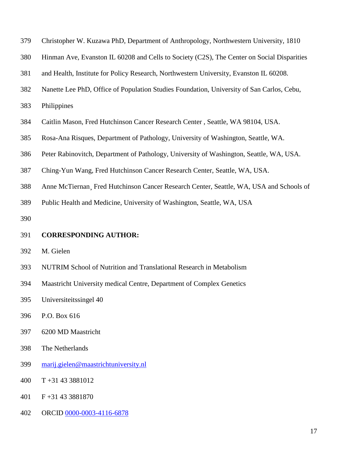| 379 | Christopher W. Kuzawa PhD, Department of Anthropology, Northwestern University, 1810       |
|-----|--------------------------------------------------------------------------------------------|
| 380 | Hinman Ave, Evanston IL 60208 and Cells to Society (C2S), The Center on Social Disparities |
| 381 | and Health, Institute for Policy Research, Northwestern University, Evanston IL 60208.     |
| 382 | Nanette Lee PhD, Office of Population Studies Foundation, University of San Carlos, Cebu,  |
| 383 | Philippines                                                                                |
| 384 | Caitlin Mason, Fred Hutchinson Cancer Research Center, Seattle, WA 98104, USA.             |
| 385 | Rosa-Ana Risques, Department of Pathology, University of Washington, Seattle, WA.          |
| 386 | Peter Rabinovitch, Department of Pathology, University of Washington, Seattle, WA, USA.    |
| 387 | Ching-Yun Wang, Fred Hutchinson Cancer Research Center, Seattle, WA, USA.                  |
| 388 | Anne McTiernan Fred Hutchinson Cancer Research Center, Seattle, WA, USA and Schools of     |
| 389 | Public Health and Medicine, University of Washington, Seattle, WA, USA                     |
| 390 |                                                                                            |
| 391 | <b>CORRESPONDING AUTHOR:</b>                                                               |
| 392 | M. Gielen                                                                                  |
| 393 | NUTRIM School of Nutrition and Translational Research in Metabolism                        |
| 394 | Maastricht University medical Centre, Department of Complex Genetics                       |
| 395 | Universiteitssingel 40                                                                     |
| 396 | P.O. Box 616                                                                               |
| 397 | 6200 MD Maastricht                                                                         |
| 398 |                                                                                            |
|     | The Netherlands                                                                            |
| 399 | marij.gielen@maastrichtuniversity.nl                                                       |
| 400 | $T + 31433881012$                                                                          |
| 401 | F+31 43 3881870                                                                            |
| 402 | ORCID 0000-0003-4116-6878                                                                  |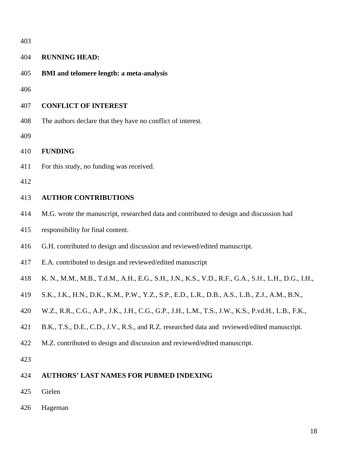| 403 |                                                                                                    |
|-----|----------------------------------------------------------------------------------------------------|
| 404 | <b>RUNNING HEAD:</b>                                                                               |
| 405 | <b>BMI</b> and telomere length: a meta-analysis                                                    |
| 406 |                                                                                                    |
| 407 | <b>CONFLICT OF INTEREST</b>                                                                        |
| 408 | The authors declare that they have no conflict of interest.                                        |
| 409 |                                                                                                    |
| 410 | <b>FUNDING</b>                                                                                     |
| 411 | For this study, no funding was received.                                                           |
| 412 |                                                                                                    |
| 413 | <b>AUTHOR CONTRIBUTIONS</b>                                                                        |
| 414 | M.G. wrote the manuscript, researched data and contributed to design and discussion had            |
| 415 | responsibility for final content.                                                                  |
| 416 | G.H. contributed to design and discussion and reviewed/edited manuscript.                          |
| 417 | E.A. contributed to design and reviewed/edited manuscript                                          |
| 418 | K. N., M.M., M.B., T.d.M., A.H., E.G., S.H., J.N., K.S., V.D., R.F., G.A., S.H., L.H., D.G., I.H., |
| 419 | S.K., J.K., H.N., D.K., K.M., P.W., Y.Z., S.P., E.D., L.R., D.B., A.S., L.B., Z.J., A.M., B.N.,    |
| 420 | W.Z., R.R., C.G., A.P., J.K., J.H., C.G., G.P., J.H., L.M., T.S., J.W., K.S., P.vd.H., L.B., F.K., |
| 421 | B.K., T.S., D.E., C.D., J.V., R.S., and R.Z. researched data and reviewed/edited manuscript.       |
| 422 | M.Z. contributed to design and discussion and reviewed/edited manuscript.                          |
| 423 |                                                                                                    |
| 424 | <b>AUTHORS' LAST NAMES FOR PUBMED INDEXING</b>                                                     |
| 425 | Gielen                                                                                             |
| 426 | Hageman                                                                                            |
|     |                                                                                                    |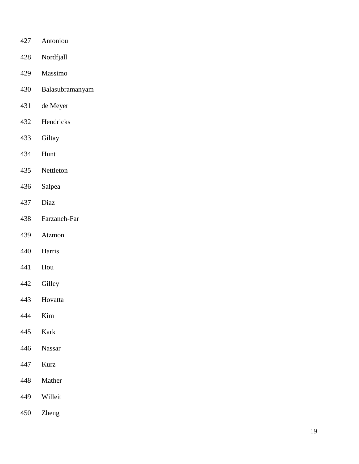- Antoniou
- Nordfjall
- Massimo
- Balasubramanyam
- de Meyer
- Hendricks
- Giltay
- Hunt
- Nettleton
- Salpea
- Diaz
- Farzaneh -Far
- Atzmon
- Harris
- Hou
- Gilley
- Hovatta
- Kim
- Kark
- Nassar
- Kurz
- Mather
- Willeit
- Zheng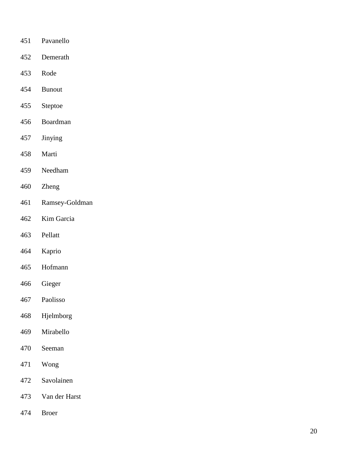- Pavanello
- Demerath
- Rode
- Bunout
- Steptoe
- Boardman
- Jinying
- Marti
- Needham
- Zheng
- Ramsey -Goldman
- Kim Garcia
- Pellatt
- Kaprio
- Hofmann
- Gieger
- Paolisso
- Hjelmborg
- Mirabello
- Seeman
- Wong
- Savolainen
- Van der Harst
- Broer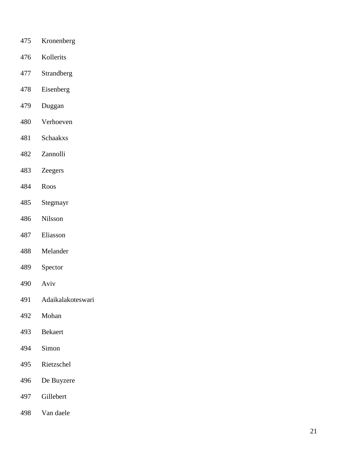- Kronenberg
- Kollerits
- Strandberg
- Eisenberg
- Duggan
- Verhoeven
- Schaakxs
- Zannolli
- Zeegers
- Roos
- Stegmayr
- Nilsson
- Eliasson
- Melander
- Spector
- Aviv
- Adaikalakoteswari
- Mohan
- Bekaert
- Simon
- Rietzschel
- De Buyzere
- Gillebert
- Van daele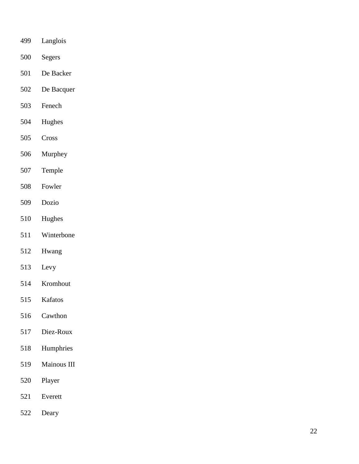- Langlois
- Segers
- De Backer
- De Bacquer
- Fenech
- Hughes
- Cross
- Murphey
- Temple
- Fowler
- Dozio
- Hughes
- Winterbone
- Hwang
- Levy
- Kromhout
- Kafatos
- Cawthon
- Diez -Roux
- Humphries
- Mainous III
- Player
- Everett
- Deary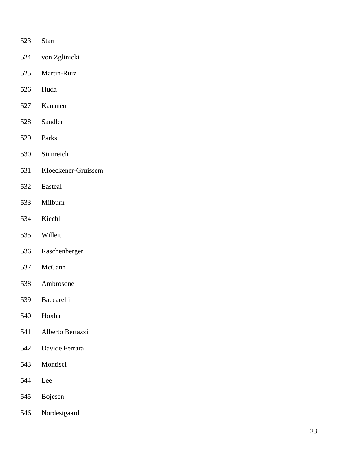- Starr
- von Zglinicki
- Martin -Ruiz
- Huda
- Kananen
- Sandler
- Parks
- Sinnreich
- Kloeckener -Gruissem
- Easteal
- Milburn
- Kiechl
- Willeit
- Raschenberger
- McCann
- Ambrosone
- Baccarelli
- Hoxha
- Alberto Bertazzi
- Davide Ferrara
- Montisci
- Lee
- Bojesen
- Nordestgaard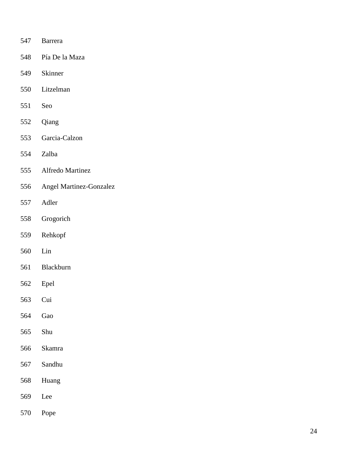- Barrera
- Pía De la Maza
- Skinner
- Litzelman
- Seo
- Qiang
- Garcia -Calzon
- Zalba
- Alfredo Martinez
- Angel Martinez -Gonzalez
- Adler
- Grogorich
- Rehkopf
- Lin
- Blackburn
- Epel
- Cui
- Gao
- Shu
- [Skamra](http://rheumatology.oxfordjournals.org/search?author1=Carly+Skamra&sortspec=date&submit=Submit)
- [Sandhu](http://rheumatology.oxfordjournals.org/search?author1=Alexander+Sandhu&sortspec=date&submit=Submit)
- Huang
- Lee
- [Pope](http://rheumatology.oxfordjournals.org/search?author1=Richard+Pope&sortspec=date&submit=Submit)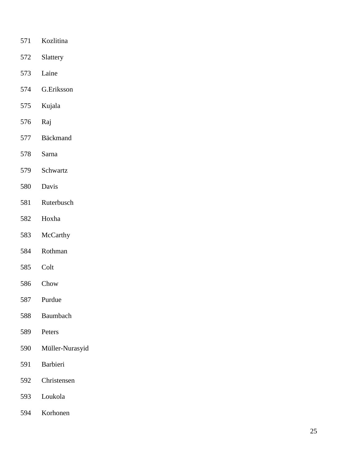- Kozlitina
- Slattery
- Laine
- G.Eriksson
- Kujala
- Raj
- Bäckmand
- Sarna
- Schwartz
- Davis
- Ruterbusch
- Hoxha
- McCarthy
- Rothman
- Colt
- Chow
- Purdue
- Baumbach
- Peters
- Müller -Nurasyid
- Barbieri
- Christensen
- Loukola
- Korhonen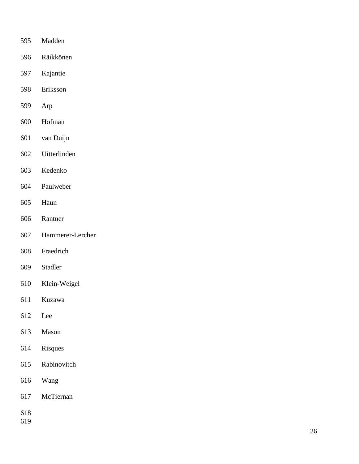- [Madden](http://www.ncbi.nlm.nih.gov/pubmed/?term=Madden%20PA%5Bauth%5D)
- Räikkönen
- Kajantie
- Eriksson
- Arp
- Hofman
- van Duijn
- Uitterlinden
- Kedenko
- Paulweber
- Haun
- Rantner
- Hammerer -Lercher
- Fraedrich
- Stadler
- Klein -Weigel
- Kuzawa
- Lee
- Mason
- Risques
- Rabinovitch
- Wang
- McTiernan
- 
-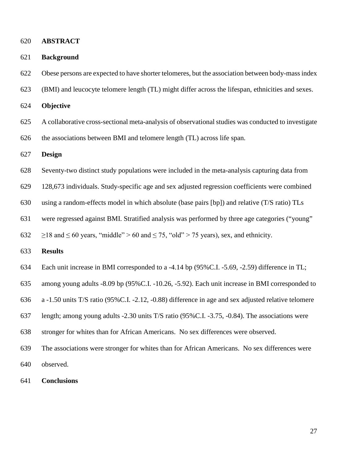**ABSTRACT** 

| 621 | <b>Background</b> |  |
|-----|-------------------|--|
|-----|-------------------|--|

Obese persons are expected to have shorter telomeres, but the association between body-mass index

(BMI) and leucocyte telomere length (TL) might differ across the lifespan, ethnicities and sexes.

**Objective** 

 A collaborative cross-sectional meta-analysis of observational studies was conducted to investigate the associations between BMI and telomere length (TL) across life span.

**Design**

- Seventy-two distinct study populations were included in the meta-analysis capturing data from
- 128,673 individuals. Study-specific age and sex adjusted regression coefficients were combined
- using a random-effects model in which absolute (base pairs [bp]) and relative (T/S ratio) TLs
- were regressed against BMI. Stratified analysis was performed by three age categories ("young"
- 632  $\geq$  18 and  $\leq$  60 years, "middle" > 60 and  $\leq$  75, "old" > 75 years), sex, and ethnicity.
- **Results**
- Each unit increase in BMI corresponded to a -4.14 bp (95%C.I. -5.69, -2.59) difference in TL;
- among young adults -8.09 bp (95%C.I. -10.26, -5.92). Each unit increase in BMI corresponded to
- a -1.50 units T/S ratio (95%C.I. -2.12, -0.88) difference in age and sex adjusted relative telomere
- length; among young adults -2.30 units T/S ratio (95%C.I. -3.75, -0.84). The associations were
- stronger for whites than for African Americans. No sex differences were observed.
- The associations were stronger for whites than for African Americans. No sex differences were observed.
- **Conclusions**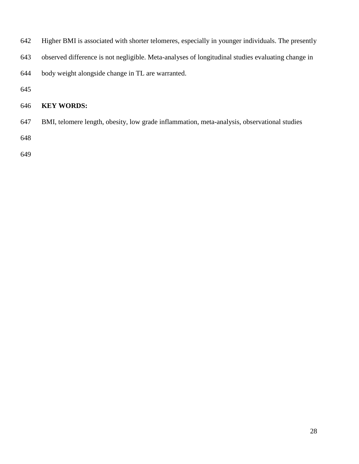- Higher BMI is associated with shorter telomeres, especially in younger individuals. The presently
- observed difference is not negligible. Meta-analyses of longitudinal studies evaluating change in
- body weight alongside change in TL are warranted.
- 

# **KEY WORDS:**

BMI, telomere length, obesity, low grade inflammation, meta-analysis, observational studies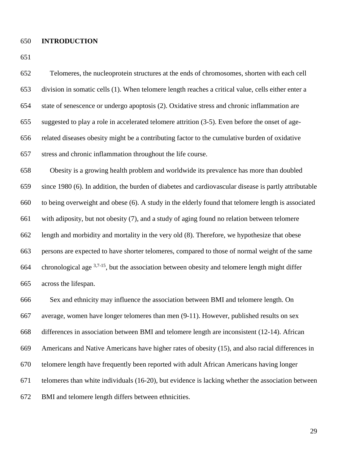#### **INTRODUCTION**

 Telomeres, the nucleoprotein structures at the ends of chromosomes, shorten with each cell division in somatic cells [\(1\)](#page-48-0). When telomere length reaches a critical value, cells either enter a state of senescence or undergo apoptosis [\(2\)](#page-48-1). Oxidative stress and chronic inflammation are suggested to play a role in accelerated telomere attrition [\(3-5\)](#page-48-2). Even before the onset of age- related diseases obesity might be a contributing factor to the cumulative burden of oxidative stress and chronic inflammation throughout the life course. Obesity is a growing health problem and worldwide its prevalence has more than doubled since 1980 [\(6\)](#page-48-3). In addition, the burden of diabetes and cardiovascular disease is partly attributable to being overweight and obese [\(6\)](#page-48-3). A study in the elderly found that telomere length is associated with adiposity, but not obesity [\(7\)](#page-48-4), and a study of aging found no relation between telomere length and morbidity and mortality in the very old [\(8\)](#page-48-5). Therefore, we hypothesize that obese persons are expected to have shorter telomeres, compared to those of normal weight of the same 664 chronological age  $3,7-15$  $3,7-15$ , but the association between obesity and telomere length might differ across the lifespan. Sex and ethnicity may influence the association between BMI and telomere length. On average, women have longer telomeres than men [\(9-11\)](#page-48-6). However, published results on sex differences in association between BMI and telomere length are inconsistent [\(12-14\)](#page-48-7). African Americans and Native Americans have higher rates of obesity [\(15\)](#page-48-8), and also racial differences in telomere length have frequently been reported with adult African Americans having longer

telomeres than white individuals [\(16-20\)](#page-48-9), but evidence is lacking whether the association between

BMI and telomere length differs between ethnicities.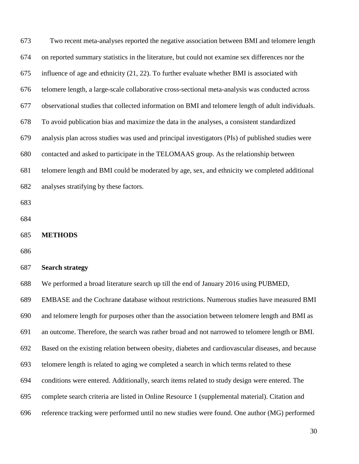| 673 | Two recent meta-analyses reported the negative association between BMI and telomere length        |
|-----|---------------------------------------------------------------------------------------------------|
| 674 | on reported summary statistics in the literature, but could not examine sex differences nor the   |
| 675 | influence of age and ethnicity (21, 22). To further evaluate whether BMI is associated with       |
| 676 | telomere length, a large-scale collaborative cross-sectional meta-analysis was conducted across   |
| 677 | observational studies that collected information on BMI and telomere length of adult individuals. |
| 678 | To avoid publication bias and maximize the data in the analyses, a consistent standardized        |
| 679 | analysis plan across studies was used and principal investigators (PIs) of published studies were |
| 680 | contacted and asked to participate in the TELOMAAS group. As the relationship between             |
| 681 | telomere length and BMI could be moderated by age, sex, and ethnicity we completed additional     |
| 682 | analyses stratifying by these factors.                                                            |
| 683 |                                                                                                   |
| 684 |                                                                                                   |
| 685 | <b>METHODS</b>                                                                                    |
| 686 |                                                                                                   |
| 687 | <b>Search strategy</b>                                                                            |
| 688 | We performed a broad literature search up till the end of January 2016 using PUBMED,              |
| 689 | EMBASE and the Cochrane database without restrictions. Numerous studies have measured BMI         |
| 690 | and telomere length for purposes other than the association between telomere length and BMI as    |
| 691 | an outcome. Therefore, the search was rather broad and not narrowed to telomere length or BMI.    |
| 692 |                                                                                                   |
|     | Based on the existing relation between obesity, diabetes and cardiovascular diseases, and because |
| 693 | telomere length is related to aging we completed a search in which terms related to these         |
| 694 | conditions were entered. Additionally, search items related to study design were entered. The     |
| 695 | complete search criteria are listed in Online Resource 1 (supplemental material). Citation and    |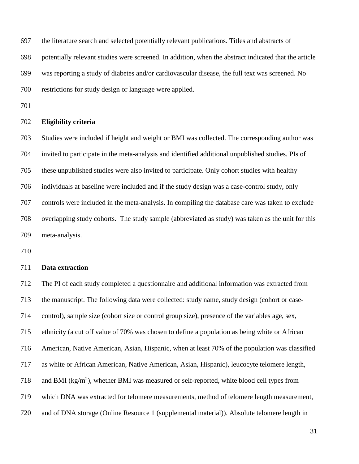the literature search and selected potentially relevant publications. Titles and abstracts of

potentially relevant studies were screened. In addition, when the abstract indicated that the article

was reporting a study of diabetes and/or cardiovascular disease, the full text was screened. No

restrictions for study design or language were applied.

#### **Eligibility criteria**

 Studies were included if height and weight or BMI was collected. The corresponding author was invited to participate in the meta-analysis and identified additional unpublished studies. PIs of these unpublished studies were also invited to participate. Only cohort studies with healthy individuals at baseline were included and if the study design was a case-control study, only controls were included in the meta-analysis. In compiling the database care was taken to exclude overlapping study cohorts. The study sample (abbreviated as study) was taken as the unit for this meta-analysis.

# **Data extraction**

 The PI of each study completed a questionnaire and additional information was extracted from the manuscript. The following data were collected: study name, study design (cohort or case- control), sample size (cohort size or control group size), presence of the variables age, sex, ethnicity (a cut off value of 70% was chosen to define a population as being white or African American, Native American, Asian, Hispanic, when at least 70% of the population was classified as white or African American, Native American, Asian, Hispanic), leucocyte telomere length, 718 and BMI ( $kg/m<sup>2</sup>$ ), whether BMI was measured or self-reported, white blood cell types from which DNA was extracted for telomere measurements, method of telomere length measurement, and of DNA storage (Online Resource 1 (supplemental material)). Absolute telomere length in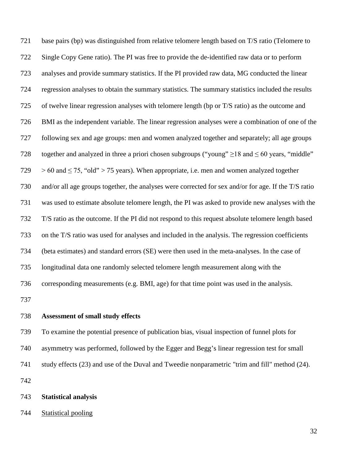base pairs (bp) was distinguished from relative telomere length based on T/S ratio (Telomere to Single Copy Gene ratio). The PI was free to provide the de-identified raw data or to perform analyses and provide summary statistics. If the PI provided raw data, MG conducted the linear regression analyses to obtain the summary statistics. The summary statistics included the results of twelve linear regression analyses with telomere length (bp or T/S ratio) as the outcome and BMI as the independent variable. The linear regression analyses were a combination of one of the following sex and age groups: men and women analyzed together and separately; all age groups 728 together and analyzed in three a priori chosen subgroups ("young"  $\geq$ 18 and  $\leq$  60 years, "middle"  $729 > 60$  and  $\leq 75$ , "old" > 75 years). When appropriate, i.e. men and women analyzed together and/or all age groups together, the analyses were corrected for sex and/or for age. If the T/S ratio was used to estimate absolute telomere length, the PI was asked to provide new analyses with the T/S ratio as the outcome. If the PI did not respond to this request absolute telomere length based on the T/S ratio was used for analyses and included in the analysis. The regression coefficients (beta estimates) and standard errors (SE) were then used in the meta-analyses. In the case of longitudinal data one randomly selected telomere length measurement along with the corresponding measurements (e.g. BMI, age) for that time point was used in the analysis. 

# **Assessment of small study effects**

 To examine the potential presence of publication bias, visual inspection of funnel plots for asymmetry was performed, followed by the Egger and Begg's linear regression test for small study effects [\(23\)](#page-49-2) and use of the Duval and Tweedie nonparametric "trim and fill" method [\(24\)](#page-49-3).

#### **Statistical analysis**

#### Statistical pooling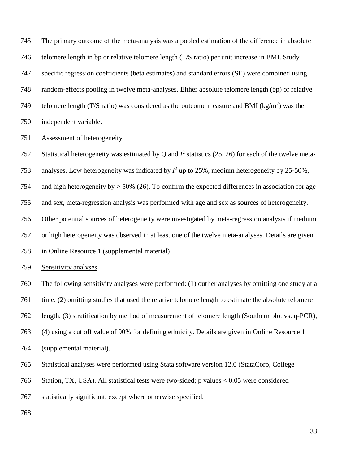The primary outcome of the meta-analysis was a pooled estimation of the difference in absolute telomere length in bp or relative telomere length (T/S ratio) per unit increase in BMI. Study specific regression coefficients (beta estimates) and standard errors (SE) were combined using random-effects pooling in twelve meta-analyses. Either absolute telomere length (bp) or relative 749 telomere length (T/S ratio) was considered as the outcome measure and BMI ( $kg/m<sup>2</sup>$ ) was the independent variable.

### Assessment of heterogeneity

752 Statistical heterogeneity was estimated by Q and  $I^2$  statistics [\(25,](#page-49-4) [26\)](#page-49-5) for each of the twelve meta-

753 analyses. Low heterogeneity was indicated by  $I^2$  up to 25%, medium heterogeneity by 25-50%,

and high heterogeneity by > 50% [\(26\)](#page-49-5). To confirm the expected differences in association for age

and sex, meta-regression analysis was performed with age and sex as sources of heterogeneity.

Other potential sources of heterogeneity were investigated by meta-regression analysis if medium

or high heterogeneity was observed in at least one of the twelve meta-analyses. Details are given

in Online Resource 1 (supplemental material)

#### Sensitivity analyses

The following sensitivity analyses were performed: (1) outlier analyses by omitting one study at a

time, (2) omitting studies that used the relative telomere length to estimate the absolute telomere

length, (3) stratification by method of measurement of telomere length (Southern blot vs. q-PCR),

(4) using a cut off value of 90% for defining ethnicity. Details are given in Online Resource 1

(supplemental material).

Statistical analyses were performed using Stata software version 12.0 (StataCorp, College

Station, TX, USA). All statistical tests were two-sided; p values < 0.05 were considered

statistically significant, except where otherwise specified.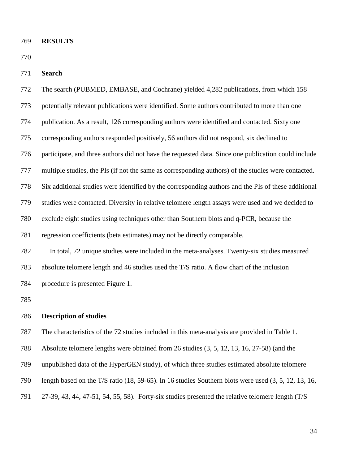**RESULTS**

**Search**

| 772 | The search (PUBMED, EMBASE, and Cochrane) yielded 4,282 publications, from which 158                |
|-----|-----------------------------------------------------------------------------------------------------|
| 773 | potentially relevant publications were identified. Some authors contributed to more than one        |
| 774 | publication. As a result, 126 corresponding authors were identified and contacted. Sixty one        |
| 775 | corresponding authors responded positively, 56 authors did not respond, six declined to             |
| 776 | participate, and three authors did not have the requested data. Since one publication could include |
| 777 | multiple studies, the PIs (if not the same as corresponding authors) of the studies were contacted. |
| 778 | Six additional studies were identified by the corresponding authors and the PIs of these additional |
| 779 | studies were contacted. Diversity in relative telomere length assays were used and we decided to    |
| 780 | exclude eight studies using techniques other than Southern blots and q-PCR, because the             |
| 781 | regression coefficients (beta estimates) may not be directly comparable.                            |
| 782 | In total, 72 unique studies were included in the meta-analyses. Twenty-six studies measured         |
| 783 | absolute telomere length and 46 studies used the T/S ratio. A flow chart of the inclusion           |
| 784 | procedure is presented Figure 1.                                                                    |
| 785 |                                                                                                     |
| 786 | <b>Description of studies</b>                                                                       |
| 787 | The characteristics of the 72 studies included in this meta-analysis are provided in Table 1.       |
|     |                                                                                                     |

Absolute telomere lengths were obtained from 26 studies [\(3,](#page-48-2) [5,](#page-48-10) [12,](#page-48-7) [13,](#page-48-11) [16,](#page-48-9) [27-58\)](#page-49-6) (and the

unpublished data of the HyperGEN study), of which three studies estimated absolute telomere

length based on the T/S ratio [\(18,](#page-49-7) [59-65\)](#page-51-0). In 16 studies Southern blots were used [\(3,](#page-48-2) [5,](#page-48-10) [12,](#page-48-7) [13,](#page-48-11) [16,](#page-48-9)

[27-39,](#page-49-6) [43,](#page-50-0) [44,](#page-50-1) [47-51,](#page-50-2) [54,](#page-51-1) [55,](#page-51-2) [58\)](#page-51-3). Forty-six studies presented the relative telomere length (T/S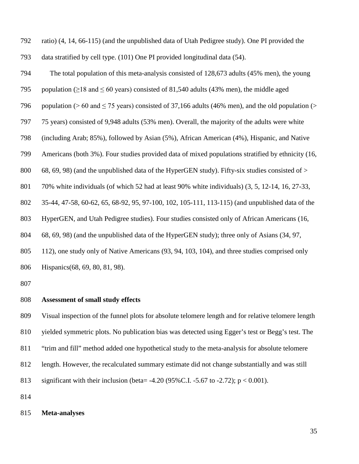ratio) [\(4,](#page-48-12) [14,](#page-48-13) [66-115\)](#page-52-0) (and the unpublished data of Utah Pedigree study). One PI provided the data stratified by cell type. [\(101\)](#page-54-0) One PI provided longitudinal data [\(54\)](#page-51-1). The total population of this meta-analysis consisted of 128,673 adults (45% men), the young 795 population ( $\geq$ 18 and  $\leq$  60 years) consisted of 81,540 adults (43% men), the middle aged 796 population ( $> 60$  and  $\leq$  75 years) consisted of 37,166 adults (46% men), and the old population ( $>$  75 years) consisted of 9,948 adults (53% men). Overall, the majority of the adults were white (including Arab; 85%), followed by Asian (5%), African American (4%), Hispanic, and Native Americans (both 3%). Four studies provided data of mixed populations stratified by ethnicity [\(16,](#page-48-9) [68,](#page-52-1) [69,](#page-52-2) [98\)](#page-54-1) (and the unpublished data of the HyperGEN study). Fifty-six studies consisted of  $>$  70% white individuals (of which 52 had at least 90% white individuals) [\(3,](#page-48-2) [5,](#page-48-10) [12-14,](#page-48-7) [16,](#page-48-9) [27-33,](#page-49-6) [35-44,](#page-50-3) [47-58,](#page-50-2) [60-62,](#page-51-4) [65,](#page-51-5) [68-92,](#page-52-1) [95,](#page-53-0) [97-100,](#page-54-2) [102,](#page-54-3) [105-111,](#page-54-4) [113-115\)](#page-55-0) (and unpublished data of the HyperGEN, and Utah Pedigree studies). Four studies consisted only of African Americans [\(16,](#page-48-9) [68,](#page-52-1) [69,](#page-52-2) [98\)](#page-54-1) (and the unpublished data of the HyperGEN study); three only of Asians [\(34,](#page-50-4) [97,](#page-54-2) [112\)](#page-55-1), one study only of Native Americans [\(93,](#page-53-1) [94,](#page-53-2) [103,](#page-54-5) [104\)](#page-54-6), and three studies comprised only Hispanics[\(68,](#page-52-1) [69,](#page-52-2) [80,](#page-52-3) [81,](#page-52-4) [98\)](#page-54-1).

## **Assessment of small study effects**

 Visual inspection of the funnel plots for absolute telomere length and for relative telomere length yielded symmetric plots. No publication bias was detected using Egger's test or Begg's test. The "trim and fill" method added one hypothetical study to the meta-analysis for absolute telomere length. However, the recalculated summary estimate did not change substantially and was still significant with their inclusion (beta= -4.20 (95%C.I. -5.67 to -2.72); p < 0.001).

#### **Meta-analyses**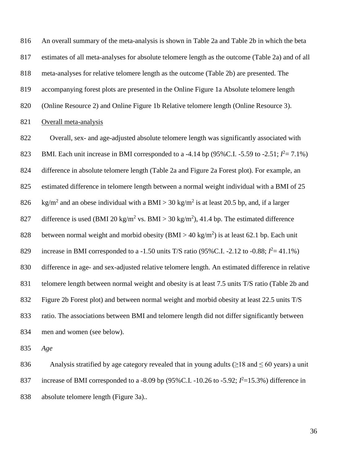An overall summary of the meta-analysis is shown in Table 2a and Table 2b in which the beta estimates of all meta-analyses for absolute telomere length as the outcome (Table 2a) and of all meta-analyses for relative telomere length as the outcome (Table 2b) are presented. The accompanying forest plots are presented in the Online Figure 1a Absolute telomere length (Online Resource 2) and Online Figure 1b Relative telomere length (Online Resource 3). Overall meta-analysis

 Overall, sex- and age-adjusted absolute telomere length was significantly associated with 823 BMI. Each unit increase in BMI corresponded to a -4.14 bp (95% C.I. -5.59 to -2.51;  $I^2 = 7.1\%$ ) difference in absolute telomere length (Table 2a and Figure 2a Forest plot). For example, an estimated difference in telomere length between a normal weight individual with a BMI of 25 826 kg/m<sup>2</sup> and an obese individual with a BMI > 30 kg/m<sup>2</sup> is at least 20.5 bp, and, if a larger 827 difference is used (BMI 20 kg/m<sup>2</sup> vs. BMI > 30 kg/m<sup>2</sup>), 41.4 bp. The estimated difference 828 between normal weight and morbid obesity (BMI > 40 kg/m<sup>2</sup>) is at least 62.1 bp. Each unit 829 increase in BMI corresponded to a -1.50 units T/S ratio (95% C.I. -2.12 to -0.88;  $I^2 = 41.1\%$ ) difference in age- and sex-adjusted relative telomere length. An estimated difference in relative 831 telomere length between normal weight and obesity is at least 7.5 units T/S ratio (Table 2b and Figure 2b Forest plot) and between normal weight and morbid obesity at least 22.5 units T/S ratio. The associations between BMI and telomere length did not differ significantly between men and women (see below).

*Age*

836 Analysis stratified by age category revealed that in young adults ( $\geq$ 18 and  $\leq$  60 years) a unit 837 increase of BMI corresponded to a -8.09 bp (95% C.I. -10.26 to -5.92;  $I^2$ =15.3%) difference in absolute telomere length (Figure 3a)..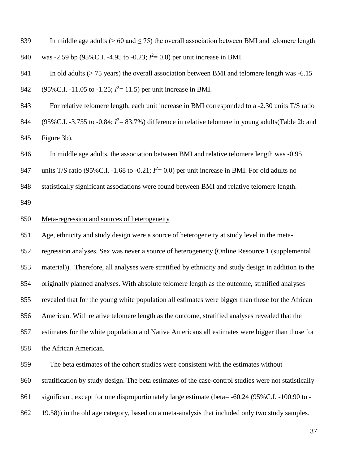839 In middle age adults ( $> 60$  and  $\leq 75$ ) the overall association between BMI and telomere length 840 was -2.59 bp (95% C.I. -4.95 to -0.23;  $I^2 = 0.0$ ) per unit increase in BMI.

841 In old adults ( $> 75$  years) the overall association between BMI and telomere length was -6.15 842 (95% C.I. -11.05 to -1.25;  $l^2$  = 11.5) per unit increase in BMI.

 For relative telomere length, each unit increase in BMI corresponded to a -2.30 units T/S ratio 844 (95%C.I. -3.755 to -0.84;  $I^2 = 83.7$ %) difference in relative telomere in young adults(Table 2b and Figure 3b).

In middle age adults, the association between BMI and relative telomere length was -0.95

847 units T/S ratio (95% C.I. -1.68 to -0.21;  $I^2 = 0.0$ ) per unit increase in BMI. For old adults no

statistically significant associations were found between BMI and relative telomere length.

### Meta-regression and sources of heterogeneity

 Age, ethnicity and study design were a source of heterogeneity at study level in the meta- regression analyses. Sex was never a source of heterogeneity (Online Resource 1 (supplemental material)). Therefore, all analyses were stratified by ethnicity and study design in addition to the originally planned analyses. With absolute telomere length as the outcome, stratified analyses revealed that for the young white population all estimates were bigger than those for the African American. With relative telomere length as the outcome, stratified analyses revealed that the estimates for the white population and Native Americans all estimates were bigger than those for the African American.

 The beta estimates of the cohort studies were consistent with the estimates without stratification by study design. The beta estimates of the case-control studies were not statistically significant, except for one disproportionately large estimate (beta= -60.24 (95%C.I. -100.90 to - 19.58)) in the old age category, based on a meta-analysis that included only two study samples.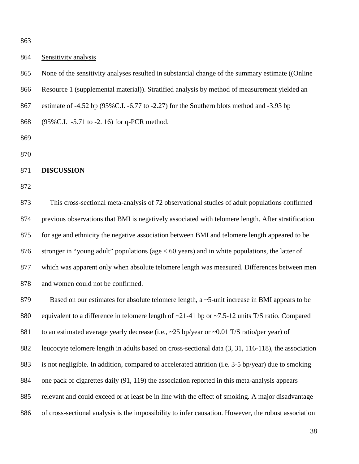### Sensitivity analysis

 None of the sensitivity analyses resulted in substantial change of the summary estimate ((Online Resource 1 (supplemental material)). Stratified analysis by method of measurement yielded an estimate of -4.52 bp (95%C.I. -6.77 to -2.27) for the Southern blots method and -3.93 bp (95%C.I. -5.71 to -2. 16) for q-PCR method.

### **DISCUSSION**

 This cross-sectional meta-analysis of 72 observational studies of adult populations confirmed previous observations that BMI is negatively associated with telomere length. After stratification for age and ethnicity the negative association between BMI and telomere length appeared to be stronger in "young adult" populations (age < 60 years) and in white populations, the latter of which was apparent only when absolute telomere length was measured. Differences between men and women could not be confirmed.

879 Based on our estimates for absolute telomere length, a ~5-unit increase in BMI appears to be 880 equivalent to a difference in telomere length of ~21-41 bp or ~7.5-12 units T/S ratio. Compared 881 to an estimated average yearly decrease (i.e., ~25 bp/year or ~0.01 T/S ratio/per year) of leucocyte telomere length in adults based on cross-sectional data [\(3,](#page-48-0) [31,](#page-49-0) [116-118\)](#page-55-0), the association is not negligible. In addition, compared to accelerated attrition (i.e. 3-5 bp/year) due to smoking one pack of cigarettes daily [\(91,](#page-53-0) [119\)](#page-55-1) the association reported in this meta-analysis appears relevant and could exceed or at least be in line with the effect of smoking. A major disadvantage of cross-sectional analysis is the impossibility to infer causation. However, the robust association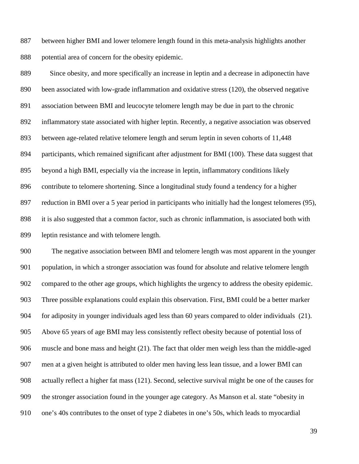between higher BMI and lower telomere length found in this meta-analysis highlights another potential area of concern for the obesity epidemic.

 Since obesity, and more specifically an increase in leptin and a decrease in adiponectin have been associated with low-grade inflammation and oxidative stress [\(120\)](#page-55-2), the observed negative association between BMI and leucocyte telomere length may be due in part to the chronic inflammatory state associated with higher leptin. Recently, a negative association was observed between age-related relative telomere length and serum leptin in seven cohorts of 11,448 participants, which remained significant after adjustment for BMI [\(100\)](#page-54-0). These data suggest that beyond a high BMI, especially via the increase in leptin, inflammatory conditions likely contribute to telomere shortening. Since a longitudinal study found a tendency for a higher reduction in BMI over a 5 year period in participants who initially had the longest telomeres [\(95\)](#page-53-1), it is also suggested that a common factor, such as chronic inflammation, is associated both with leptin resistance and with telomere length.

 The negative association between BMI and telomere length was most apparent in the younger population, in which a stronger association was found for absolute and relative telomere length compared to the other age groups, which highlights the urgency to address the obesity epidemic. Three possible explanations could explain this observation. First, BMI could be a better marker for adiposity in younger individuals aged less than 60 years compared to older individuals [\(21\)](#page-49-1). Above 65 years of age BMI may less consistently reflect obesity because of potential loss of muscle and bone mass and height [\(21\)](#page-49-1). The fact that older men weigh less than the middle-aged men at a given height is attributed to older men having less lean tissue, and a lower BMI can actually reflect a higher fat mass [\(121\)](#page-55-3). Second, selective survival might be one of the causes for the stronger association found in the younger age category. As Manson et al. state "obesity in one's 40s contributes to the onset of type 2 diabetes in one's 50s, which leads to myocardial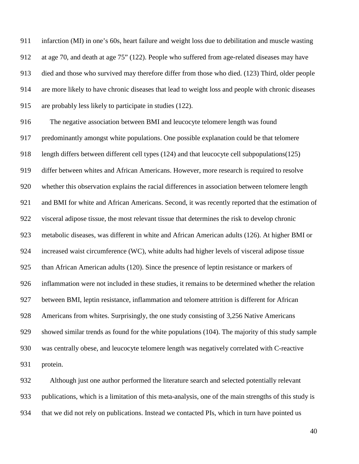infarction (MI) in one's 60s, heart failure and weight loss due to debilitation and muscle wasting at age 70, and death at age 75" [\(122\)](#page-55-4). People who suffered from age-related diseases may have died and those who survived may therefore differ from those who died. [\(123\)](#page-55-5) Third, older people are more likely to have chronic diseases that lead to weight loss and people with chronic diseases are probably less likely to participate in studies [\(122\)](#page-55-4).

 The negative association between BMI and leucocyte telomere length was found predominantly amongst white populations. One possible explanation could be that telomere length differs between different cell types [\(124\)](#page-55-6) and that leucocyte cell subpopulations[\(125\)](#page-55-7) differ between whites and African Americans. However, more research is required to resolve whether this observation explains the racial differences in association between telomere length 921 and BMI for white and African Americans. Second, it was recently reported that the estimation of visceral adipose tissue, the most relevant tissue that determines the risk to develop chronic metabolic diseases, was different in white and African American adults [\(126\)](#page-56-0). At higher BMI or increased waist circumference (WC), white adults had higher levels of visceral adipose tissue than African American adults [\(120\)](#page-55-2). Since the presence of leptin resistance or markers of inflammation were not included in these studies, it remains to be determined whether the relation between BMI, leptin resistance, inflammation and telomere attrition is different for African Americans from whites. Surprisingly, the one study consisting of 3,256 Native Americans showed similar trends as found for the white populations [\(104\)](#page-54-1). The majority of this study sample was centrally obese, and leucocyte telomere length was negatively correlated with C-reactive protein.

 Although just one author performed the literature search and selected potentially relevant publications, which is a limitation of this meta-analysis, one of the main strengths of this study is that we did not rely on publications. Instead we contacted PIs, which in turn have pointed us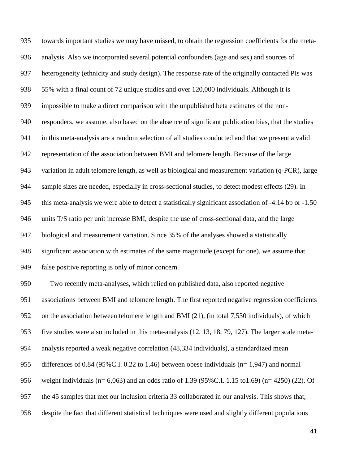towards important studies we may have missed, to obtain the regression coefficients for the meta- analysis. Also we incorporated several potential confounders (age and sex) and sources of heterogeneity (ethnicity and study design). The response rate of the originally contacted PIs was 55% with a final count of 72 unique studies and over 120,000 individuals. Although it is impossible to make a direct comparison with the unpublished beta estimates of the non- responders, we assume, also based on the absence of significant publication bias, that the studies in this meta-analysis are a random selection of all studies conducted and that we present a valid representation of the association between BMI and telomere length. Because of the large variation in adult telomere length, as well as biological and measurement variation (q-PCR), large sample sizes are needed, especially in cross-sectional studies, to detect modest effects [\(29\)](#page-49-2). In 945 this meta-analysis we were able to detect a statistically significant association of -4.14 bp or -1.50 units T/S ratio per unit increase BMI, despite the use of cross-sectional data, and the large biological and measurement variation. Since 35% of the analyses showed a statistically significant association with estimates of the same magnitude (except for one), we assume that false positive reporting is only of minor concern. Two recently meta-analyses, which relied on published data, also reported negative associations between BMI and telomere length. The first reported negative regression coefficients on the association between telomere length and BMI [\(21\)](#page-49-1), (in total 7,530 individuals), of which five studies were also included in this meta-analysis [\(12,](#page-48-1) [13,](#page-48-2) [18,](#page-49-3) [79,](#page-52-0) [127\)](#page-56-1). The larger scale meta- analysis reported a weak negative correlation (48,334 individuals), a standardized mean differences of 0.84 (95%C.I. 0.22 to 1.46) between obese individuals (n= 1,947) and normal weight individuals (n= 6,063) and an odds ratio of 1.39 (95%C.I. 1.15 to1.69) (n= 4250) [\(22\)](#page-49-4). Of the 45 samples that met our inclusion criteria 33 collaborated in our analysis. This shows that, despite the fact that different statistical techniques were used and slightly different populations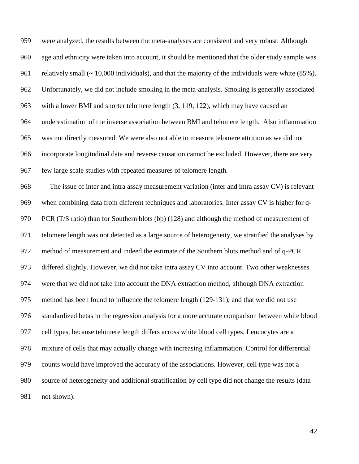were analyzed, the results between the meta-analyses are consistent and very robust. Although age and ethnicity were taken into account, it should be mentioned that the older study sample was 961 relatively small (~ 10,000 individuals), and that the majority of the individuals were white (85%). Unfortunately, we did not include smoking in the meta-analysis. Smoking is generally associated with a lower BMI and shorter telomere length [\(3,](#page-48-0) [119,](#page-55-1) [122\)](#page-55-4), which may have caused an underestimation of the inverse association between BMI and telomere length. Also inflammation was not directly measured. We were also not able to measure telomere attrition as we did not incorporate longitudinal data and reverse causation cannot be excluded. However, there are very few large scale studies with repeated measures of telomere length. The issue of inter and intra assay measurement variation (inter and intra assay CV) is relevant when combining data from different techniques and laboratories. Inter assay CV is higher for q-970 PCR (T/S ratio) than for Southern blots (bp) [\(128\)](#page-56-2) and although the method of measurement of telomere length was not detected as a large source of heterogeneity, we stratified the analyses by method of measurement and indeed the estimate of the Southern blots method and of q-PCR differed slightly. However, we did not take intra assay CV into account. Two other weaknesses

were that we did not take into account the DNA extraction method, although DNA extraction

method has been found to influence the telomere length [\(129-131\)](#page-56-3), and that we did not use

standardized betas in the regression analysis for a more accurate comparison between white blood

cell types, because telomere length differs across white blood cell types. Leucocytes are a

counts would have improved the accuracy of the associations. However, cell type was not a

mixture of cells that may actually change with increasing inflammation. Control for differential

source of heterogeneity and additional stratification by cell type did not change the results (data

not shown).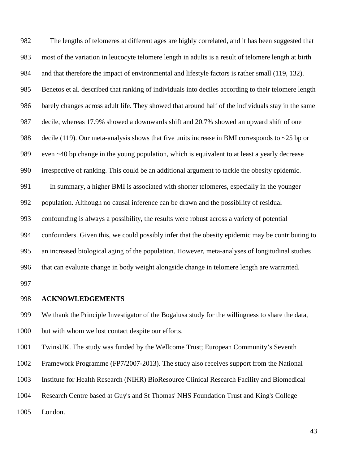The lengths of telomeres at different ages are highly correlated, and it has been suggested that most of the variation in leucocyte telomere length in adults is a result of telomere length at birth and that therefore the impact of environmental and lifestyle factors is rather small [\(119,](#page-55-1) [132\)](#page-56-4). Benetos et al. described that ranking of individuals into deciles according to their telomere length barely changes across adult life. They showed that around half of the individuals stay in the same decile, whereas 17.9% showed a downwards shift and 20.7% showed an upward shift of one 988 decile [\(119\)](#page-55-1). Our meta-analysis shows that five units increase in BMI corresponds to ~25 bp or 989 even ~40 bp change in the young population, which is equivalent to at least a yearly decrease irrespective of ranking. This could be an additional argument to tackle the obesity epidemic. In summary, a higher BMI is associated with shorter telomeres, especially in the younger population. Although no causal inference can be drawn and the possibility of residual confounding is always a possibility, the results were robust across a variety of potential confounders. Given this, we could possibly infer that the obesity epidemic may be contributing to an increased biological aging of the population. However, meta-analyses of longitudinal studies that can evaluate change in body weight alongside change in telomere length are warranted. 

### **ACKNOWLEDGEMENTS**

 We thank the Principle Investigator of the Bogalusa study for the willingness to share the data, but with whom we lost contact despite our efforts.

TwinsUK. The study was funded by the Wellcome Trust; European Community's Seventh

Framework Programme (FP7/2007-2013). The study also receives support from the National

- Institute for Health Research (NIHR) BioResource Clinical Research Facility and Biomedical
- Research Centre based at Guy's and St Thomas' NHS Foundation Trust and King's College
- London.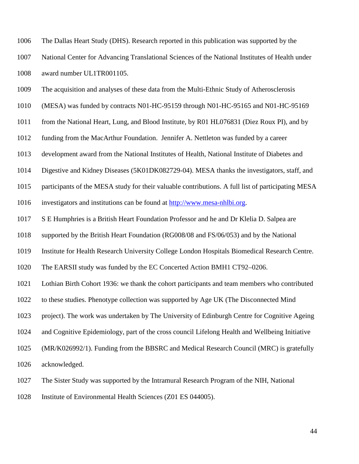The Dallas Heart Study (DHS). Research reported in this publication was supported by the National Center for Advancing Translational Sciences of the National Institutes of Health under award number UL1TR001105.

The acquisition and analyses of these data from the Multi-Ethnic Study of Atherosclerosis

(MESA) was funded by contracts N01-HC-95159 through N01-HC-95165 and N01-HC-95169

from the National Heart, Lung, and Blood Institute, by R01 HL076831 (Diez Roux PI), and by

funding from the MacArthur Foundation. Jennifer A. Nettleton was funded by a career

development award from the National Institutes of Health, National Institute of Diabetes and

Digestive and Kidney Diseases (5K01DK082729-04). MESA thanks the investigators, staff, and

participants of the MESA study for their valuable contributions. A full list of participating MESA

investigators and institutions can be found at [http://www.mesa-nhlbi.org.](https://webmail.uth.tmc.edu/owa/redir.aspx?C=AzDiCQVtREq2DJf3pEz53_X_ynpqgdIIeOPqhXLHj4Xi4L_-A6sKtdII2LK4oKTBT16WsRb_Cks.&URL=http%3a%2f%2fwww.mesa-nhlbi.org%2f)

S E Humphries is a British Heart Foundation Professor and he and Dr Klelia D. Salpea are

supported by the British Heart Foundation (RG008/08 and FS/06/053) and by the National

Institute for Health Research University College London Hospitals Biomedical Research Centre.

The EARSII study was funded by the EC Concerted Action BMH1 CT92–0206.

Lothian Birth Cohort 1936: we thank the cohort participants and team members who contributed

to these studies. Phenotype collection was supported by Age UK (The Disconnected Mind

project). The work was undertaken by The University of Edinburgh Centre for Cognitive Ageing

and Cognitive Epidemiology, part of the cross council Lifelong Health and Wellbeing Initiative

(MR/K026992/1). Funding from the BBSRC and Medical Research Council (MRC) is gratefully

acknowledged.

The Sister Study was supported by the Intramural Research Program of the NIH, National

Institute of Environmental Health Sciences (Z01 ES 044005).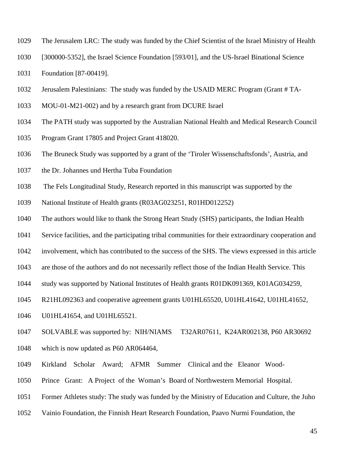- The Jerusalem LRC: The study was funded by the Chief Scientist of the Israel Ministry of Health
- [300000-5352], the Israel Science Foundation [593/01], and the US-Israel Binational Science
- Foundation [87-00419].
- Jerusalem Palestinians: The study was funded by the USAID MERC Program (Grant # TA-
- MOU-01-M21-002) and by a research grant from DCURE Israel
- The PATH study was supported by the Australian National Health and Medical Research Council
- Program Grant 17805 and Project Grant 418020.
- The Bruneck Study was supported by a grant of the 'Tiroler Wissenschaftsfonds', Austria, and
- the Dr. Johannes und Hertha Tuba Foundation
- The Fels Longitudinal Study, Research reported in this manuscript was supported by the
- National Institute of Health grants (R03AG023251, R01HD012252)
- The authors would like to thank the Strong Heart Study (SHS) participants, the Indian Health
- Service facilities, and the participating tribal communities for their extraordinary cooperation and
- involvement, which has contributed to the success of the SHS. The views expressed in this article
- are those of the authors and do not necessarily reflect those of the Indian Health Service. This
- study was supported by National Institutes of Health grants R01DK091369, K01AG034259,
- R21HL092363 and cooperative agreement grants U01HL65520, U01HL41642, U01HL41652,
- U01HL41654, and U01HL65521.
- SOLVABLE was supported by: NIH/NIAMS T32AR07611, K24AR002138, P60 AR30692
- which is now updated as P60 AR064464,
- Kirkland Scholar Award; AFMR Summer Clinical and the Eleanor Wood-
- Prince Grant: A Project of the Woman's Board of Northwestern Memorial Hospital.
- Former Athletes study: The study was funded by the Ministry of Education and Culture, the Juho
- Vainio Foundation, the Finnish Heart Research Foundation, Paavo Nurmi Foundation, the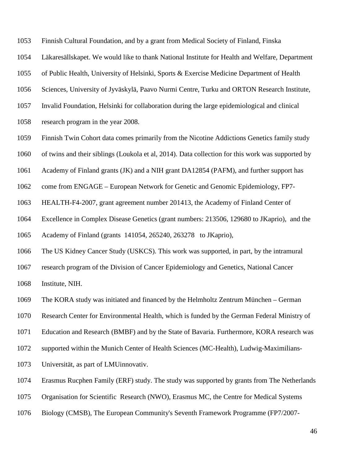Finnish Cultural Foundation, and by a grant from Medical Society of Finland, Finska

Läkaresällskapet. We would like to thank National Institute for Health and Welfare, Department

of Public Health, University of Helsinki, Sports & Exercise Medicine Department of Health

Sciences, University of Jyväskylä, Paavo Nurmi Centre, Turku and ORTON Research Institute,

Invalid Foundation, Helsinki for collaboration during the large epidemiological and clinical

research program in the year 2008.

Finnish Twin Cohort data comes primarily from the Nicotine Addictions Genetics family study

of twins and their siblings (Loukola et al, 2014). Data collection for this work was supported by

Academy of Finland grants (JK) and a NIH grant DA12854 (PAFM), and further support has

come from ENGAGE – European Network for Genetic and Genomic Epidemiology, FP7-

HEALTH-F4-2007, grant agreement number 201413, the Academy of Finland Center of

Excellence in Complex Disease Genetics (grant numbers: 213506, 129680 to JKaprio), and the

Academy of Finland (grants 141054, 265240, 263278 to JKaprio),

The US Kidney Cancer Study (USKCS). This work was supported, in part, by the intramural

research program of the Division of Cancer Epidemiology and Genetics, National Cancer

Institute, NIH.

The KORA study was initiated and financed by the Helmholtz Zentrum München – German

Research Center for Environmental Health, which is funded by the German Federal Ministry of

Education and Research (BMBF) and by the State of Bavaria. Furthermore, KORA research was

supported within the Munich Center of Health Sciences (MC-Health), Ludwig-Maximilians-

Universität, as part of LMUinnovativ.

Erasmus Rucphen Family (ERF) study. The study was supported by grants from The Netherlands

Organisation for Scientific Research (NWO), Erasmus MC, the Centre for Medical Systems

Biology (CMSB), The European Community's Seventh Framework Programme (FP7/2007-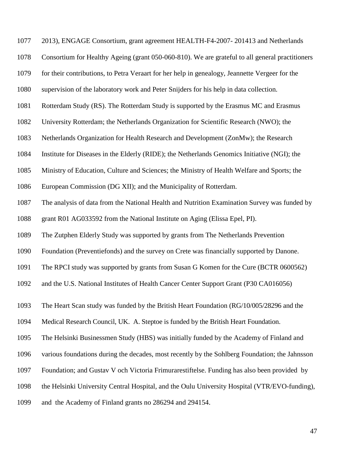| 1077 | 2013), ENGAGE Consortium, grant agreement HEALTH-F4-2007-201413 and Netherlands                 |
|------|-------------------------------------------------------------------------------------------------|
| 1078 | Consortium for Healthy Ageing (grant 050-060-810). We are grateful to all general practitioners |
| 1079 | for their contributions, to Petra Veraart for her help in genealogy, Jeannette Vergeer for the  |
| 1080 | supervision of the laboratory work and Peter Snijders for his help in data collection.          |
| 1081 | Rotterdam Study (RS). The Rotterdam Study is supported by the Erasmus MC and Erasmus            |
| 1082 | University Rotterdam; the Netherlands Organization for Scientific Research (NWO); the           |
| 1083 | Netherlands Organization for Health Research and Development (ZonMw); the Research              |
| 1084 | Institute for Diseases in the Elderly (RIDE); the Netherlands Genomics Initiative (NGI); the    |
| 1085 | Ministry of Education, Culture and Sciences; the Ministry of Health Welfare and Sports; the     |
| 1086 | European Commission (DG XII); and the Municipality of Rotterdam.                                |
| 1087 | The analysis of data from the National Health and Nutrition Examination Survey was funded by    |
| 1088 | grant R01 AG033592 from the National Institute on Aging (Elissa Epel, PI).                      |
| 1089 | The Zutphen Elderly Study was supported by grants from The Netherlands Prevention               |
| 1090 | Foundation (Preventiefonds) and the survey on Crete was financially supported by Danone.        |
| 1091 | The RPCI study was supported by grants from Susan G Komen for the Cure (BCTR 0600562)           |
| 1092 | and the U.S. National Institutes of Health Cancer Center Support Grant (P30 CA016056)           |
| 1093 | The Heart Scan study was funded by the British Heart Foundation (RG/10/005/28296 and the        |
| 1094 | Medical Research Council, UK. A. Steptoe is funded by the British Heart Foundation.             |
| 1095 | The Helsinki Businessmen Study (HBS) was initially funded by the Academy of Finland and         |
| 1096 | various foundations during the decades, most recently by the Sohlberg Foundation; the Jahnsson  |
| 1097 | Foundation; and Gustav V och Victoria Frimurarestiftelse. Funding has also been provided by     |
| 1098 | the Helsinki University Central Hospital, and the Oulu University Hospital (VTR/EVO-funding),   |
| 1099 | and the Academy of Finland grants no 286294 and 294154.                                         |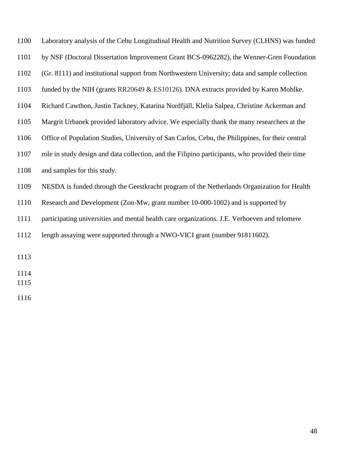| 1100 | Laboratory analysis of the Cebu Longitudinal Health and Nutrition Survey (CLHNS) was funded      |
|------|--------------------------------------------------------------------------------------------------|
| 1101 | by NSF (Doctoral Dissertation Improvement Grant BCS-0962282), the Wenner-Gren Foundation         |
| 1102 | (Gr. 8111) and institutional support from Northwestern University; data and sample collection    |
| 1103 | funded by the NIH (grants RR20649 $&$ ES10126). DNA extracts provided by Karen Mohlke.           |
| 1104 | Richard Cawthon, Justin Tackney, Katarina Nordfjäll, Klelia Salpea, Christine Ackerman and       |
| 1105 | Margrit Urbanek provided laboratory advice. We especially thank the many researchers at the      |
| 1106 | Office of Population Studies, University of San Carlos, Cebu, the Philippines, for their central |
| 1107 | role in study design and data collection, and the Filipino participants, who provided their time |
| 1108 | and samples for this study.                                                                      |
| 1109 | NESDA is funded through the Geestkracht program of the Netherlands Organization for Health       |
| 1110 | Research and Development (Zon-Mw, grant number 10-000-1002) and is supported by                  |
| 1111 | participating universities and mental health care organizations. J.E. Verhoeven and telomere     |
| 1112 | length assaying were supported through a NWO-VICI grant (number 91811602).                       |
| 1113 |                                                                                                  |
| 1114 |                                                                                                  |
| 1115 |                                                                                                  |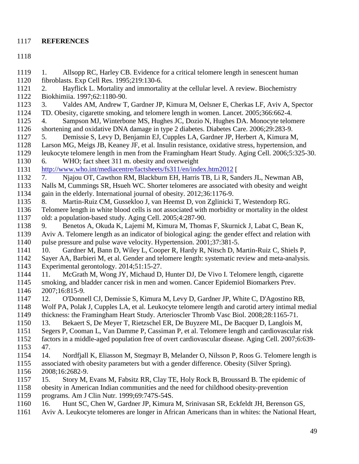## <span id="page-48-6"></span><span id="page-48-3"></span>**REFERENCES**

<span id="page-48-8"></span><span id="page-48-7"></span><span id="page-48-5"></span><span id="page-48-4"></span><span id="page-48-2"></span><span id="page-48-1"></span><span id="page-48-0"></span> 1. Allsopp RC, Harley CB. Evidence for a critical telomere length in senescent human fibroblasts. Exp Cell Res. 1995;219:130-6. 2. Hayflick L. Mortality and immortality at the cellular level. A review. Biochemistry Biokhimiia. 1997;62:1180-90. 3. Valdes AM, Andrew T, Gardner JP, Kimura M, Oelsner E, Cherkas LF, Aviv A, Spector TD. Obesity, cigarette smoking, and telomere length in women. Lancet. 2005;366:662-4. 4. Sampson MJ, Winterbone MS, Hughes JC, Dozio N, Hughes DA. Monocyte telomere shortening and oxidative DNA damage in type 2 diabetes. Diabetes Care. 2006;29:283-9. 5. Demissie S, Levy D, Benjamin EJ, Cupples LA, Gardner JP, Herbert A, Kimura M, Larson MG, Meigs JB, Keaney JF, et al. Insulin resistance, oxidative stress, hypertension, and leukocyte telomere length in men from the Framingham Heart Study. Aging Cell. 2006;5:325-30. 6. WHO; fact sheet 311 m. obesity and overweight <http://www.who.int/mediacentre/factsheets/fs311/en/index.htm2012> [ 7. Njajou OT, Cawthon RM, Blackburn EH, Harris TB, Li R, Sanders JL, Newman AB, Nalls M, Cummings SR, Hsueh WC. Shorter telomeres are associated with obesity and weight gain in the elderly. International journal of obesity. 2012;36:1176-9. 8. Martin-Ruiz CM, Gussekloo J, van Heemst D, von Zglinicki T, Westendorp RG. Telomere length in white blood cells is not associated with morbidity or mortality in the oldest old: a population-based study. Aging Cell. 2005;4:287-90. 9. Benetos A, Okuda K, Lajemi M, Kimura M, Thomas F, Skurnick J, Labat C, Bean K, Aviv A. Telomere length as an indicator of biological aging: the gender effect and relation with pulse pressure and pulse wave velocity. Hypertension. 2001;37:381-5. 1141 10. Gardner M, Bann D, Wiley L, Cooper R, Hardy R, Nitsch D, Martin-Ruiz C, Shiels P, 1142 Saver AA, Barbieri M, et al. Gender and telomere length: systematic review and meta-analysis Sayer AA, Barbieri M, et al. Gender and telomere length: systematic review and meta-analysis. Experimental gerontology. 2014;51:15-27. 11. McGrath M, Wong JY, Michaud D, Hunter DJ, De Vivo I. Telomere length, cigarette smoking, and bladder cancer risk in men and women. Cancer Epidemiol Biomarkers Prev. 2007;16:815-9. 12. O'Donnell CJ, Demissie S, Kimura M, Levy D, Gardner JP, White C, D'Agostino RB, Wolf PA, Polak J, Cupples LA, et al. Leukocyte telomere length and carotid artery intimal medial thickness: the Framingham Heart Study. Arterioscler Thromb Vasc Biol. 2008;28:1165-71. 13. Bekaert S, De Meyer T, Rietzschel ER, De Buyzere ML, De Bacquer D, Langlois M, Segers P, Cooman L, Van Damme P, Cassiman P, et al. Telomere length and cardiovascular risk factors in a middle-aged population free of overt cardiovascular disease. Aging Cell. 2007;6:639- 47. 14. Nordfjall K, Eliasson M, Stegmayr B, Melander O, Nilsson P, Roos G. Telomere length is associated with obesity parameters but with a gender difference. Obesity (Silver Spring). 2008;16:2682-9. 15. Story M, Evans M, Fabsitz RR, Clay TE, Holy Rock B, Broussard B. The epidemic of obesity in American Indian communities and the need for childhood obesity-prevention programs. Am J Clin Nutr. 1999;69:747S-54S. 16. Hunt SC, Chen W, Gardner JP, Kimura M, Srinivasan SR, Eckfeldt JH, Berenson GS, Aviv A. Leukocyte telomeres are longer in African Americans than in whites: the National Heart,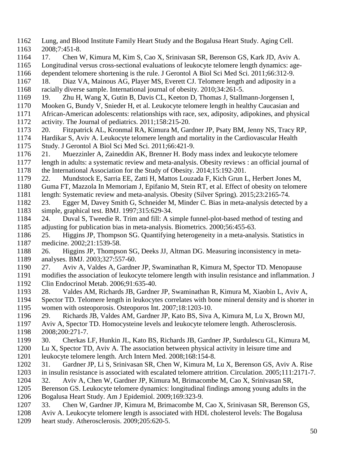- <span id="page-49-7"></span>Lung, and Blood Institute Family Heart Study and the Bogalusa Heart Study. Aging Cell.
- 2008;7:451-8.
- 17. Chen W, Kimura M, Kim S, Cao X, Srinivasan SR, Berenson GS, Kark JD, Aviv A.
- Longitudinal versus cross-sectional evaluations of leukocyte telomere length dynamics: age-
- dependent telomere shortening is the rule. J Gerontol A Biol Sci Med Sci. 2011;66:312-9.
- <span id="page-49-3"></span> 18. Diaz VA, Mainous AG, Player MS, Everett CJ. Telomere length and adiposity in a racially diverse sample. International journal of obesity. 2010;34:261-5.
- 19. Zhu H, Wang X, Gutin B, Davis CL, Keeton D, Thomas J, Stallmann-Jorgensen I,
- Mooken G, Bundy V, Snieder H, et al. Leukocyte telomere length in healthy Caucasian and
- African-American adolescents: relationships with race, sex, adiposity, adipokines, and physical 1172 activity. The Journal of pediatrics. 2011;158:215-20.<br>1173 20. Fitzpatrick AL. Kronmal RA. Kimura M. Gar
- 20. Fitzpatrick AL, Kronmal RA, Kimura M, Gardner JP, Psaty BM, Jenny NS, Tracy RP,
- Hardikar S, Aviv A. Leukocyte telomere length and mortality in the Cardiovascular Health Study. J Gerontol A Biol Sci Med Sci. 2011;66:421-9.
- <span id="page-49-1"></span>21. Muezzinler A, Zaineddin AK, Brenner H. Body mass index and leukocyte telomere
- <span id="page-49-5"></span>length in adults: a systematic review and meta-analysis. Obesity reviews : an official journal of
- the International Association for the Study of Obesity. 2014;15:192-201.
- <span id="page-49-4"></span>22. Mundstock E, Sarria EE, Zatti H, Mattos Louzada F, Kich Grun L, Herbert Jones M,
- Guma FT, Mazzola In Memoriam J, Epifanio M, Stein RT, et al. Effect of obesity on telomere length: Systematic review and meta-analysis. Obesity (Silver Spring). 2015;23:2165-74.
- 23. Egger M, Davey Smith G, Schneider M, Minder C. Bias in meta-analysis detected by a simple, graphical test. BMJ. 1997;315:629-34.
- 24. Duval S, Tweedie R. Trim and fill: A simple funnel-plot-based method of testing and adjusting for publication bias in meta-analysis. Biometrics. 2000;56:455-63.
- 25. Higgins JP, Thompson SG. Quantifying heterogeneity in a meta-analysis. Statistics in medicine. 2002;21:1539-58.
- <span id="page-49-6"></span> 26. Higgins JP, Thompson SG, Deeks JJ, Altman DG. Measuring inconsistency in meta-analyses. BMJ. 2003;327:557-60.
- 27. Aviv A, Valdes A, Gardner JP, Swaminathan R, Kimura M, Spector TD. Menopause
- modifies the association of leukocyte telomere length with insulin resistance and inflammation. J Clin Endocrinol Metab. 2006;91:635-40.
- 28. Valdes AM, Richards JB, Gardner JP, Swaminathan R, Kimura M, Xiaobin L, Aviv A,
- Spector TD. Telomere length in leukocytes correlates with bone mineral density and is shorter in women with osteoporosis. Osteoporos Int. 2007;18:1203-10.
- <span id="page-49-2"></span>29. Richards JB, Valdes AM, Gardner JP, Kato BS, Siva A, Kimura M, Lu X, Brown MJ,
- Aviv A, Spector TD. Homocysteine levels and leukocyte telomere length. Atherosclerosis. 2008;200:271-7.
- 30. Cherkas LF, Hunkin JL, Kato BS, Richards JB, Gardner JP, Surdulescu GL, Kimura M, Lu X, Spector TD, Aviv A. The association between physical activity in leisure time and
- leukocyte telomere length. Arch Intern Med. 2008;168:154-8.
- <span id="page-49-0"></span> 31. Gardner JP, Li S, Srinivasan SR, Chen W, Kimura M, Lu X, Berenson GS, Aviv A. Rise in insulin resistance is associated with escalated telomere attrition. Circulation. 2005;111:2171-7.
- 32. Aviv A, Chen W, Gardner JP, Kimura M, Brimacombe M, Cao X, Srinivasan SR,
- Berenson GS. Leukocyte telomere dynamics: longitudinal findings among young adults in the
- Bogalusa Heart Study. Am J Epidemiol. 2009;169:323-9.
- 33. Chen W, Gardner JP, Kimura M, Brimacombe M, Cao X, Srinivasan SR, Berenson GS,
- Aviv A. Leukocyte telomere length is associated with HDL cholesterol levels: The Bogalusa
- heart study. Atherosclerosis. 2009;205:620-5.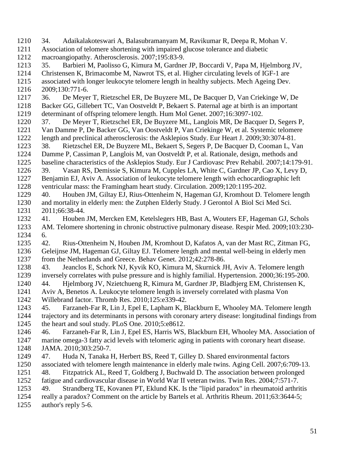<span id="page-50-8"></span><span id="page-50-7"></span><span id="page-50-6"></span><span id="page-50-5"></span><span id="page-50-4"></span><span id="page-50-3"></span><span id="page-50-2"></span><span id="page-50-1"></span><span id="page-50-0"></span> 34. Adaikalakoteswari A, Balasubramanyam M, Ravikumar R, Deepa R, Mohan V. Association of telomere shortening with impaired glucose tolerance and diabetic macroangiopathy. Atherosclerosis. 2007;195:83-9. 35. Barbieri M, Paolisso G, Kimura M, Gardner JP, Boccardi V, Papa M, Hjelmborg JV, Christensen K, Brimacombe M, Nawrot TS, et al. Higher circulating levels of IGF-1 are associated with longer leukocyte telomere length in healthy subjects. Mech Ageing Dev. 2009;130:771-6. 36. De Meyer T, Rietzschel ER, De Buyzere ML, De Bacquer D, Van Criekinge W, De Backer GG, Gillebert TC, Van Oostveldt P, Bekaert S. Paternal age at birth is an important determinant of offspring telomere length. Hum Mol Genet. 2007;16:3097-102. 1220 37. De Meyer T, Rietzschel ER, De Buyzere ML, Langlois MR, De Bacquer D, Segers P, 1221 Van Damme P, De Backer GG, Van Oostveldt P, Van Criekinge W, et al. Systemic telomere Van Damme P, De Backer GG, Van Oostveldt P, Van Criekinge W, et al. Systemic telomere length and preclinical atherosclerosis: the Asklepios Study. Eur Heart J. 2009;30:3074-81. 38. Rietzschel ER, De Buyzere ML, Bekaert S, Segers P, De Bacquer D, Cooman L, Van Damme P, Cassiman P, Langlois M, van Oostveldt P, et al. Rationale, design, methods and baseline characteristics of the Asklepios Study. Eur J Cardiovasc Prev Rehabil. 2007;14:179-91. 39. Vasan RS, Demissie S, Kimura M, Cupples LA, White C, Gardner JP, Cao X, Levy D, Benjamin EJ, Aviv A. Association of leukocyte telomere length with echocardiographic left ventricular mass: the Framingham heart study. Circulation. 2009;120:1195-202. 40. Houben JM, Giltay EJ, Rius-Ottenheim N, Hageman GJ, Kromhout D. Telomere length and mortality in elderly men: the Zutphen Elderly Study. J Gerontol A Biol Sci Med Sci. 2011;66:38-44. 41. Houben JM, Mercken EM, Ketelslegers HB, Bast A, Wouters EF, Hageman GJ, Schols AM. Telomere shortening in chronic obstructive pulmonary disease. Respir Med. 2009;103:230- 6. 42. Rius-Ottenheim N, Houben JM, Kromhout D, Kafatos A, van der Mast RC, Zitman FG, Geleijnse JM, Hageman GJ, Giltay EJ. Telomere length and mental well-being in elderly men from the Netherlands and Greece. Behav Genet. 2012;42:278-86. 43. Jeanclos E, Schork NJ, Kyvik KO, Kimura M, Skurnick JH, Aviv A. Telomere length inversely correlates with pulse pressure and is highly familial. Hypertension. 2000;36:195-200. 44. Hjelmborg JV, Nzietchueng R, Kimura M, Gardner JP, Bladbjerg EM, Christensen K, Aviv A, Benetos A. Leukocyte telomere length is inversely correlated with plasma Von Willebrand factor. Thromb Res. 2010;125:e339-42. 45. Farzaneh-Far R, Lin J, Epel E, Lapham K, Blackburn E, Whooley MA. Telomere length trajectory and its determinants in persons with coronary artery disease: longitudinal findings from the heart and soul study. PLoS One. 2010;5:e8612. 46. Farzaneh-Far R, Lin J, Epel ES, Harris WS, Blackburn EH, Whooley MA. Association of marine omega-3 fatty acid levels with telomeric aging in patients with coronary heart disease. JAMA. 2010;303:250-7. 47. Huda N, Tanaka H, Herbert BS, Reed T, Gilley D. Shared environmental factors associated with telomere length maintenance in elderly male twins. Aging Cell. 2007;6:709-13. 48. Fitzpatrick AL, Reed T, Goldberg J, Buchwald D. The association between prolonged fatigue and cardiovascular disease in World War II veteran twins. Twin Res. 2004;7:571-7. 49. Strandberg TE, Kovanen PT, Eklund KK. Is the "lipid paradox" in rheumatoid arthritis really a paradox? Comment on the article by Bartels et al. Arthritis Rheum. 2011;63:3644-5;

<span id="page-50-12"></span><span id="page-50-11"></span><span id="page-50-10"></span><span id="page-50-9"></span>author's reply 5-6.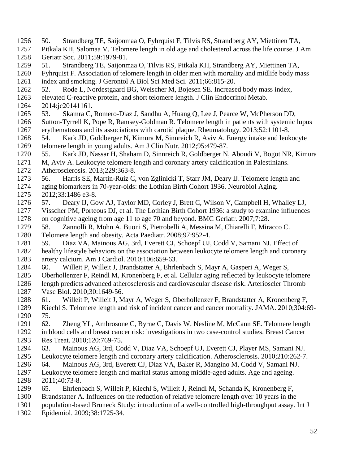<span id="page-51-13"></span><span id="page-51-12"></span><span id="page-51-11"></span><span id="page-51-10"></span><span id="page-51-9"></span><span id="page-51-8"></span><span id="page-51-7"></span><span id="page-51-6"></span><span id="page-51-5"></span><span id="page-51-4"></span><span id="page-51-3"></span><span id="page-51-2"></span><span id="page-51-1"></span><span id="page-51-0"></span> 50. Strandberg TE, Saijonmaa O, Fyhrquist F, Tilvis RS, Strandberg AY, Miettinen TA, Pitkala KH, Salomaa V. Telomere length in old age and cholesterol across the life course. J Am Geriatr Soc. 2011;59:1979-81. 51. Strandberg TE, Saijonmaa O, Tilvis RS, Pitkala KH, Strandberg AY, Miettinen TA, Fyhrquist F. Association of telomere length in older men with mortality and midlife body mass index and smoking. J Gerontol A Biol Sci Med Sci. 2011;66:815-20. 52. Rode L, Nordestgaard BG, Weischer M, Bojesen SE. Increased body mass index, elevated C-reactive protein, and short telomere length. J Clin Endocrinol Metab. 2014:jc20141161. 53. Skamra C, Romero-Diaz J, Sandhu A, Huang Q, Lee J, Pearce W, McPherson DD, Sutton-Tyrrell K, Pope R, Ramsey-Goldman R. Telomere length in patients with systemic lupus erythematosus and its associations with carotid plaque. Rheumatology. 2013;52:1101-8. 54. Kark JD, Goldberger N, Kimura M, Sinnreich R, Aviv A. Energy intake and leukocyte telomere length in young adults. Am J Clin Nutr. 2012;95:479-87. 55. Kark JD, Nassar H, Shaham D, Sinnreich R, Goldberger N, Aboudi V, Bogot NR, Kimura M, Aviv A. Leukocyte telomere length and coronary artery calcification in Palestinians. Atherosclerosis. 2013;229:363-8. 56. Harris SE, Martin-Ruiz C, von Zglinicki T, Starr JM, Deary IJ. Telomere length and aging biomarkers in 70-year-olds: the Lothian Birth Cohort 1936. Neurobiol Aging. 2012;33:1486 e3-8. 57. Deary IJ, Gow AJ, Taylor MD, Corley J, Brett C, Wilson V, Campbell H, Whalley LJ, Visscher PM, Porteous DJ, et al. The Lothian Birth Cohort 1936: a study to examine influences on cognitive ageing from age 11 to age 70 and beyond. BMC Geriatr. 2007;7:28. 58. Zannolli R, Mohn A, Buoni S, Pietrobelli A, Messina M, Chiarelli F, Miracco C. Telomere length and obesity. Acta Paediatr. 2008;97:952-4. 59. Diaz VA, Mainous AG, 3rd, Everett CJ, Schoepf UJ, Codd V, Samani NJ. Effect of healthy lifestyle behaviors on the association between leukocyte telomere length and coronary artery calcium. Am J Cardiol. 2010;106:659-63. 60. Willeit P, Willeit J, Brandstatter A, Ehrlenbach S, Mayr A, Gasperi A, Weger S, Oberhollenzer F, Reindl M, Kronenberg F, et al. Cellular aging reflected by leukocyte telomere length predicts advanced atherosclerosis and cardiovascular disease risk. Arterioscler Thromb Vasc Biol. 2010;30:1649-56. 61. Willeit P, Willeit J, Mayr A, Weger S, Oberhollenzer F, Brandstatter A, Kronenberg F, Kiechl S. Telomere length and risk of incident cancer and cancer mortality. JAMA. 2010;304:69- 75. 62. Zheng YL, Ambrosone C, Byrne C, Davis W, Nesline M, McCann SE. Telomere length in blood cells and breast cancer risk: investigations in two case-control studies. Breast Cancer Res Treat. 2010;120:769-75. 63. Mainous AG, 3rd, Codd V, Diaz VA, Schoepf UJ, Everett CJ, Player MS, Samani NJ. Leukocyte telomere length and coronary artery calcification. Atherosclerosis. 2010;210:262-7. 64. Mainous AG, 3rd, Everett CJ, Diaz VA, Baker R, Mangino M, Codd V, Samani NJ. Leukocyte telomere length and marital status among middle-aged adults. Age and ageing. 2011;40:73-8. 65. Ehrlenbach S, Willeit P, Kiechl S, Willeit J, Reindl M, Schanda K, Kronenberg F, Brandstatter A. Influences on the reduction of relative telomere length over 10 years in the population-based Bruneck Study: introduction of a well-controlled high-throughput assay. Int J Epidemiol. 2009;38:1725-34.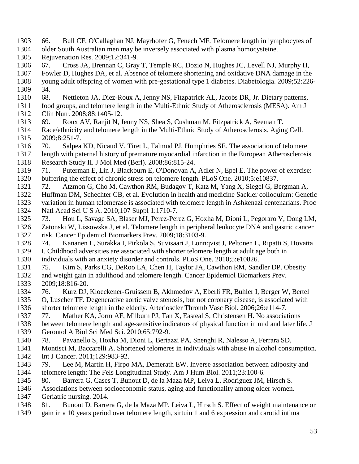- <span id="page-52-3"></span><span id="page-52-2"></span><span id="page-52-1"></span> 66. Bull CF, O'Callaghan NJ, Mayrhofer G, Fenech MF. Telomere length in lymphocytes of older South Australian men may be inversely associated with plasma homocysteine.
- Rejuvenation Res. 2009;12:341-9.
- <span id="page-52-4"></span>67. Cross JA, Brennan C, Gray T, Temple RC, Dozio N, Hughes JC, Levell NJ, Murphy H,
- <span id="page-52-5"></span> Fowler D, Hughes DA, et al. Absence of telomere shortening and oxidative DNA damage in the young adult offspring of women with pre-gestational type 1 diabetes. Diabetologia. 2009;52:226- 34.
- 68. Nettleton JA, Diez-Roux A, Jenny NS, Fitzpatrick AL, Jacobs DR, Jr. Dietary patterns,
- <span id="page-52-6"></span> food groups, and telomere length in the Multi-Ethnic Study of Atherosclerosis (MESA). Am J Clin Nutr. 2008;88:1405-12.
- 1313 69. Roux AV, Ranjit N, Jenny NS, Shea S, Cushman M, Fitzpatrick A, Seeman T.<br>1314 Race/ethnicity and telomere length in the Multi-Ethnic Study of Atherosclerosis. Agin
- <span id="page-52-7"></span>Race/ethnicity and telomere length in the Multi-Ethnic Study of Atherosclerosis. Aging Cell. 2009;8:251-7.
- 70. Salpea KD, Nicaud V, Tiret L, Talmud PJ, Humphries SE. The association of telomere length with paternal history of premature myocardial infarction in the European Atherosclerosis
- <span id="page-52-8"></span>Research Study II. J Mol Med (Berl). 2008;86:815-24.
- 71. Puterman E, Lin J, Blackburn E, O'Donovan A, Adler N, Epel E. The power of exercise: buffering the effect of chronic stress on telomere length. PLoS One. 2010;5:e10837.
- <span id="page-52-9"></span>72. Atzmon G, Cho M, Cawthon RM, Budagov T, Katz M, Yang X, Siegel G, Bergman A,
- Huffman DM, Schechter CB, et al. Evolution in health and medicine Sackler colloquium: Genetic variation in human telomerase is associated with telomere length in Ashkenazi centenarians. Proc Natl Acad Sci U S A. 2010;107 Suppl 1:1710-7.
- <span id="page-52-10"></span>73. Hou L, Savage SA, Blaser MJ, Perez-Perez G, Hoxha M, Dioni L, Pegoraro V, Dong LM,
- Zatonski W, Lissowska J, et al. Telomere length in peripheral leukocyte DNA and gastric cancer risk. Cancer Epidemiol Biomarkers Prev. 2009;18:3103-9.
- <span id="page-52-11"></span> 74. Kananen L, Surakka I, Pirkola S, Suvisaari J, Lonnqvist J, Peltonen L, Ripatti S, Hovatta I. Childhood adversities are associated with shorter telomere length at adult age both in individuals with an anxiety disorder and controls. PLoS One. 2010;5:e10826.
- <span id="page-52-12"></span>75. Kim S, Parks CG, DeRoo LA, Chen H, Taylor JA, Cawthon RM, Sandler DP. Obesity
- <span id="page-52-13"></span> and weight gain in adulthood and telomere length. Cancer Epidemiol Biomarkers Prev. 2009;18:816-20.
- 76. Kurz DJ, Kloeckener-Gruissem B, Akhmedov A, Eberli FR, Buhler I, Berger W, Bertel
- <span id="page-52-14"></span>O, Luscher TF. Degenerative aortic valve stenosis, but not coronary disease, is associated with
- shorter telomere length in the elderly. Arterioscler Thromb Vasc Biol. 2006;26:e114-7.
- 77. Mather KA, Jorm AF, Milburn PJ, Tan X, Easteal S, Christensen H. No associations
- between telomere length and age-sensitive indicators of physical function in mid and later life. J Gerontol A Biol Sci Med Sci. 2010;65:792-9.
- 78. Pavanello S, Hoxha M, Dioni L, Bertazzi PA, Snenghi R, Nalesso A, Ferrara SD,
- Montisci M, Baccarelli A. Shortened telomeres in individuals with abuse in alcohol consumption. 1342 Int J Cancer. 2011;129:983-92.
- <span id="page-52-0"></span> 79. Lee M, Martin H, Firpo MA, Demerath EW. Inverse association between adiposity and telomere length: The Fels Longitudinal Study. Am J Hum Biol. 2011;23:100-6.
- 80. Barrera G, Cases T, Bunout D, de la Maza MP, Leiva L, Rodriguez JM, Hirsch S.
- Associations between socioeconomic status, aging and functionality among older women.
- Geriatric nursing. 2014.
- 81. Bunout D, Barrera G, de la Maza MP, Leiva L, Hirsch S. Effect of weight maintenance or
- gain in a 10 years period over telomere length, sirtuin 1 and 6 expression and carotid intima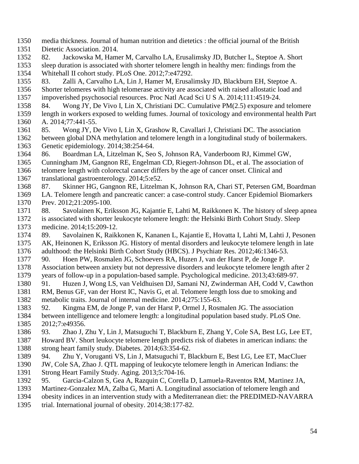- <span id="page-53-5"></span><span id="page-53-4"></span><span id="page-53-3"></span><span id="page-53-2"></span> media thickness. Journal of human nutrition and dietetics : the official journal of the British Dietetic Association. 2014.
- <span id="page-53-6"></span>82. Jackowska M, Hamer M, Carvalho LA, Erusalimsky JD, Butcher L, Steptoe A. Short
- sleep duration is associated with shorter telomere length in healthy men: findings from the Whitehall II cohort study. PLoS One. 2012;7:e47292.
- <span id="page-53-7"></span>83. Zalli A, Carvalho LA, Lin J, Hamer M, Erusalimsky JD, Blackburn EH, Steptoe A.
- Shorter telomeres with high telomerase activity are associated with raised allostatic load and impoverished psychosocial resources. Proc Natl Acad Sci U S A. 2014;111:4519-24.
- <span id="page-53-8"></span>84. Wong JY, De Vivo I, Lin X, Christiani DC. Cumulative PM(2.5) exposure and telomere
- length in workers exposed to welding fumes. Journal of toxicology and environmental health Part A. 2014;77:441-55.
- <span id="page-53-9"></span> 85. Wong JY, De Vivo I, Lin X, Grashow R, Cavallari J, Christiani DC. The association between global DNA methylation and telomere length in a longitudinal study of boilermakers. Genetic epidemiology. 2014;38:254-64.
- <span id="page-53-10"></span>86. Boardman LA, Litzelman K, Seo S, Johnson RA, Vanderboom RJ, Kimmel GW,
- Cunningham JM, Gangnon RE, Engelman CD, Riegert-Johnson DL, et al. The association of
- telomere length with colorectal cancer differs by the age of cancer onset. Clinical and translational gastroenterology. 2014;5:e52.
- 87. Skinner HG, Gangnon RE, Litzelman K, Johnson RA, Chari ST, Petersen GM, Boardman
- LA. Telomere length and pancreatic cancer: a case-control study. Cancer Epidemiol Biomarkers Prev. 2012;21:2095-100.
- 88. Savolainen K, Eriksson JG, Kajantie E, Lahti M, Raikkonen K. The history of sleep apnea is associated with shorter leukocyte telomere length: the Helsinki Birth Cohort Study. Sleep medicine. 2014;15:209-12.
- <span id="page-53-11"></span> 89. Savolainen K, Raikkonen K, Kananen L, Kajantie E, Hovatta I, Lahti M, Lahti J, Pesonen AK, Heinonen K, Eriksson JG. History of mental disorders and leukocyte telomere length in late adulthood: the Helsinki Birth Cohort Study (HBCS). J Psychiatr Res. 2012;46:1346-53.
- <span id="page-53-12"></span>90. Hoen PW, Rosmalen JG, Schoevers RA, Huzen J, van der Harst P, de Jonge P.
- Association between anxiety but not depressive disorders and leukocyte telomere length after 2 years of follow-up in a population-based sample. Psychological medicine. 2013;43:689-97.
- <span id="page-53-13"></span><span id="page-53-0"></span> 91. Huzen J, Wong LS, van Veldhuisen DJ, Samani NJ, Zwinderman AH, Codd V, Cawthon RM, Benus GF, van der Horst IC, Navis G, et al. Telomere length loss due to smoking and metabolic traits. Journal of internal medicine. 2014;275:155-63.
- 92. Kingma EM, de Jonge P, van der Harst P, Ormel J, Rosmalen JG. The association between intelligence and telomere length: a longitudinal population based study. PLoS One. 2012;7:e49356.
- 93. Zhao J, Zhu Y, Lin J, Matsuguchi T, Blackburn E, Zhang Y, Cole SA, Best LG, Lee ET, Howard BV. Short leukocyte telomere length predicts risk of diabetes in american indians: the strong heart family study. Diabetes. 2014;63:354-62.
- 94. Zhu Y, Voruganti VS, Lin J, Matsuguchi T, Blackburn E, Best LG, Lee ET, MacCluer
- JW, Cole SA, Zhao J. QTL mapping of leukocyte telomere length in American Indians: the Strong Heart Family Study. Aging. 2013;5:704-16.
- <span id="page-53-1"></span>95. Garcia-Calzon S, Gea A, Razquin C, Corella D, Lamuela-Raventos RM, Martinez JA,
- Martinez-Gonzalez MA, Zalba G, Marti A. Longitudinal association of telomere length and
- obesity indices in an intervention study with a Mediterranean diet: the PREDIMED-NAVARRA
- trial. International journal of obesity. 2014;38:177-82.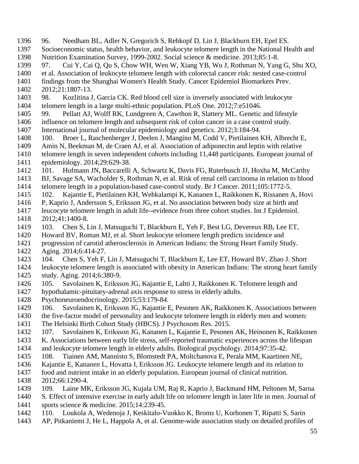<span id="page-54-12"></span><span id="page-54-11"></span><span id="page-54-10"></span><span id="page-54-5"></span><span id="page-54-4"></span><span id="page-54-3"></span><span id="page-54-2"></span><span id="page-54-1"></span><span id="page-54-0"></span> Socioeconomic status, health behavior, and leukocyte telomere length in the National Health and Nutrition Examination Survey, 1999-2002. Social science & medicine. 2013;85:1-8. 97. Cui Y, Cai Q, Qu S, Chow WH, Wen W, Xiang YB, Wu J, Rothman N, Yang G, Shu XO, et al. Association of leukocyte telomere length with colorectal cancer risk: nested case-control findings from the Shanghai Women's Health Study. Cancer Epidemiol Biomarkers Prev. 2012;21:1807-13. 98. Kozlitina J, Garcia CK. Red blood cell size is inversely associated with leukocyte telomere length in a large multi-ethnic population. PLoS One. 2012;7:e51046. 99. Pellatt AJ, Wolff RK, Lundgreen A, Cawthon R, Slattery ML. Genetic and lifestyle influence on telomere length and subsequent risk of colon cancer in a case control study. International journal of molecular epidemiology and genetics. 2012;3:184-94. 100. Broer L, Raschenberger J, Deelen J, Mangino M, Codd V, Pietilainen KH, Albrecht E, Amin N, Beekman M, de Craen AJ, et al. Association of adiponectin and leptin with relative telomere length in seven independent cohorts including 11,448 participants. European journal of epidemiology. 2014;29:629-38. 101. Hofmann JN, Baccarelli A, Schwartz K, Davis FG, Ruterbusch JJ, Hoxha M, McCarthy BJ, Savage SA, Wacholder S, Rothman N, et al. Risk of renal cell carcinoma in relation to blood telomere length in a population-based case-control study. Br J Cancer. 2011;105:1772-5. 102. Kajantie E, Pietilainen KH, Wehkalampi K, Kananen L, Raikkonen K, Rissanen A, Hovi P, Kaprio J, Andersson S, Eriksson JG, et al. No association between body size at birth and leucocyte telomere length in adult life--evidence from three cohort studies. Int J Epidemiol. 2012;41:1400-8. 103. Chen S, Lin J, Matsuguchi T, Blackburn E, Yeh F, Best LG, Devereux RB, Lee ET, Howard BV, Roman MJ, et al. Short leukocyte telomere length predicts incidence and progression of carotid atherosclerosis in American Indians: the Strong Heart Family Study. Aging. 2014;6:414-27. 104. Chen S, Yeh F, Lin J, Matsuguchi T, Blackburn E, Lee ET, Howard BV, Zhao J. Short leukocyte telomere length is associated with obesity in American Indians: The strong heart family study. Aging. 2014;6:380-9. 105. Savolainen K, Eriksson JG, Kajantie E, Lahti J, Raikkonen K. Telomere length and hypothalamic-pituitary-adrenal axis response to stress in elderly adults. Psychoneuroendocrinology. 2015;53:179-84. 106. Savolainen K, Eriksson JG, Kajantie E, Pesonen AK, Raikkonen K. Associations between the five-factor model of personality and leukocyte telomere length in elderly men and women: The Helsinki Birth Cohort Study (HBCS). J Psychosom Res. 2015. 107. Savolainen K, Eriksson JG, Kananen L, Kajantie E, Pesonen AK, Heinonen K, Raikkonen K. Associations between early life stress, self-reported traumatic experiences across the lifespan and leukocyte telomere length in elderly adults. Biological psychology. 2014;97:35-42. 108. Tiainen AM, Mannisto S, Blomstedt PA, Moltchanova E, Perala MM, Kaartinen NE, Kajantie E, Kananen L, Hovatta I, Eriksson JG. Leukocyte telomere length and its relation to food and nutrient intake in an elderly population. European journal of clinical nutrition. 2012;66:1290-4. 109. Laine MK, Eriksson JG, Kujala UM, Raj R, Kaprio J, Backmand HM, Peltonen M, Sarna S. Effect of intensive exercise in early adult life on telomere length in later life in men. Journal of 1441 sports science & medicine. 2015;14:239-45.<br>1442 110. Loukola A. Wedenoia J. Keskitalo-V 110. Loukola A, Wedenoja J, Keskitalo-Vuokko K, Broms U, Korhonen T, Ripatti S, Sarin AP, Pitkaniemi J, He L, Happola A, et al. Genome-wide association study on detailed profiles of

<span id="page-54-13"></span><span id="page-54-9"></span><span id="page-54-8"></span><span id="page-54-7"></span><span id="page-54-6"></span>96. Needham BL, Adler N, Gregorich S, Rehkopf D, Lin J, Blackburn EH, Epel ES.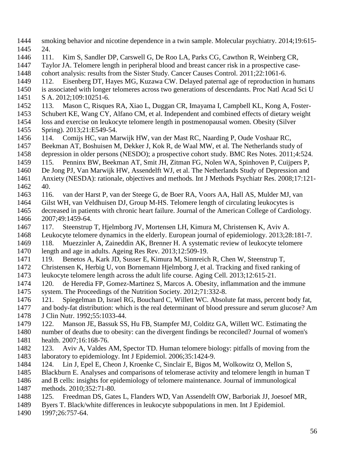- <span id="page-55-11"></span><span id="page-55-10"></span><span id="page-55-9"></span><span id="page-55-8"></span> smoking behavior and nicotine dependence in a twin sample. Molecular psychiatry. 2014;19:615- 24.
- <span id="page-55-12"></span>111. Kim S, Sandler DP, Carswell G, De Roo LA, Parks CG, Cawthon R, Weinberg CR,
- Taylor JA. Telomere length in peripheral blood and breast cancer risk in a prospective case-
- cohort analysis: results from the Sister Study. Cancer Causes Control. 2011;22:1061-6.
- 112. Eisenberg DT, Hayes MG, Kuzawa CW. Delayed paternal age of reproduction in humans
- is associated with longer telomeres across two generations of descendants. Proc Natl Acad Sci U
- S A. 2012;109:10251-6.
- 113. Mason C, Risques RA, Xiao L, Duggan CR, Imayama I, Campbell KL, Kong A, Foster-
- Schubert KE, Wang CY, Alfano CM, et al. Independent and combined effects of dietary weight
- loss and exercise on leukocyte telomere length in postmenopausal women. Obesity (Silver Spring). 2013;21:E549-54.
- 114. Comijs HC, van Marwijk HW, van der Mast RC, Naarding P, Oude Voshaar RC,
- Beekman AT, Boshuisen M, Dekker J, Kok R, de Waal MW, et al. The Netherlands study of
- depression in older persons (NESDO); a prospective cohort study. BMC Res Notes. 2011;4:524.
- 115. Penninx BW, Beekman AT, Smit JH, Zitman FG, Nolen WA, Spinhoven P, Cuijpers P,
- De Jong PJ, Van Marwijk HW, Assendelft WJ, et al. The Netherlands Study of Depression and
- Anxiety (NESDA): rationale, objectives and methods. Int J Methods Psychiatr Res. 2008;17:121- 40.
- <span id="page-55-0"></span> 116. van der Harst P, van der Steege G, de Boer RA, Voors AA, Hall AS, Mulder MJ, van Gilst WH, van Veldhuisen DJ, Group M-HS. Telomere length of circulating leukocytes is
- decreased in patients with chronic heart failure. Journal of the American College of Cardiology. 2007;49:1459-64.
- 117. Steenstrup T, Hjelmborg JV, Mortensen LH, Kimura M, Christensen K, Aviv A.
- Leukocyte telomere dynamics in the elderly. European journal of epidemiology. 2013;28:181-7.
- 118. Muezzinler A, Zaineddin AK, Brenner H. A systematic review of leukocyte telomere
- length and age in adults. Ageing Res Rev. 2013;12:509-19.
- <span id="page-55-1"></span>119. Benetos A, Kark JD, Susser E, Kimura M, Sinnreich R, Chen W, Steenstrup T,
- Christensen K, Herbig U, von Bornemann Hjelmborg J, et al. Tracking and fixed ranking of leukocyte telomere length across the adult life course. Aging Cell. 2013;12:615-21.
- <span id="page-55-2"></span> 120. de Heredia FP, Gomez-Martinez S, Marcos A. Obesity, inflammation and the immune system. The Proceedings of the Nutrition Society. 2012;71:332-8.
- <span id="page-55-3"></span>121. Spiegelman D, Israel RG, Bouchard C, Willett WC. Absolute fat mass, percent body fat,
- and body-fat distribution: which is the real determinant of blood pressure and serum glucose? Am J Clin Nutr. 1992;55:1033-44.
- <span id="page-55-4"></span> 122. Manson JE, Bassuk SS, Hu FB, Stampfer MJ, Colditz GA, Willett WC. Estimating the number of deaths due to obesity: can the divergent findings be reconciled? Journal of women's
- health. 2007;16:168-76.
- <span id="page-55-5"></span> 123. Aviv A, Valdes AM, Spector TD. Human telomere biology: pitfalls of moving from the 1483 laboratory to epidemiology. Int J Epidemiol. 2006;35:1424-9.
- <span id="page-55-6"></span>124. Lin J, Epel E, Cheon J, Kroenke C, Sinclair E, Bigos M, Wolkowitz O, Mellon S,
- Blackburn E. Analyses and comparisons of telomerase activity and telomere length in human T
- and B cells: insights for epidemiology of telomere maintenance. Journal of immunological methods. 2010;352:71-80.
- <span id="page-55-7"></span>125. Freedman DS, Gates L, Flanders WD, Van Assendelft OW, Barboriak JJ, Joesoef MR,
- Byers T. Black/white differences in leukocyte subpopulations in men. Int J Epidemiol.
- 1997;26:757-64.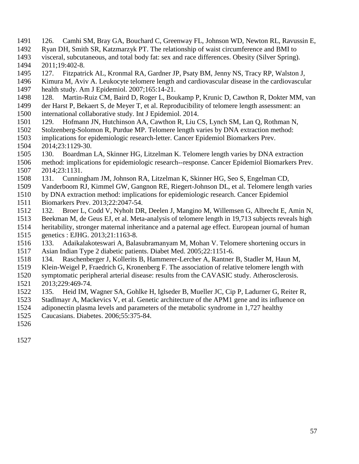- <span id="page-56-0"></span>126. Camhi SM, Bray GA, Bouchard C, Greenway FL, Johnson WD, Newton RL, Ravussin E,
- Ryan DH, Smith SR, Katzmarzyk PT. The relationship of waist circumference and BMI to
- visceral, subcutaneous, and total body fat: sex and race differences. Obesity (Silver Spring). 2011;19:402-8.
- <span id="page-56-1"></span>127. Fitzpatrick AL, Kronmal RA, Gardner JP, Psaty BM, Jenny NS, Tracy RP, Walston J,
- Kimura M, Aviv A. Leukocyte telomere length and cardiovascular disease in the cardiovascular
- health study. Am J Epidemiol. 2007;165:14-21.
- <span id="page-56-2"></span>128. Martin-Ruiz CM, Baird D, Roger L, Boukamp P, Krunic D, Cawthon R, Dokter MM, van
- der Harst P, Bekaert S, de Meyer T, et al. Reproducibility of telomere length assessment: an international collaborative study. Int J Epidemiol. 2014.
- <span id="page-56-3"></span>129. Hofmann JN, Hutchinson AA, Cawthon R, Liu CS, Lynch SM, Lan Q, Rothman N,
- Stolzenberg-Solomon R, Purdue MP. Telomere length varies by DNA extraction method:
- <span id="page-56-5"></span> implications for epidemiologic research-letter. Cancer Epidemiol Biomarkers Prev. 2014;23:1129-30.
- <span id="page-56-6"></span>130. Boardman LA, Skinner HG, Litzelman K. Telomere length varies by DNA extraction
- method: implications for epidemiologic research--response. Cancer Epidemiol Biomarkers Prev. 2014;23:1131.
- 131. Cunningham JM, Johnson RA, Litzelman K, Skinner HG, Seo S, Engelman CD,
- <span id="page-56-7"></span> Vanderboom RJ, Kimmel GW, Gangnon RE, Riegert-Johnson DL, et al. Telomere length varies by DNA extraction method: implications for epidemiologic research. Cancer Epidemiol
- Biomarkers Prev. 2013;22:2047-54.
- <span id="page-56-4"></span>132. Broer L, Codd V, Nyholt DR, Deelen J, Mangino M, Willemsen G, Albrecht E, Amin N,
- Beekman M, de Geus EJ, et al. Meta-analysis of telomere length in 19,713 subjects reveals high
- heritability, stronger maternal inheritance and a paternal age effect. European journal of human
- genetics : EJHG. 2013;21:1163-8.
- 133. Adaikalakoteswari A, Balasubramanyam M, Mohan V. Telomere shortening occurs in Asian Indian Type 2 diabetic patients. Diabet Med. 2005;22:1151-6.
- 134. Raschenberger J, Kollerits B, Hammerer-Lercher A, Rantner B, Stadler M, Haun M,
- Klein-Weigel P, Fraedrich G, Kronenberg F. The association of relative telomere length with
- symptomatic peripheral arterial disease: results from the CAVASIC study. Atherosclerosis. 2013;229:469-74.
- 135. Heid IM, Wagner SA, Gohlke H, Iglseder B, Mueller JC, Cip P, Ladurner G, Reiter R,
- Stadlmayr A, Mackevics V, et al. Genetic architecture of the APM1 gene and its influence on
- adiponectin plasma levels and parameters of the metabolic syndrome in 1,727 healthy
- Caucasians. Diabetes. 2006;55:375-84.
- 
-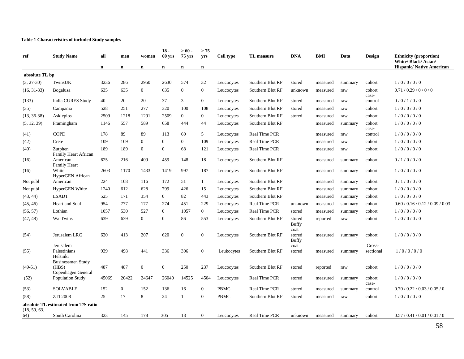### **Table 1 Characteristics of included Study samples**

| ref            | <b>Study Name</b>                                       | all   | men            | women          | $18 -$<br>60 yrs | $>60-$<br>$75$ yrs | > 75<br>yrs    | Cell type   | TL measure           | <b>DNA</b>                     | <b>BMI</b> | Data    | Design              | <b>Ethnicity (proportion)</b>                           |
|----------------|---------------------------------------------------------|-------|----------------|----------------|------------------|--------------------|----------------|-------------|----------------------|--------------------------------|------------|---------|---------------------|---------------------------------------------------------|
|                |                                                         | n     | $\mathbf n$    | $\mathbf n$    | $\mathbf n$      | $\mathbf n$        | n              |             |                      |                                |            |         |                     | White/ Black/ Asian/<br><b>Hispanic/Native American</b> |
| absolute TL bp |                                                         |       |                |                |                  |                    |                |             |                      |                                |            |         |                     |                                                         |
| $(3, 27-30)$   | TwinsUK                                                 | 3236  | 286            | 2950           | 2630             | 574                | 32             | Leucocytes  | Southern Blot RF     | stored                         | measured   | summary | cohort              | 1/0/0/0/0                                               |
| $(16, 31-33)$  | <b>Bogalusa</b>                                         | 635   | 635            | $\overline{0}$ | 635              | $\overline{0}$     | $\mathbf{0}$   | Leucocytes  | Southern Blot RF     | unknown                        | measured   | raw     | cohort<br>case-     | 0.71/0.29/0/0/0                                         |
| (133)          | India CURES Study                                       | 40    | 20             | 20             | 37               | 3                  | $\mathbf{0}$   | Leucocytes  | Southern Blot RF     | stored                         | measured   | raw     | control             | 0/0/1/0/0                                               |
| (35)           | Campania                                                | 528   | 251            | 277            | 320              | 100                | 108            | Leucocytes  | Southern Blot RF     | stored                         | measured   | raw     | cohort              | 1/0/0/0/0                                               |
| $(13, 36-38)$  | Asklepios                                               | 2509  | 1218           | 1291           | 2509             | $\overline{0}$     | $\overline{0}$ | Leucocytes  | Southern Blot RF     | stored                         | measured   | raw     | cohort              | 1/0/0/0/0                                               |
| (5, 12, 39)    | Framingham                                              | 1146  | 557            | 589            | 658              | 444                | 44             | Leucocytes  | Southern Blot RF     |                                | measured   | summary | cohort<br>case-     | 1/0/0/0/0                                               |
| (41)           | <b>COPD</b>                                             | 178   | 89             | 89             | 113              | 60                 | 5              | Leucocytes  | Real Time PCR        |                                | measured   | raw     | control             | 1/0/0/0/0                                               |
| (42)           | Crete                                                   | 109   | 109            | $\theta$       | $\Omega$         | $\overline{0}$     | 109            | Leucocytes  | Real Time PCR        |                                | measured   | raw     | cohort              | 1/0/0/0/0                                               |
| (40)           | Zutphen<br><b>Family Heart African</b>                  | 189   | 189            | $\overline{0}$ | $\mathbf{0}$     | 68                 | 121            | Leucocytes  | Real Time PCR        |                                | measured   | raw     | cohort              | 1/0/0/0/0                                               |
| (16)           | American<br><b>Family Heart</b>                         | 625   | 216            | 409            | 459              | 148                | 18             | Leucocytes  | Southern Blot RF     |                                | measured   | summary | cohort              | 0/1/0/0/0                                               |
| (16)           | White<br>HyperGEN African                               | 2603  | 1170           | 1433           | 1419             | 997                | 187            | Leucocytes  | Southern Blot RF     |                                | measured   | summary | cohort              | 1/0/0/0/0                                               |
| Not publ       | American                                                | 224   | 108            | 116            | 172              | 51                 | $\mathbf{1}$   | Leucocytes  | Southern Blot RF     |                                | measured   | summary | cohort              | 0/1/0/0/0                                               |
| Not publ       | HyperGEN White                                          | 1240  | 612            | 628            | 799              | 426                | 15             | Leucocytes  | Southern Blot RF     |                                | measured   | summary | cohort              | 1/0/0/0/0                                               |
| (43, 44)       | <b>LSADT</b>                                            | 525   | 171            | 354            | $\mathbf{0}$     | 82                 | 443            | Leucocytes  | Southern Blot RF     |                                | measured   | summary | cohort              | 1/0/0/0/0                                               |
| (45, 46)       | Heart and Soul                                          | 954   | 777            | 177            | 274              | 451                | 229            | Leucocytes  | Real Time PCR        | unknown                        | measured   | summary | cohort              | 0.60 / 0.16 / 0.12 / 0.09 / 0.03                        |
| (56, 57)       | Lothian                                                 | 1057  | 530            | 527            | $\overline{0}$   | 1057               | $\mathbf{0}$   | Leucocytes  | <b>Real Time PCR</b> | stored                         | measured   | summary | cohort              | 1/0/0/0/0                                               |
| (47, 48)       | WarTwins                                                | 639   | 639            | $\Omega$       | $\mathbf{0}$     | 86                 | 553            | Leucocytes  | Southern Blot RF     | stored<br><b>Buffy</b>         | reported   | raw     | cohort              | 1/0/0/0/0                                               |
| (54)           | Jerusalem LRC                                           | 620   | 413            | 207            | 620              | $\theta$           | $\mathbf{0}$   | Leucocytes  | Southern Blot RF     | coat<br>stored<br><b>Buffy</b> | measured   | summary | cohort              | 1/0/0/0/0                                               |
| (55)           | Jerusalem<br>Palestinians<br>Helsinki                   | 939   | 498            | 441            | 336              | 306                | $\mathbf{0}$   | Leukocytes  | Southern Blot RF     | coat<br>stored                 | measured   | summary | Cross-<br>sectional | 1/0/0/0/0                                               |
| $(49-51)$      | <b>Businessmen Study</b><br>(HBS)<br>Copenhagen General | 487   | 487            | $\overline{0}$ | $\boldsymbol{0}$ | 250                | 237            | Leucocytes  | Southern Blot RF     | stored                         | reported   | raw     | cohort              | 1/0/0/0/0                                               |
| (52)           | Population Study                                        | 45069 | 20422          | 24647          | 26040            | 14525              | 4504           | Leucocytes  | Real Time PCR        | stored                         | measured   | summary | cohort<br>case-     | 1/0/0/0/0                                               |
| (53)           | <b>SOLVABLE</b>                                         | 152   | $\overline{0}$ | 152            | 136              | 16                 | $\Omega$       | <b>PBMC</b> | <b>Real Time PCR</b> | stored                         | measured   | summary | control             | 0.70 / 0.22 / 0.03 / 0.05 / 0                           |
| (58)           | <b>ZTL2008</b>                                          | 25    | 17             | 8              | 24               |                    | $\mathbf{0}$   | <b>PBMC</b> | Southern Blot RF     | stored                         | measured   | raw     | cohort              | 1/0/0/0/0                                               |
| (18, 59, 63,   | absolute TL estimated from T/S ratio                    |       |                |                |                  |                    |                |             |                      |                                |            |         |                     |                                                         |
| 64)            | South Carolina                                          | 323   | 145            | 178            | 305              | 18                 | $\Omega$       | Leucocytes  | <b>Real Time PCR</b> | unknown                        | measured   | summary | cohort              | 0.57 / 0.41 / 0.01 / 0.01 / 0                           |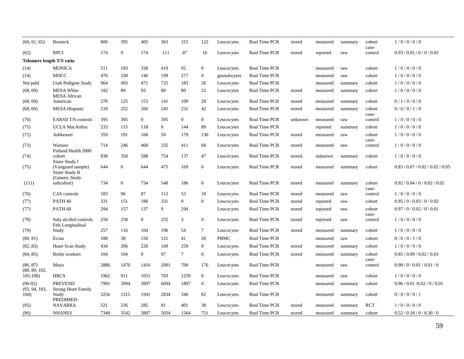| (60, 61, 65)               | <b>Bruneck</b>                                         | 800  | 395              | 405            | 363              | 315            | 122              | Leucocytes   | Real Time PCR        | stored  | measured | summary | cohort           | 1/0/0/0/0                        |
|----------------------------|--------------------------------------------------------|------|------------------|----------------|------------------|----------------|------------------|--------------|----------------------|---------|----------|---------|------------------|----------------------------------|
| (62)                       | <b>RPCI</b>                                            | 174  | $\boldsymbol{0}$ | 174            | 111              | 47             | 16               | Leucocytes   | Real Time PCR        | stored  | reported | raw     | case-<br>control | 0.93 / 0.05 / 0 / 0 / 0.02       |
|                            | Telomere length T/S ratio                              |      |                  |                |                  |                |                  |              |                      |         |          |         |                  |                                  |
| (14)                       | <b>MONICA</b>                                          | 511  | 183              | 328            | 419              | 92             | $\boldsymbol{0}$ | Leucocytes   | Real Time PCR        |         | measured | raw     | cohort           | 1/0/0/0/0                        |
| (14)                       | <b>MDCC</b>                                            | 476  | 330              | 146            | 199              | 277            | $\mathbf{0}$     | granulocytes | Real Time PCR        |         | measured | raw     | cohort           | 1/0/0/0/0                        |
| Not publ                   | Utah Pedigree Study                                    | 964  | 493              | 471            | 725              | 183            | 56               | Leucocytes   | Real Time PCR        |         | measured | summary | cohort           | 1/0/0/0/0                        |
| (68, 69)                   | <b>MESA White</b><br><b>MESA</b> African               | 182  | 89               | 93             | 80               | 80             | 22               | Leucocytes   | Real Time PCR        | stored  | measured | summary | cohort           | 1/0/0/0/0                        |
| (68, 69)                   | American                                               | 278  | 125              | 153            | 141              | 109            | 28               | Leucocytes   | <b>Real Time PCR</b> | stored  | measured | summary | cohort           | 0/1/0/0/0                        |
| (68, 69)                   | <b>MESA Hispanic</b>                                   | 518  | 252              | 266            | 245              | 231            | 42               | Leucocytes   | Real Time PCR        | stored  | measured | summary | cohort<br>case-  | 0/0/0/1/0                        |
| (70)                       | <b>EARSII T/S controls</b>                             | 395  | 395              | $\overline{0}$ | 395              | $\overline{0}$ | $\mathbf{0}$     | Leucocytes   | Real Time PCR        | unknown | measured | raw     | control          | 1/0/0/0/0                        |
| (71)                       | <b>UCLA MacArthur</b>                                  | 233  | 115              | 118            | $\mathbf{0}$     | 144            | 89               | Leucocytes   | Real Time PCR        |         | reported | summary | cohort           | 1/0/0/0/0                        |
| (72)                       | Ashkenazi                                              | 359  | 191              | 168            | 50               | 179            | 130              | Leucocytes   | Real Time PCR        | stored  | measured | raw     | cohort<br>case-  | 1/0/0/0/0                        |
| (73)                       | Warsaw<br>Finland Health 2000                          | 714  | 246              | 468            | 235              | 411            | 68               | Leucocytes   | Real Time PCR        | stored  | measured | raw     | control          | 1/0/0/0/0                        |
| (74)                       | cohort<br>Sister Study I                               | 938  | 350              | 588            | 754              | 137            | 47               | Leucocytes   | Real Time PCR        | stored  | unknown  | summary | cohort           | 1/0/0/0/0                        |
| (75)                       | (Vanguard sample)<br>Sister Study II<br>(Genetic Study | 644  | $\overline{0}$   | 644            | 475              | 169            | $\mathbf{0}$     | Leucocytes   | Real Time PCR        | stored  | measured | summary | cohort           | 0.83 / 0.07 / 0.02 / 0.02 / 0.05 |
| (111)                      | subcohort)                                             | 734  | $\overline{0}$   | 734            | 548              | 186            | $\boldsymbol{0}$ | Leucocytes   | <b>Real Time PCR</b> | stored  | measured | summary | cohort<br>case-  | 0.92 / 0.04 / 0 / 0.02 / 0.02    |
| (76)                       | CAS controls                                           | 183  | 96               | 87             | 112              | 53             | 18               | Leucocytes   | Real Time PCR        | stored  | measured | raw     | control          | 1/0/0/0/0                        |
| (77)                       | PATH <sub>40</sub>                                     | 331  | 151              | 180            | 331              | $\mathbf{0}$   | $\mathbf{0}$     | Leucocytes   | Real Time PCR        | stored  | reported | raw     | cohort           | 0.95 / 0 / 0.03 / 0 / 0.02       |
| (77)                       | PATH <sub>60</sub>                                     | 294  | 157              | 137            | $\boldsymbol{0}$ | 294            |                  | Leucocytes   | Real Time PCR        | stored  | reported | raw     | cohort<br>case-  | 0.97 / 0 / 0.02 / 0 / 0.01       |
| (78)                       | Italy alcohol controls<br>Fels Longitudinal            | 258  | 258              | $\overline{0}$ | 255              | 3              | $\overline{0}$   | Leucocytes   | Real Time PCR        | stored  | reported | raw     | control          | 1/0/0/0/0                        |
| (79)                       | Study                                                  | 257  | 116              | 104            | 196              | 54             | $\tau$           | Leucocytes   | Real Time PCR        | stored  | measured | summary | cohort           | 1/0/0/0/0                        |
| (80, 81)                   | Ecran                                                  | 188  | 38               | 150            | 121              | 41             | 26               | <b>PBMC</b>  | Real Time PCR        |         | measured | raw     | cohort           | 0/0/0/1/0                        |
| (82, 83)                   | Heart Scan Study                                       | 434  | 206              | 228            | 169              | 259            | $\boldsymbol{0}$ | Leucocytes   | Real Time PCR        | stored  | measured | summary | cohort           | 1/0/0/0/0                        |
| (84, 85)                   | Boiler workers                                         | 104  | 104              | $\overline{0}$ | 97               | $\tau$         | $\boldsymbol{0}$ | Leucocytes   | Real Time PCR        | stored  | measured | summary | cohort<br>case-  | 0.85 / 0.09 / 0.02 / 0.03        |
| (86, 87)<br>(88, 89, 102,  | Mayo                                                   | 2886 | 1470             | 1416           | 2001             | 709            | 176              | Leucocytes   | <b>Real Time PCR</b> |         | measured | raw     | control          | 0.98 / 0 / 0.01 / 0.01 / 0       |
| $105-108$                  | <b>HBCS</b>                                            | 1962 | 911              | 1051           | 703              | 1259           | $\mathbf{0}$     | Leucocytes   | Real Time PCR        |         | measured | raw     | cohort           | 1/0/0/0/0                        |
| $(90-92)$<br>(93, 94, 103, | <b>PREVEND</b><br><b>Strong Heart Family</b>           | 7991 | 3994             | 3997           | 6094             | 1897           | $\mathbf{0}$     | Leucocytes   | Real Time PCR        |         | measured | summary | cohort           | 0.96 / 0.01 / 0.02 / 0 / 0.01    |
| 104)                       | Study<br>PREDIMED-                                     | 3256 | 1315             | 1941           | 2834             | 340            | 82               | Leucocytes   | Real Time PCR        |         | measured | summary | cohort           | 0/0/0/0/1                        |
| (95)                       | <b>NAVARRA</b>                                         | 521  | 236              | 285            | 81               | 401            | 38               | Leucocytes   | <b>Real Time PCR</b> | stored  | measured | summary | <b>RCT</b>       | 1/0/0/0/0                        |
| (96)                       | <b>NHANES</b>                                          | 7349 | 3542             | 3807           | 5034             | 1564           | 751              | Leucocytes   | Real Time PCR        | stored  | measured | summary | cohort           | 0.52 / 0.18 / 0 / 0.30 / 0       |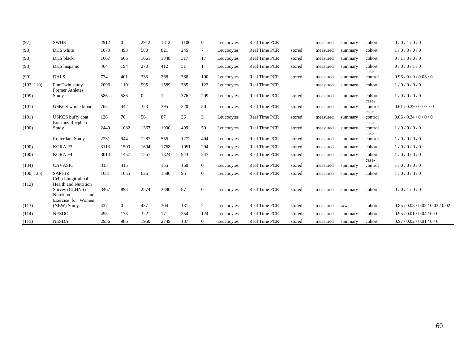| (97)       | <b>SWHS</b>                                                       | 2912 | $\overline{0}$ | 2912         | 1812 | 1100 | $\overline{0}$ | Leucocytes | <b>Real Time PCR</b> |        | measured | summary | cohort           | 0/0/1/0/0                        |
|------------|-------------------------------------------------------------------|------|----------------|--------------|------|------|----------------|------------|----------------------|--------|----------|---------|------------------|----------------------------------|
| (98)       | DHS white                                                         | 1073 | 493            | 580          | 821  | 245  | $\tau$         | Leucocytes | <b>Real Time PCR</b> | stored | measured | summary | cohort           | 1/0/0/0/0                        |
| (98)       | DHS black                                                         | 1667 | 606            | 1061         | 1348 | 317  | 17             | Leucocytes | <b>Real Time PCR</b> | stored | measured | summary | cohort           | 0/1/0/0/0                        |
| (98)       | DHS hispanic                                                      | 464  | 194            | 270          | 412  | 51   | 1              | Leucocytes | Real Time PCR        | stored | measured | summary | cohort<br>case-  | 0/0/0/1/0                        |
| (99)       | <b>DALS</b>                                                       | 734  | 401            | 333          | 268  | 366  | 100            | Leucocytes | Real Time PCR        | stored | measured | summary | control          | 0.96/0/0/0.03/0                  |
| (102, 110) | FinnTwin study<br>Former Athletes                                 | 2096 | 1101           | 995          | 1589 | 385  | 122            | Leucocytes | Real Time PCR        |        | measured | summary | cohort           | 1/0/0/0/0                        |
| (109)      | Study                                                             | 586  | 586            | $\mathbf{0}$ |      | 376  | 209            | Leucocytes | Real Time PCR        | stored | measured | summary | cohort<br>case-  | 1/0/0/0/0                        |
| (101)      | <b>USKCS</b> whole blood                                          | 765  | 442            | 323          | 395  | 320  | 50             | Leucocytes | Real Time PCR        | stored | measured | summary | control<br>case- | 0.61 / 0.39 / 0 / 0 / 0          |
| (101)      | <b>USKCS</b> buffy coat<br>Erasmus Rucphen                        | 126  | 70             | 56           | 87   | 36   | 3              | Leucocytes | Real Time PCR        | stored | measured | summary | control<br>case- | 0.66 / 0.34 / 0 / 0 / 0          |
| (100)      | Study                                                             | 2449 | 1082           | 1367         | 1900 | 499  | 50             | Leucocytes | Real Time PCR        | stored | measured | summary | control<br>case- | 1/0/0/0/0                        |
|            | Rotterdam Study                                                   | 2231 | 944            | 1287         | 556  | 1272 | 404            | Leucocytes | <b>Real Time PCR</b> | stored | measured | summary | control          | 1/0/0/0/0                        |
| (100)      | KORA F3                                                           | 3113 | 1509           | 1604         | 1768 | 1051 | 294            | Leucocytes | <b>Real Time PCR</b> | stored | measured | summary | cohort           | 1/0/0/0/0                        |
| (100)      | KORA F4                                                           | 3014 | 1457           | 1557         | 1824 | 943  | 247            | Leucocytes | Real Time PCR        | stored | measured | summary | cohort<br>case-  | 1/0/0/0/0                        |
| (134)      | CAVASIC                                                           | 315  | 315            |              | 155  | 160  | $\overline{0}$ | Leucocytes | Real Time PCR        | stored | measured | summary | control          | 1/0/0/0/0                        |
| (100, 135) | <b>SAPHIR</b><br>Cebu Longitudinal<br><b>Health and Nutrition</b> | 1681 | 1055           | 626          | 1586 | 95   | $\overline{0}$ | Leucocytes | Real Time PCR        | stored | measured | summary | cohort           | 1/0/0/0/0                        |
| (112)      | Survey (CLHNS)<br>Nutrition<br>and<br>Exercise for Women          | 3467 | 893            | 2574         | 3380 | 87   | $\overline{0}$ | Leucocytes | Real Time PCR        | stored | measured | summary | cohort           | 0/0/1/0/0                        |
| (113)      | (NEW) Study                                                       | 437  | $\overline{0}$ | 437          | 304  | 131  | 2              | Leucocytes | Real Time PCR        | stored | measured | raw     | cohort           | 0.85 / 0.08 / 0.02 / 0.03 / 0.02 |
| (114)      | <b>NESDO</b>                                                      | 495  | 173            | 322          | 17   | 354  | 124            | Leucocytes | Real Time PCR        | stored | measured | summary | cohort           | 0.95/0.01/0.04/0/0               |
| (115)      | <b>NESDA</b>                                                      | 2936 | 986            | 1950         | 2749 | 187  | $\Omega$       | Leucocytes | Real Time PCR        | stored | measured | summary | cohort           | 0.97/0.02/0.01/0/0               |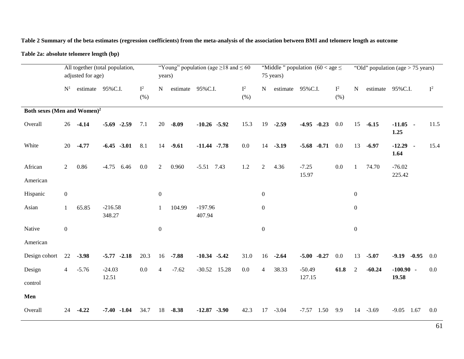**Table 2 Summary of the beta estimates (regression coefficients) from the meta-analysis of the association between BMI and telomere length as outcome**

**Table 2a: absolute telomere length (bp)**

|                                         |                  | adjusted for age) | All together (total population, |               | "Young" population (age $\geq$ 18 and $\leq$ 60<br>years) |         |                     |      |              |                  | 75 years) | "Middle" population $(60 <$ age $\le$ |               |                  |          | "Old" population (age $> 75$ years) |         |
|-----------------------------------------|------------------|-------------------|---------------------------------|---------------|-----------------------------------------------------------|---------|---------------------|------|--------------|------------------|-----------|---------------------------------------|---------------|------------------|----------|-------------------------------------|---------|
|                                         | $\mathbf{N}^1$   |                   | estimate 95%C.I.                | $I^2$<br>(% ) | N                                                         |         | estimate 95%C.I.    |      | $I^2$<br>(%) | $\mathbf N$      |           | estimate 95% C.I.                     | $I^2$<br>(% ) | N                |          | estimate 95%C.I.                    | $I^2$   |
| Both sexes (Men and Women) <sup>2</sup> |                  |                   |                                 |               |                                                           |         |                     |      |              |                  |           |                                       |               |                  |          |                                     |         |
| Overall                                 | 26               | $-4.14$           | $-5.69$ $-2.59$                 | 7.1           | 20                                                        | $-8.09$ | $-10.26$ $-5.92$    |      | 15.3         | 19               | $-2.59$   | $-4.95$ $-0.23$                       | 0.0           | 15               | $-6.15$  | $-11.05 -$<br>1.25                  | 11.5    |
| White                                   | 20               | $-4.77$           | $-6.45 -3.01$                   | 8.1           | 14                                                        | $-9.61$ | $-11.44$ $-7.78$    |      | 0.0          | 14               | $-3.19$   | $-5.68$ $-0.71$                       | 0.0           | 13               | $-6.97$  | $-12.29 -$<br>1.64                  | 15.4    |
| African<br>American                     | $\overline{2}$   | 0.86              | $-4.75$<br>6.46                 | $0.0\,$       | 2                                                         | 0.960   | $-5.51$             | 7.43 | 1.2          | $\overline{2}$   | 4.36      | $-7.25$<br>15.97                      | $0.0\,$       | 1                | 74.70    | $-76.02$<br>225.42                  |         |
| Hispanic                                | $\boldsymbol{0}$ |                   |                                 |               | $\boldsymbol{0}$                                          |         |                     |      |              | $\boldsymbol{0}$ |           |                                       |               | $\boldsymbol{0}$ |          |                                     |         |
| Asian                                   | $\mathbf{1}$     | 65.85             | $-216.58$<br>348.27             |               | 1                                                         | 104.99  | $-197.96$<br>407.94 |      |              | $\overline{0}$   |           |                                       |               | $\boldsymbol{0}$ |          |                                     |         |
| Native                                  | $\boldsymbol{0}$ |                   |                                 |               | $\boldsymbol{0}$                                          |         |                     |      |              | $\boldsymbol{0}$ |           |                                       |               | $\boldsymbol{0}$ |          |                                     |         |
| American                                |                  |                   |                                 |               |                                                           |         |                     |      |              |                  |           |                                       |               |                  |          |                                     |         |
| Design cohort                           | 22               | $-3.98$           | $-5.77 - 2.18$                  | 20.3          | 16                                                        | $-7.88$ | $-10.34 - 5.42$     |      | 31.0         | 16               | $-2.64$   | $-5.00 -0.27$                         | 0.0           | 13               | $-5.07$  | $-0.95$<br>$-9.19$                  | $0.0\,$ |
| Design                                  | $\overline{4}$   | $-5.76$           | $-24.03$                        | $0.0\,$       | $\overline{4}$                                            | $-7.62$ | $-30.52$ 15.28      |      | 0.0          | $\overline{4}$   | 38.33     | $-50.49$                              | 61.8          | $\overline{2}$   | $-60.24$ | $-100.90 -$                         | $0.0\,$ |
| control                                 |                  |                   | 12.51                           |               |                                                           |         |                     |      |              |                  |           | 127.15                                |               |                  |          | 19.58                               |         |
| Men                                     |                  |                   |                                 |               |                                                           |         |                     |      |              |                  |           |                                       |               |                  |          |                                     |         |
| Overall                                 | 24               | $-4.22$           | $-7.40 - 1.04$                  | 34.7          | 18                                                        | $-8.38$ | $-12.87 - 3.90$     |      | 42.3         | 17               | $-3.04$   | $-7.57$ 1.50                          | 9.9           | 14               | $-3.69$  | $-9.05$ 1.67                        | 0.0     |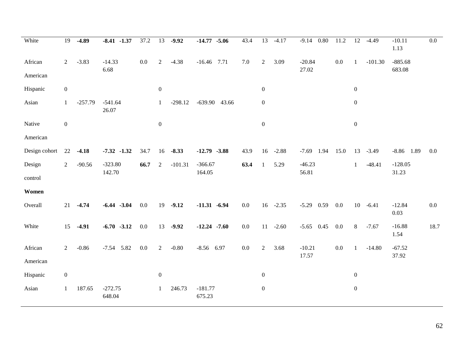| White         | 19               | $-4.89$   | $-8.41 -1.37$       | 37.2    | 13               | $-9.92$     | $-14.77 - 5.06$     | 43.4    | $\overline{13}$  | $-4.17$ | 0.80<br>$-9.14$ | 11.2    | 12               | $-4.49$     | $-10.11$<br>1.13 | 0.0     |
|---------------|------------------|-----------|---------------------|---------|------------------|-------------|---------------------|---------|------------------|---------|-----------------|---------|------------------|-------------|------------------|---------|
| African       | $\overline{2}$   | $-3.83$   | $-14.33$            | $0.0\,$ | $\overline{2}$   | $-4.38$     | $-16.46$ 7.71       | $7.0\,$ | $\overline{2}$   | 3.09    | $-20.84$        | $0.0\,$ |                  | $-101.30$   | $-885.68$        |         |
| American      |                  |           | 6.68                |         |                  |             |                     |         |                  |         | 27.02           |         |                  |             | 683.08           |         |
| Hispanic      | $\boldsymbol{0}$ |           |                     |         | $\boldsymbol{0}$ |             |                     |         | $\boldsymbol{0}$ |         |                 |         | $\boldsymbol{0}$ |             |                  |         |
| Asian         | $\mathbf{1}$     | $-257.79$ | $-541.64$<br>26.07  |         | 1                | $-298.12$   | $-639.90$ 43.66     |         | $\boldsymbol{0}$ |         |                 |         | $\boldsymbol{0}$ |             |                  |         |
| Native        | $\boldsymbol{0}$ |           |                     |         | $\boldsymbol{0}$ |             |                     |         | $\boldsymbol{0}$ |         |                 |         | $\boldsymbol{0}$ |             |                  |         |
| American      |                  |           |                     |         |                  |             |                     |         |                  |         |                 |         |                  |             |                  |         |
| Design cohort | 22               | $-4.18$   | $-7.32 -1.32$       | 34.7    | 16               | $-8.33$     | $-12.79 - 3.88$     | 43.9    | 16               | $-2.88$ | $-7.69$ 1.94    | 15.0    | 13               | $-3.49$     | $-8.86$ 1.89     | 0.0     |
| Design        | $\overline{2}$   | $-90.56$  | $-323.80$           | 66.7    | 2                | $-101.31$   | $-366.67$           | 63.4    | $\mathbf{1}$     | 5.29    | $-46.23$        |         | $\mathbf{1}$     | $-48.41$    | $-128.05$        |         |
| control       |                  |           | 142.70              |         |                  |             | 164.05              |         |                  |         | 56.81           |         |                  |             | 31.23            |         |
| Women         |                  |           |                     |         |                  |             |                     |         |                  |         |                 |         |                  |             |                  |         |
| Overall       | 21               | $-4.74$   | $-6.44 - 3.04$      | 0.0     |                  | $19 - 9.12$ | $-11.31 - 6.94$     | 0.0     | 16               | $-2.35$ | $-5.29$ 0.59    | 0.0     |                  | $10 - 6.41$ | $-12.84$<br>0.03 | $0.0\,$ |
| White         | 15               | $-4.91$   | $-6.70 -3.12$       | $0.0\,$ | 13               | $-9.92$     | $-12.24$ $-7.60$    | $0.0\,$ | 11               | $-2.60$ | $-5.65$ 0.45    | 0.0     | 8                | $-7.67$     | $-16.88$<br>1.54 | 18.7    |
| African       | $\overline{2}$   | $-0.86$   | $-7.54$ 5.82        | $0.0\,$ | $\overline{2}$   | $-0.80$     | $-8.56$ 6.97        | $0.0\,$ | $\sqrt{2}$       | 3.68    | $-10.21$        | $0.0\,$ | 1                | $-14.80$    | $-67.52$         |         |
| American      |                  |           |                     |         |                  |             |                     |         |                  |         | 17.57           |         |                  |             | 37.92            |         |
| Hispanic      | $\boldsymbol{0}$ |           |                     |         | $\boldsymbol{0}$ |             |                     |         | $\boldsymbol{0}$ |         |                 |         | $\boldsymbol{0}$ |             |                  |         |
| Asian         | $\mathbf{1}$     | 187.65    | $-272.75$<br>648.04 |         | $\mathbf{1}$     | 246.73      | $-181.77$<br>675.23 |         | $\boldsymbol{0}$ |         |                 |         | $\boldsymbol{0}$ |             |                  |         |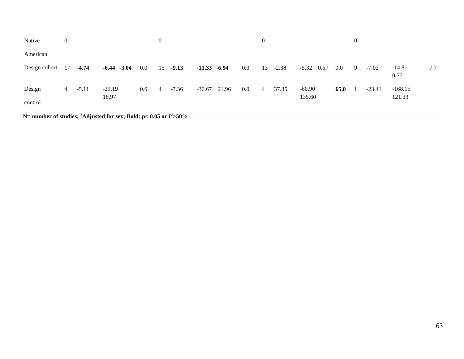| Native            | $\overline{0}$ |         |                   |         | $\theta$ |         |                 |         |                |         |                    |         | $\Omega$ |          |                     |     |
|-------------------|----------------|---------|-------------------|---------|----------|---------|-----------------|---------|----------------|---------|--------------------|---------|----------|----------|---------------------|-----|
| American          |                |         |                   |         |          |         |                 |         |                |         |                    |         |          |          |                     |     |
| Design cohort 17  |                | $-4.74$ | $-6.44$ $-3.04$   | $0.0\,$ | 15       | $-9.13$ | $-11.33 - 6.94$ | $0.0\,$ | 13             | $-2.38$ | $-5.32$ 0.57       | $0.0\,$ | -9       | $-7.02$  | $-14.81$<br>0.77    | 7.7 |
| Design<br>control | 4              | $-5.11$ | $-29.19$<br>18.97 | $0.0\,$ | 4        | $-7.36$ | $-36.67$ 21.96  | $0.0\,$ | $\overline{4}$ | 37.35   | $-60.90$<br>135.60 | 65.0    |          | $-23.41$ | $-168.15$<br>121.33 |     |

<sup>1</sup>N= number of studies; <sup>2</sup>Adjusted for sex; Bold: p< 0.05 or  $I^2$ >50%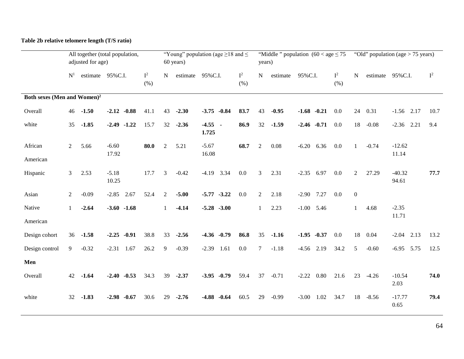### **Table 2b relative telomere length (T/S ratio)**

|                                         |                | adjusted for age) | All together (total population, |               |                | 60 years)   | "Young" population (age $\geq$ 18 and $\leq$ |               | years)         |          | "Middle" population $(60 <$ age $\leq 75$ |               |                  |          | "Old" population (age $> 75$ years) |       |
|-----------------------------------------|----------------|-------------------|---------------------------------|---------------|----------------|-------------|----------------------------------------------|---------------|----------------|----------|-------------------------------------------|---------------|------------------|----------|-------------------------------------|-------|
|                                         | $N^1$          |                   | estimate 95%C.I.                | $I^2$<br>(% ) | N              |             | estimate 95%C.I.                             | $I^2$<br>(% ) | $\mathbf N$    | estimate | 95%C.I.                                   | $I^2$<br>(% ) | $\mathbf N$      |          | estimate 95%C.I.                    | $I^2$ |
| Both sexes (Men and Women) <sup>2</sup> |                |                   |                                 |               |                |             |                                              |               |                |          |                                           |               |                  |          |                                     |       |
| Overall                                 | 46             | $-1.50$           | $-2.12 - 0.88$                  | 41.1          | 43             | $-2.30$     | $-3.75 -0.84$                                | 83.7          | 43             | $-0.95$  | $-1.68 - 0.21$                            | 0.0           | 24               | 0.31     | $-1.56$ 2.17                        | 10.7  |
| white                                   | 35             | $-1.85$           | $-2.49$ $-1.22$                 | 15.7          |                | $32 - 2.36$ | $-4.55 -$<br>1.725                           | 86.9          | 32             | $-1.59$  | $-2.46 -0.71$                             | 0.0           | 18               | $-0.08$  | $-2.36$ $2.21$                      | 9.4   |
| African                                 | $\overline{2}$ | 5.66              | $-6.60$                         | 80.0          | $\overline{2}$ | 5.21        | $-5.67$                                      | 68.7          | $\overline{2}$ | 0.08     | $-6.20$ 6.36                              | 0.0           | $\mathbf{1}$     | $-0.74$  | $-12.62$                            |       |
| American                                |                |                   | 17.92                           |               |                |             | 16.08                                        |               |                |          |                                           |               |                  |          | 11.14                               |       |
| Hispanic                                | $\mathfrak{Z}$ | 2.53              | $-5.18$<br>10.25                | 17.7          | 3              | $-0.42$     | $-4.19$ 3.34                                 | 0.0           | 3              | 2.31     | 6.97<br>$-2.35$                           | 0.0           | $\overline{2}$   | 27.29    | $-40.32$<br>94.61                   | 77.7  |
| Asian                                   | $\overline{2}$ | $-0.09$           | 2.67<br>$-2.85$                 | 52.4          | 2              | $-5.00$     | $-5.77 - 3.22$                               | 0.0           | $\overline{2}$ | 2.18     | $-2.90$ 7.27                              | 0.0           | $\boldsymbol{0}$ |          |                                     |       |
| Native                                  | $\mathbf{1}$   | $-2.64$           | $-3.60 -1.68$                   |               | 1              | $-4.14$     | $-5.28 - 3.00$                               |               | $\mathbf{1}$   | 2.23     | $-1.00$ 5.46                              |               | 1                | 4.68     | $-2.35$                             |       |
| American                                |                |                   |                                 |               |                |             |                                              |               |                |          |                                           |               |                  |          | 11.71                               |       |
| Design cohort                           | 36             | $-1.58$           | $-0.91$<br>$-2.25$              | 38.8          | 33             | $-2.56$     | $-4.36 -0.79$                                | 86.8          | 35             | $-1.16$  | $-1.95 -0.37$                             | 0.0           | 18               | 0.04     | $-2.04$<br>2.13                     | 13.2  |
| Design control                          | 9              | $-0.32$           | 1.67<br>$-2.31$                 | 26.2          | 9              | $-0.39$     | $-2.39$<br>1.61                              | 0.0           | $\tau$         | $-1.18$  | 2.19<br>$-4.56$                           | 34.2          | 5                | $-0.60$  | $-6.95$ 5.75                        | 12.5  |
| Men                                     |                |                   |                                 |               |                |             |                                              |               |                |          |                                           |               |                  |          |                                     |       |
| Overall                                 | 42             | $-1.64$           | $-2.40 -0.53$                   | 34.3          | 39             | $-2.37$     | $-3.95 -0.79$                                | 59.4          | 37             | $-0.71$  | 0.80<br>$-2.22$                           | 21.6          | 23               | $-4.26$  | $-10.54$<br>2.03                    | 74.0  |
| white                                   | 32             | $-1.83$           | $-0.67$<br>$-2.98$              | 30.6          | 29             | $-2.76$     | $-4.88 - 0.64$                               | 60.5          | 29             | $-0.99$  | $-3.00$<br>1.02                           | 34.7          |                  | 18 -8.56 | $-17.77$<br>0.65                    | 79.4  |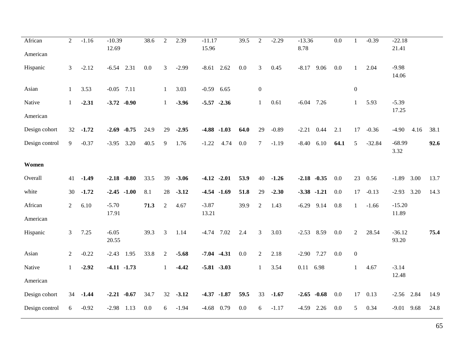| African<br>American | $\sqrt{2}$     | $-1.16$ | $-10.39$<br>12.69 |                | 38.6    | $\overline{c}$ | 2.39    | $-11.17$<br>15.96 |      | 39.5    | $\overline{2}$   | $-2.29$ | $-13.36$<br>8.78 |               | $\overline{0.0}$ | 1                | $-0.39$  | $-22.18$<br>21.41 |      |      |
|---------------------|----------------|---------|-------------------|----------------|---------|----------------|---------|-------------------|------|---------|------------------|---------|------------------|---------------|------------------|------------------|----------|-------------------|------|------|
| Hispanic            | 3              | $-2.12$ | $-6.54$           | 2.31           | $0.0\,$ | 3              | $-2.99$ | $-8.61$           | 2.62 | $0.0\,$ | $\mathfrak{Z}$   | 0.45    | $-8.17$          | 9.06          | 0.0              | $\mathbf{1}$     | 2.04     | $-9.98$<br>14.06  |      |      |
| Asian               | $\mathbf{1}$   | 3.53    | $-0.05$ 7.11      |                |         | 1              | 3.03    | $-0.59$ 6.65      |      |         | $\boldsymbol{0}$ |         |                  |               |                  | $\boldsymbol{0}$ |          |                   |      |      |
| Native              | 1              | $-2.31$ |                   | $-3.72 -0.90$  |         | $\mathbf{1}$   | $-3.96$ | $-5.57 -2.36$     |      |         | $\mathbf{1}$     | 0.61    | $-6.04$          | 7.26          |                  | $\mathbf{1}$     | 5.93     | $-5.39$           |      |      |
| American            |                |         |                   |                |         |                |         |                   |      |         |                  |         |                  |               |                  |                  |          | 17.25             |      |      |
| Design cohort       | 32             | $-1.72$ | $-2.69$           | $-0.75$        | 24.9    | 29             | $-2.95$ | $-4.88$ $-1.03$   |      | 64.0    | 29               | $-0.89$ | $-2.21$          | 0.44          | 2.1              | 17               | $-0.36$  | $-4.90$           | 4.16 | 38.1 |
| Design control      | 9              | $-0.37$ | $-3.95$           | 3.20           | 40.5    | 9              | 1.76    | $-1.22$           | 4.74 | 0.0     | $\tau$           | $-1.19$ | $-8.40$          | 6.10          | 64.1             | 5                | $-32.84$ | $-68.99$<br>3.32  |      | 92.6 |
| Women               |                |         |                   |                |         |                |         |                   |      |         |                  |         |                  |               |                  |                  |          |                   |      |      |
| Overall             | 41             | $-1.49$ |                   | $-2.18 - 0.80$ | 33.5    | 39             | $-3.06$ | $-4.12 -2.01$     |      | 53.9    | 40               | $-1.26$ | $-2.18 - 0.35$   |               | 0.0              | 23               | 0.56     | $-1.89$           | 3.00 | 13.7 |
| white               | 30             | $-1.72$ |                   | $-2.45 -1.00$  | 8.1     | 28             | $-3.12$ | $-4.54$ $-1.69$   |      | 51.8    | 29               | $-2.30$ | $-3.38 -1.21$    |               | 0.0              | 17               | $-0.13$  | $-2.93$           | 3.20 | 14.3 |
| African             | $\mathbf{2}$   | 6.10    | $-5.70$<br>17.91  |                | 71.3    | $\sqrt{2}$     | 4.67    | $-3.87$<br>13.21  |      | 39.9    | $\overline{2}$   | 1.43    | $-6.29$ 9.14     |               | 0.8              | $\mathbf{1}$     | $-1.66$  | $-15.20$<br>11.89 |      |      |
| American            |                |         |                   |                |         |                |         |                   |      |         |                  |         |                  |               |                  |                  |          |                   |      |      |
| Hispanic            | 3              | 7.25    | $-6.05$<br>20.55  |                | 39.3    | 3              | 1.14    | $-4.74$ 7.02      |      | 2.4     | 3                | 3.03    | $-2.53$ 8.59     |               | 0.0              | $\overline{2}$   | 28.54    | $-36.12$<br>93.20 |      | 75.4 |
| Asian               | $\overline{2}$ | $-0.22$ | $-2.43$           | 1.95           | 33.8    | $\overline{2}$ | $-5.68$ | $-7.04$ $-4.31$   |      | 0.0     | $\overline{2}$   | 2.18    | $-2.90$ 7.27     |               | 0.0              | $\boldsymbol{0}$ |          |                   |      |      |
| Native              | 1              | $-2.92$ |                   | $-4.11 - 1.73$ |         | 1              | $-4.42$ | $-5.81 - 3.03$    |      |         | $\mathbf{1}$     | 3.54    | 0.11 6.98        |               |                  | $\mathbf{1}$     | 4.67     | $-3.14$           |      |      |
| American            |                |         |                   |                |         |                |         |                   |      |         |                  |         |                  |               |                  |                  |          | 12.48             |      |      |
| Design cohort       | 34             | $-1.44$ | $-2.21 -0.67$     |                | 34.7    | 32             | $-3.12$ | $-4.37 -1.87$     |      | 59.5    | 33               | $-1.67$ |                  | $-2.65 -0.68$ | 0.0              | 17               | 0.13     | $-2.56$ 2.84      |      | 14.9 |
| Design control      | 6              | $-0.92$ | $-2.98$           | 1.13           | 0.0     | 6              | $-1.94$ | $-4.68$           | 0.79 | 0.0     | 6                | $-1.17$ | $-4.59$          | 2.26          | 0.0              | 5                | 0.34     | $-9.01$ 9.68      |      | 24.8 |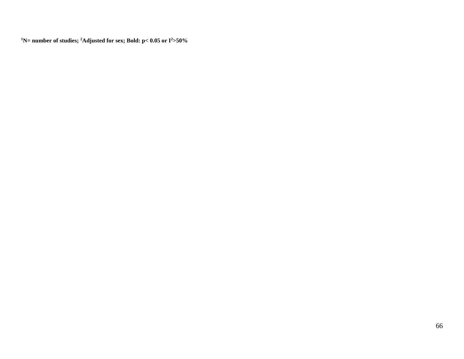**N= number of studies; 2 Adjusted for sex; Bold: p< 0.05 or I2 >50%**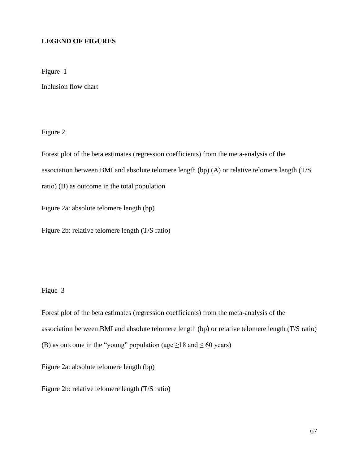### **LEGEND OF FIGURES**

Figure 1

Inclusion flow chart

Figure 2

Forest plot of the beta estimates (regression coefficients) from the meta-analysis of the

association between BMI and absolute telomere length (bp) (A) or relative telomere length (T/S

ratio) (B) as outcome in the total population

Figure 2a: absolute telomere length (bp)

Figure 2b: relative telomere length (T/S ratio)

Figue 3

Forest plot of the beta estimates (regression coefficients) from the meta-analysis of the association between BMI and absolute telomere length (bp) or relative telomere length (T/S ratio) (B) as outcome in the "young" population (age  $\geq$ 18 and  $\leq$  60 years)

Figure 2a: absolute telomere length (bp)

Figure 2b: relative telomere length (T/S ratio)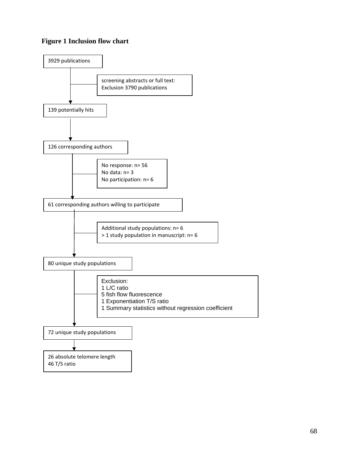## **Figure 1 Inclusion flow chart**

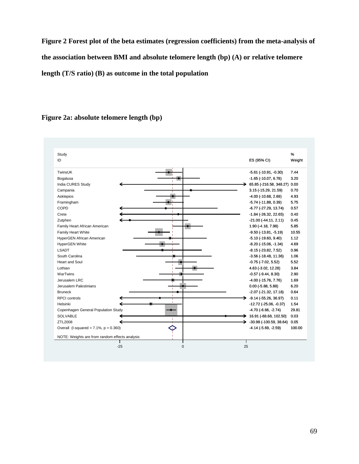**Figure 2 Forest plot of the beta estimates (regression coefficients) from the meta-analysis of the association between BMI and absolute telomere length (bp) (A) or relative telomere length (T/S ratio) (B) as outcome in the total population** 

### NOTE: Weights are from random effects analysis Overall  $(I-squared = 7.1\%, p = 0.360)$ COPD Copenhagen General Population Study Lothian Jerusalem Palestinians LSADT Zutphen ID Family Heart African American South Carolina Helsinki Family Heart White Heart and Soul Bruneck Study SOLVABLE ZTL2008 Framingham RPCI controls WarTwins Asklepios HyperGEN African American Campania HyperGEN White Jerusalem LRC India CURES Study Bogalusa TwinsUK Crete -4.14 (-5.69, -2.59) -6.77 (-27.29, 13.74) -4.70 (-6.66, -2.74) 4.63 (-3.02, 12.28) 0.00 (-5.88, 5.88) -8.15 (-23.82, 7.52) -21.00 (-44.11, 2.11) ES (95% CI) 1.90 (-4.18, 7.98) -3.56 (-18.48, 11.36) -12.72 (-25.06, -0.37) -9.50 (-13.81, -5.19) -0.75 (-7.02, 5.52) -2.07 (-21.32, 17.18) 16.91 (-68.68, 102.50) 0.03 -30.98 (-100.59, 38.64) 0.05 -5.74 (-11.88, 0.39) -9.14 (-55.26, 36.97) -0.57 (-9.44, 8.30) -4.00 (-10.68, 2.69) -5.10 (-19.60, 9.40) 3.15 (-15.29, 21.59) -8.20 (-15.06, -1.34) -4.00 (-15.76, 7.76) 65.85 (-216.58, 348.27) 0.00 -1.65 (-10.07, 6.78) -5.61 (-10.91, -0.30) -1.84 (-26.32, 22.65) 100.00 0.57 29.81 3.84 6.20 0.96 0.45 Weight 5.85 1.06 1.54 10.55 5.52 0.64 % 5.75 0.11 2.90 4.93 1.12 0.70 4.69 1.69 3.20 7.44 0.40 21.00  $(44,11,241)$  0.45<br>  $4.96(43,87,89)$  5.88<br>  $4.68(43,82,138)$ <br>  $-6.52(45,86,47)$ <br>  $-6.56(48,48,11.38)$ <br>  $-6.56(48,48,11.38)$ <br>  $-6.56(48,48,11.38)$ <br>  $-6.56(48,48,11.38)$ <br>  $-6.56(48,48,11.38)$ <br>  $-6.56(48,48,30)$ <br>  $-6.5$

### **Figure 2a: absolute telomere length (bp)**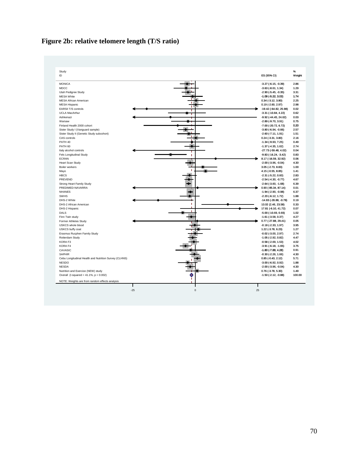# **Figure 2b: relative telomere length (T/S ratio)**

| Study<br>ID                                           | ES (95% CI)                     | $\%$<br>Weight |
|-------------------------------------------------------|---------------------------------|----------------|
| <b>MONICA</b>                                         | $-3.27$ ( $-6.15, -0.39$ )      | 2.86           |
| <b>MDCC</b>                                           | $-3.63$ $(-8.61, 1.34)$         | 1.29           |
| Utah Pedigree Study                                   | $-2.90$ ( $-5.45$ , $-0.35$ )   | 3.31           |
| <b>MESA White</b>                                     | $-1.09$ $(-5.22, 3.03)$         | 1.74           |
| <b>MESA African American</b>                          | $0.34$ (-3.12, 3.80)            | 2.25           |
| <b>MESA Hispanic</b>                                  | $0.19$ (-2.60, 2.97)            | 2.98           |
| EARSII T/S controls                                   | -19.42 (-64.82, 25.98)          | 0.02           |
| <b>UCLA MacArthur</b>                                 | $-3.31$ ( $-10.84$ , 4.22)      | 0.62           |
| Ashkenazi                                             | $-9.92$ ( $-44.45$ , $24.62$ )  | 0.03           |
| Warsaw                                                | $-2.89$ ( $-9.70$ , $3.91$ )    | 0.75           |
| Finland Health 2000 cohort                            | $-7.00$ ( $-20.72, 6.72$ )      | 0.20           |
| Sister Study I (Vanguard sample)                      | $-3.80$ ( $-6.94$ , $-0.66$ )   | 2.57           |
| Sister Study II (Genetic Study subcohort)             | $-2.60$ ( $-7.11$ , $1.91$ )    | 1.51           |
| CAS controls                                          | $0.24$ (-3.31, 3.80)            | 2.16           |
| PATH 40                                               | $-1.34$ ( $-9.93$ , $7.25$ )    | 0.49           |
| PATH <sub>60</sub>                                    | $-1.37$ ( $-4.35$ , $1.62$ )    | 2.74           |
| Italy alcohol controls                                | -27.73 (-59.48, 4.02)           | 0.04           |
| Fels Longitudinal Study                               | $-9.83$ ( $-16.24$ , $-3.42$ )  | 0.83           |
| <b>ECRAN</b>                                          | 8.17 (-16.59, 32.92)            | 0.06           |
| <b>Heart Scan Study</b>                               | $-2.00$ $(-3.96, -0.04)$        | 4.30           |
| Boiler workers                                        | $3.05$ (-2.73, 8.83)            | 1.00           |
| Mayo                                                  | 4.15 (-0.55, 8.85)              | 1.41           |
| <b>HBCS</b>                                           | $-2.31$ $(-5.22, 0.60)$         | 2.83           |
| PREVEND                                               | $-2.54$ ( $-4.30, -0.77$ )      | 4.67           |
| Strong Heart Family Study                             | $-2.64$ $(-3.60, -1.68)$        | 6.39           |
| PREDIMED-NAVARRA                                      | 0.90 (-85.34, 87.14)            | 0.01           |
| <b>NHANES</b>                                         | $-1.94$ ( $-2.90, -0.98$ )      | 6.37           |
| <b>SWHS</b>                                           | $-2.20$ ( $-6.12$ , 1.72)       | 1.88           |
| DHS-2 White                                           | $-14.83$ ( $-28.88$ , $-0.78$ ) | 0.19           |
| DHS-2 African American                                | 13.02 (2.46, 23.58)             | 0.33           |
| DHS-2 Hispanic                                        | 17.81 (-6.10, 41.72)            | 0.07           |
| DALS                                                  | $-5.00$ ( $-10.69$ , $0.69$ )   | 1.02           |
| Finn Twin study                                       | $-1.61$ ( $-3.58$ , 0.37)       | 4.27           |
| Former Athletes Study                                 | 0.77 (-27.88, 29.41)            | 0.05           |
| <b>USKCS</b> whole blood                              | $-0.18$ $(-2.33, 1.97)$         | 3.95           |
| USKCS buffy coat                                      | 1.22 (-3.78, 6.23)              | 1.27           |
| Erasmus Rucphen Family Study                          | $-0.02$ ( $-3.00$ , $2.97$ )    | 2.74           |
| Rotterdam Study                                       | $-1.05$ ( $-2.92, 0.82$ )       | 4.47           |
| KORA F3                                               | $-0.58$ ( $-2.69$ , $1.53$ )    | 4.02           |
| KORA F4                                               | $-3.91$ $(-6.18, -1.65)$        | 3.75           |
| CAVASIC                                               | $-1.80$ ( $-7.88$ , 4.28)       | 0.91           |
| <b>SAPHIR</b>                                         | $-0.30$ $(-2.26, 1.66)$         | 4.30           |
| Cebu Longitudinal Health and Nutrition Survey (CLHNS) | $0.85$ (-0.43, 2.12)            | 5.71           |
| <b>NESDO</b>                                          | $-3.00$ ( $-6.92$ , $0.92$ )    | 1.88           |
| <b>NESDA</b>                                          | $-2.00$ $(-3.96, -0.04)$        | 4.30           |
| Nutrition and Exercice (NEW) study                    | $0.76$ (-3.78, 5.30)            | 1.49           |
| Overall (I-squared = $41.1\%$ , p = 0.002)            | $-1.50$ ( $-2.12$ , $-0.88$ )   | 100.00         |
| NOTE: Weights are from random effects analysis        |                                 |                |
|                                                       |                                 |                |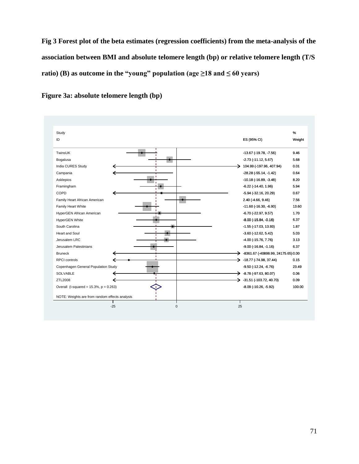**Fig 3 Forest plot of the beta estimates (regression coefficients) from the meta-analysis of the association between BMI and absolute telomere length (bp) or relative telomere length (T/S ratio)** (B) as outcome in the "young" population (age  $\geq$ 18 and  $\leq$  60 years)



**Figure 3a: absolute telomere length (bp)**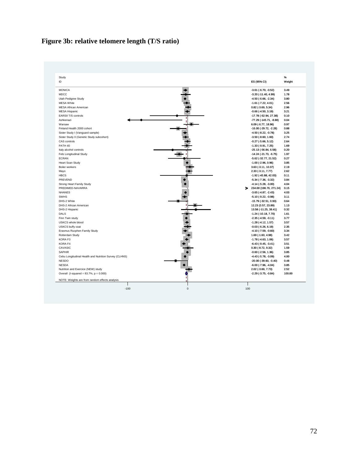# **Figure 3b: relative telomere length (T/S ratio)**

| Study<br>ID                                           | ES (95% CI)                     | %<br>Weight |
|-------------------------------------------------------|---------------------------------|-------------|
| <b>MONICA</b>                                         | $-3.61$ ( $-6.70$ , $-0.52$ )   | 3.49        |
| MDCC                                                  | $-3.20$ ( $-11.40$ , $4.99$ )   | 1.78        |
| Utah Pedigree Study                                   | $-4.50$ ( $-6.66$ , $-2.34$ )   | 3.80        |
| <b>MESA White</b>                                     | $-1.61$ ( $-7.22, 4.01$ )       | 2.56        |
| <b>MESA African American</b>                          | $0.82$ (-3.69, 5.34)            | 2.96        |
| <b>MESA Hispanic</b>                                  | $-0.66$ $(-4.50, 3.19)$         | 3.21        |
| EARSII T/S controls                                   | -17.78 (-62.94, 27.38)          | 0.10        |
| Ashkenazi                                             | -77.29 (-145.71, -8.88)         | 0.04        |
| Warsaw                                                | 6.09 (-6.77, 18.96)             | 0.97        |
| Finland Health 2000 cohort                            | $-16.00$ ( $-29.72$ , $-2.28$ ) | 0.88        |
| Sister Study I (Vanguard sample)                      | $-4.50$ ( $-8.22, -0.78$ )      | 3.25        |
| Sister Study II (Genetic Study subcohort)             | $-3.50$ $(-8.60, 1.60)$         | 2.74        |
| CAS controls                                          | $-0.27$ $(-5.66, 5.12)$         | 2.64        |
| PATH 40                                               | $-1.33(-9.91, 7.25)$            | 1.69        |
| Italy alcohol controls                                | $-25.13(-56.84, 6.58)$          | 0.20        |
| Fels Longitudinal Study                               | $-14.24$ ( $-21.73$ , $-6.75$ ) | 1.97        |
| ECRAN                                                 | $-5.62$ ( $-32.77$ , 21.52)     | 0.27        |
| Heart Scan Study                                      | $-1.00$ ( $-2.96, 0.96$ )       | 3.85        |
| Boiler workers                                        | 3.63 (-3.11, 10.37)             | 2.19        |
| Mayo                                                  | 2.33 (-3.11, 7.77)              | 2.62        |
| <b>HBCS</b>                                           | $-1.92$ ( $-45.88$ , $42.03$ )  | 0.11        |
| PREVEND                                               | $-5.34$ ( $-7.36$ , $-3.32$ )   | 3.84        |
| Strong Heart Family Study                             | $-4.14$ ( $-5.28$ , $-3.00$ )   | 4.04        |
| PREDIMED-NAVARRA                                      | $\geq$ 234.00 (196.76, 271.24)  | 0.15        |
| <b>NHANES</b>                                         | $-3.65$ ( $-4.87$ , $-2.43$ )   | 4.03        |
| <b>SWHS</b>                                           | $-5.10$ ( $-9.22$ , $-0.98$ )   | 3.11        |
| DHS-2 White                                           | $-15.79$ ( $-32.51$ , 0.93)     | 0.64        |
| DHS-2 African American                                | 12.23 (0.57, 23.89)             | 1.13        |
| DHS-2 Hispanic                                        | 13.58 (-11.25, 38.41)           | 0.32        |
| DALS                                                  | $-1.24$ ( $-10.18$ , $7.70$ )   | 1.61        |
| Finn Twin study                                       | $-2.35(-4.59,-0.11)$            | 3.77        |
| USKCS whole blood                                     | $-1.28$ ( $-4.12$ , $1.57$ )    | 3.57        |
| USKCS buffy coat                                      | $-0.03$ $(-6.26, 6.19)$         | 2.35        |
| Erasmus Rucphen Family Study                          | $-4.10$ ( $-7.59$ , $-0.60$ )   | 3.34        |
| Rotterdam Study                                       | 1.69 (-1.60, 4.98)              | 3.42        |
| KORA F3                                               | $-1.78$ ( $-4.63$ , $1.06$ )    | 3.57        |
| KORA F4                                               | $-6.43(-9.45,-3.41)$            | 3.51        |
| CAVASIC                                               | $0.30$ (-8.72, 9.32)            | 1.59        |
| <b>SAPHIR</b>                                         | $-0.60$ $(-2.56, 1.36)$         | 3.85        |
| Cebu Longitudinal Health and Nutrition Survey (CLHNS) | $-4.43$ ( $-5.78$ , $-3.09$ )   | 4.00        |
| <b>NESDO</b>                                          | $-20.00$ ( $-39.60$ , $-0.40$ ) | 0.48        |
| <b>NESDA</b>                                          | $-6.00$ $(-7.96, -4.04)$        | 3.85        |
| Nutrition and Exercice (NEW) study                    | 2.02 (-3.69, 7.73)              | 2.52        |
| Overall (I-squared = $83.7%$ , $p = 0.000$ )          | $-2.29$ $(-3.75, -0.84)$        | 100.00      |
| NOTE: Weights are from random effects analysis<br>ш   |                                 |             |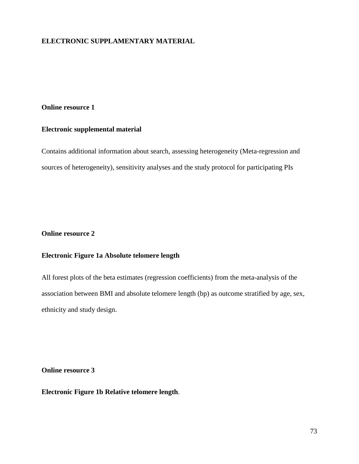# **ELECTRONIC SUPPLAMENTARY MATERIAL**

#### **Online resource 1**

### **Electronic supplemental material**

Contains additional information about search, assessing heterogeneity (Meta-regression and sources of heterogeneity), sensitivity analyses and the study protocol for participating PIs

### **Online resource 2**

# **Electronic Figure 1a Absolute telomere length**

All forest plots of the beta estimates (regression coefficients) from the meta-analysis of the association between BMI and absolute telomere length (bp) as outcome stratified by age, sex, ethnicity and study design.

**Online resource 3**

**Electronic Figure 1b Relative telomere length**.